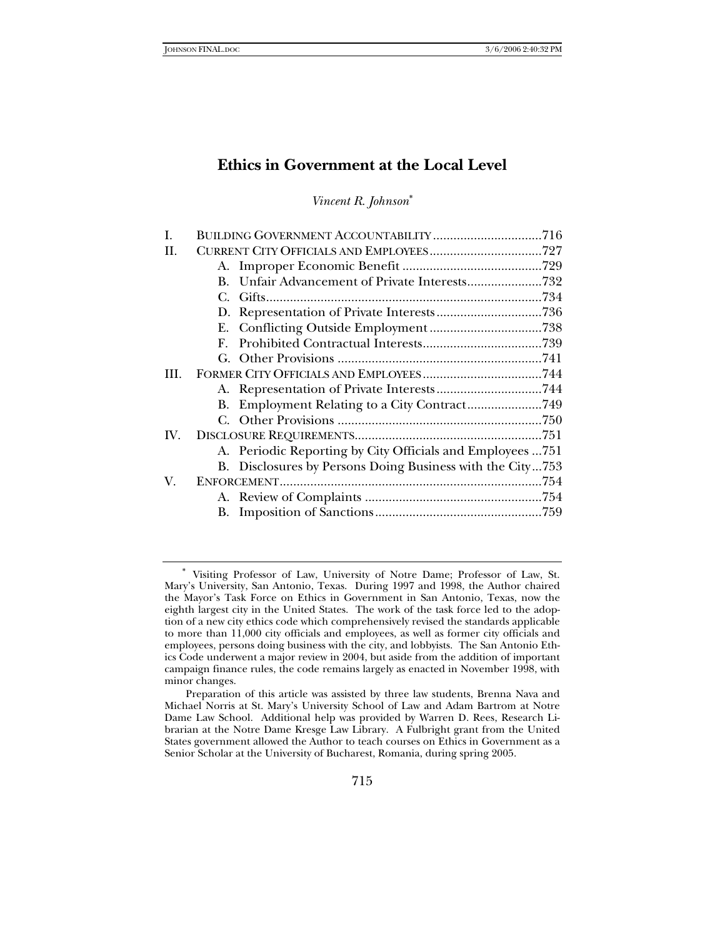# **Ethics in Government at the Local Level**

*Vincent R. Johnson*<sup>∗</sup>

| L   |                                                           |  |
|-----|-----------------------------------------------------------|--|
| H   |                                                           |  |
|     |                                                           |  |
|     | B. Unfair Advancement of Private Interests732             |  |
|     |                                                           |  |
|     |                                                           |  |
|     |                                                           |  |
|     | F.                                                        |  |
|     |                                                           |  |
| HL. |                                                           |  |
|     |                                                           |  |
|     | B. Employment Relating to a City Contract749              |  |
|     |                                                           |  |
| IV. |                                                           |  |
|     | A. Periodic Reporting by City Officials and Employees 751 |  |
|     | B. Disclosures by Persons Doing Business with the City753 |  |
| V.  |                                                           |  |
|     |                                                           |  |
|     |                                                           |  |
|     |                                                           |  |

<sup>∗</sup> Visiting Professor of Law, University of Notre Dame; Professor of Law, St. Mary's University, San Antonio, Texas. During 1997 and 1998, the Author chaired the Mayor's Task Force on Ethics in Government in San Antonio, Texas, now the eighth largest city in the United States. The work of the task force led to the adoption of a new city ethics code which comprehensively revised the standards applicable to more than 11,000 city officials and employees, as well as former city officials and employees, persons doing business with the city, and lobbyists. The San Antonio Ethics Code underwent a major review in 2004, but aside from the addition of important campaign finance rules, the code remains largely as enacted in November 1998, with minor changes.

Preparation of this article was assisted by three law students, Brenna Nava and Michael Norris at St. Mary's University School of Law and Adam Bartrom at Notre Dame Law School. Additional help was provided by Warren D. Rees, Research Librarian at the Notre Dame Kresge Law Library. A Fulbright grant from the United States government allowed the Author to teach courses on Ethics in Government as a Senior Scholar at the University of Bucharest, Romania, during spring 2005.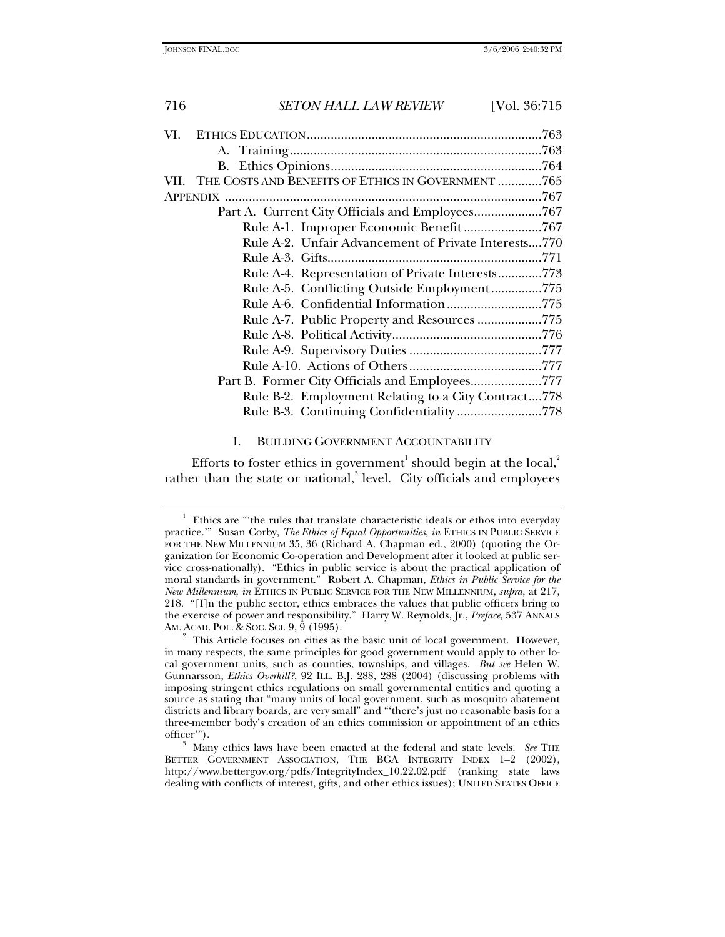| VII. THE COSTS AND BENEFITS OF ETHICS IN GOVERNMENT 765 |      |
|---------------------------------------------------------|------|
|                                                         |      |
| Part A. Current City Officials and Employees767         |      |
| Rule A-1. Improper Economic Benefit 767                 |      |
| Rule A-2. Unfair Advancement of Private Interests770    |      |
|                                                         | .771 |
| Rule A-4. Representation of Private Interests773        |      |
| Rule A-5. Conflicting Outside Employment775             |      |
| Rule A-6. Confidential Information775                   |      |
| Rule A-7. Public Property and Resources 775             |      |
|                                                         |      |
|                                                         |      |
|                                                         |      |
| Part B. Former City Officials and Employees777          |      |
| Rule B-2. Employment Relating to a City Contract778     |      |
| Rule B-3. Continuing Confidentiality 778                |      |
|                                                         |      |

## I. BUILDING GOVERNMENT ACCOUNTABILITY

Efforts to foster ethics in government $^{\rm l}$  should begin at the local, $^{\rm l}$ rather than the state or national,<sup>3</sup> level. City officials and employees

<sup>1</sup> Ethics are "'the rules that translate characteristic ideals or ethos into everyday practice.'" Susan Corby, *The Ethics of Equal Opportunities*, *in* ETHICS IN PUBLIC SERVICE FOR THE NEW MILLENNIUM 35, 36 (Richard A. Chapman ed., 2000) (quoting the Organization for Economic Co-operation and Development after it looked at public service cross-nationally). "Ethics in public service is about the practical application of moral standards in government." Robert A. Chapman, *Ethics in Public Service for the New Millennium*, *in* ETHICS IN PUBLIC SERVICE FOR THE NEW MILLENNIUM, *supra*, at 217, 218. "[I]n the public sector, ethics embraces the values that public officers bring to the exercise of power and responsibility." Harry W. Reynolds, Jr., *Preface*, 537 ANNALS AM. ACAD. POL. & SOC. SCI. 9, 9 (1995). 2

<sup>&</sup>lt;sup>2</sup> This Article focuses on cities as the basic unit of local government. However, in many respects, the same principles for good government would apply to other local government units, such as counties, townships, and villages. *But see* Helen W. Gunnarsson, *Ethics Overkill?*, 92 ILL. B.J. 288, 288 (2004) (discussing problems with imposing stringent ethics regulations on small governmental entities and quoting a source as stating that "many units of local government, such as mosquito abatement districts and library boards, are very small" and "'there's just no reasonable basis for a three-member body's creation of an ethics commission or appointment of an ethics officer'"). 3

Many ethics laws have been enacted at the federal and state levels. *See* THE BETTER GOVERNMENT ASSOCIATION, THE BGA INTEGRITY INDEX 1-2 (2002), http://www.bettergov.org/pdfs/IntegrityIndex\_10.22.02.pdf (ranking state laws dealing with conflicts of interest, gifts, and other ethics issues); UNITED STATES OFFICE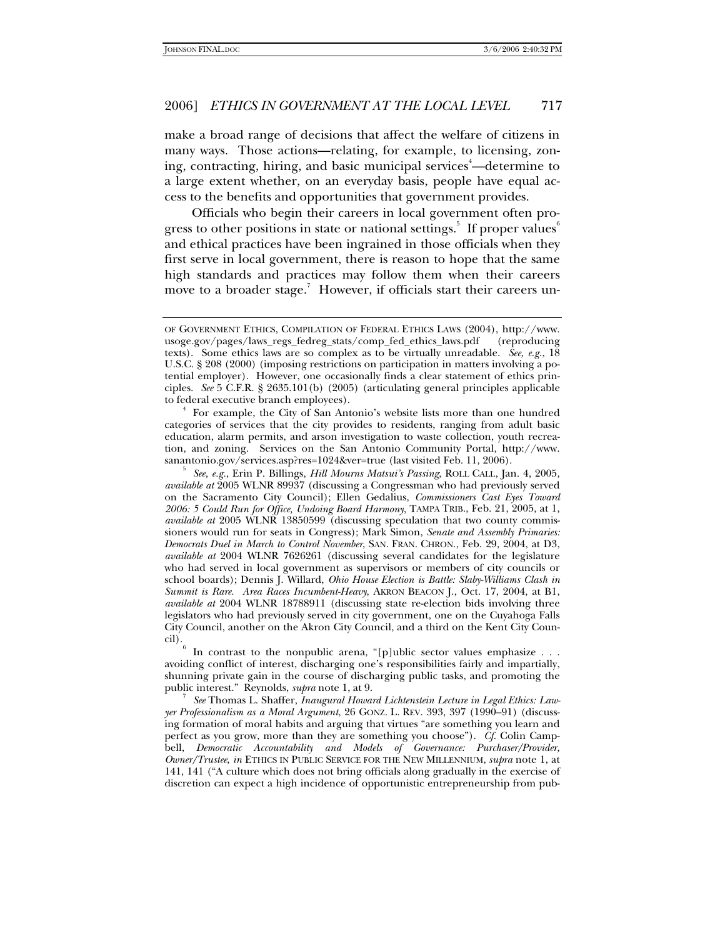make a broad range of decisions that affect the welfare of citizens in many ways. Those actions—relating, for example, to licensing, zoning, contracting, hiring, and basic municipal services<sup>4</sup>—determine to a large extent whether, on an everyday basis, people have equal access to the benefits and opportunities that government provides.

Officials who begin their careers in local government often progress to other positions in state or national settings. $^{\rm 5}$  If proper values $^{\rm 6}$ and ethical practices have been ingrained in those officials when they first serve in local government, there is reason to hope that the same high standards and practices may follow them when their careers move to a broader stage.<sup>7</sup> However, if officials start their careers un-

OF GOVERNMENT ETHICS, COMPILATION OF FEDERAL ETHICS LAWS (2004), http://www. usoge.gov/pages/laws\_regs\_fedreg\_stats/comp\_fed\_ethics\_laws.pdf (reproducing texts). Some ethics laws are so complex as to be virtually unreadable. *See, e.g.*, 18 U.S.C. § 208 (2000) (imposing restrictions on participation in matters involving a potential employer). However, one occasionally finds a clear statement of ethics principles. *See* 5 C.F.R. § 2635.101(b) (2005) (articulating general principles applicable to federal executive branch employees). 4

For example, the City of San Antonio's website lists more than one hundred categories of services that the city provides to residents, ranging from adult basic education, alarm permits, and arson investigation to waste collection, youth recreation, and zoning. Services on the San Antonio Community Portal, http://www. sanantonio.gov/services.asp?res=1024&ver=true (last visited Feb. 11, 2006). 5

*See, e.g.*, Erin P. Billings, *Hill Mourns Matsui's Passing*, ROLL CALL, Jan. 4, 2005, *available at* 2005 WLNR 89937 (discussing a Congressman who had previously served on the Sacramento City Council); Ellen Gedalius, *Commissioners Cast Eyes Toward 2006: 5 Could Run for Office, Undoing Board Harmony*, TAMPA TRIB., Feb. 21, 2005, at 1, *available at* 2005 WLNR 13850599 (discussing speculation that two county commissioners would run for seats in Congress); Mark Simon, *Senate and Assembly Primaries: Democrats Duel in March to Control November*, SAN. FRAN. CHRON., Feb. 29, 2004, at D3, *available at* 2004 WLNR 7626261 (discussing several candidates for the legislature who had served in local government as supervisors or members of city councils or school boards); Dennis J. Willard, *Ohio House Election is Battle: Slaby-Williams Clash in Summit is Rare. Area Races Incumbent-Heavy*, AKRON BEACON J., Oct. 17, 2004, at B1, *available at* 2004 WLNR 18788911 (discussing state re-election bids involving three legislators who had previously served in city government, one on the Cuyahoga Falls City Council, another on the Akron City Council, and a third on the Kent City Council).

In contrast to the nonpublic arena, "[p]ublic sector values emphasize . . . avoiding conflict of interest, discharging one's responsibilities fairly and impartially, shunning private gain in the course of discharging public tasks, and promoting the public interest." Reynolds, *supra* note 1, at 9. 7

*See* Thomas L. Shaffer, *Inaugural Howard Lichtenstein Lecture in Legal Ethics: Lawyer Professionalism as a Moral Argument*, 26 GONZ. L. REV. 393, 397 (1990–91) (discussing formation of moral habits and arguing that virtues "are something you learn and perfect as you grow, more than they are something you choose"). *Cf.* Colin Campbell, *Democratic Accountability and Models of Governance: Purchaser/Provider, Owner/Trustee*, *in* ETHICS IN PUBLIC SERVICE FOR THE NEW MILLENNIUM, *supra* note 1, at 141, 141 ("A culture which does not bring officials along gradually in the exercise of discretion can expect a high incidence of opportunistic entrepreneurship from pub-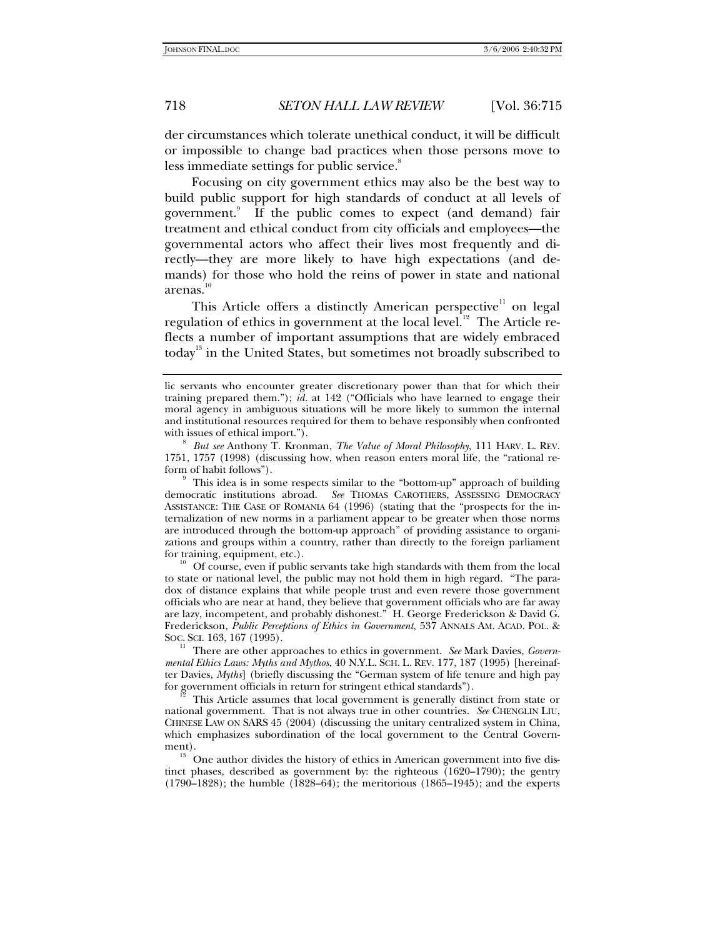der circumstances which tolerate unethical conduct, it will be difficult or impossible to change bad practices when those persons move to less immediate settings for public service.<sup>8</sup>

Focusing on city government ethics may also be the best way to build public support for high standards of conduct at all levels of government.<sup>9</sup> If the public comes to expect (and demand) fair treatment and ethical conduct from city officials and employees—the governmental actors who affect their lives most frequently and directly—they are more likely to have high expectations (and demands) for those who hold the reins of power in state and national arenas.<sup>10</sup>

This Article offers a distinctly American perspective<sup>11</sup> on legal regulation of ethics in government at the local level.<sup>12</sup> The Article reflects a number of important assumptions that are widely embraced today<sup>13</sup> in the United States, but sometimes not broadly subscribed to

 This idea is in some respects similar to the "bottom-up" approach of building democratic institutions abroad. *See* THOMAS CAROTHERS, ASSESSING DEMOCRACY ASSISTANCE: THE CASE OF ROMANIA 64 (1996) (stating that the "prospects for the internalization of new norms in a parliament appear to be greater when those norms are introduced through the bottom-up approach" of providing assistance to organizations and groups within a country, rather than directly to the foreign parliament for training, equipment, etc.).

 $\frac{10}{10}$  Of course, even if public servants take high standards with them from the local to state or national level, the public may not hold them in high regard. "The paradox of distance explains that while people trust and even revere those government officials who are near at hand, they believe that government officials who are far away are lazy, incompetent, and probably dishonest." H. George Frederickson & David G. Frederickson, *Public Perceptions of Ethics in Government*, 537 ANNALS AM. ACAD. POL. & Soc. Sci. 163, 167 (1995).<br><sup>11</sup> There are other approaches to ethics in government. *See* Mark Davies, *Govern*-

*mental Ethics Laws: Myths and Mythos*, 40 N.Y.L. SCH. L. REV. 177, 187 (1995) [hereinafter Davies, *Myths*] (briefly discussing the "German system of life tenure and high pay for government officials in return for stringent ethical standards").<br><sup>12</sup> This Article assumes that local government is generally distinct from state or

national government. That is not always true in other countries. *See* CHENGLIN LIU, CHINESE LAW ON SARS 45 (2004) (discussing the unitary centralized system in China, which emphasizes subordination of the local government to the Central Government).

 $13<sup>13</sup>$  One author divides the history of ethics in American government into five distinct phases, described as government by: the righteous (1620–1790); the gentry (1790–1828); the humble (1828–64); the meritorious (1865–1945); and the experts

lic servants who encounter greater discretionary power than that for which their training prepared them."); *id.* at 142 ("Officials who have learned to engage their moral agency in ambiguous situations will be more likely to summon the internal and institutional resources required for them to behave responsibly when confronted with issues of ethical import.").

*But see* Anthony T. Kronman, *The Value of Moral Philosophy*, 111 HARV. L. REV. 1751, 1757 (1998) (discussing how, when reason enters moral life, the "rational reform of habit follows").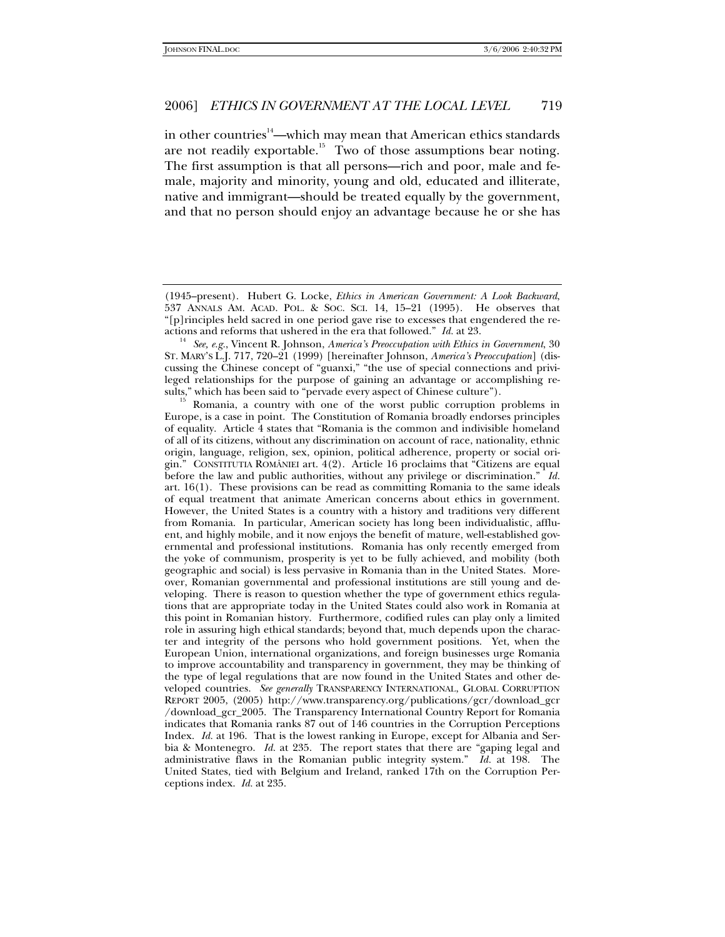in other countries<sup>14</sup>—which may mean that American ethics standards are not readily exportable.<sup>15</sup> Two of those assumptions bear noting. The first assumption is that all persons—rich and poor, male and female, majority and minority, young and old, educated and illiterate, native and immigrant—should be treated equally by the government, and that no person should enjoy an advantage because he or she has

<sup>(1945–</sup>present). Hubert G. Locke, *Ethics in American Government: A Look Backward*, 537 ANNALS AM. ACAD. POL. & SOC. SCI. 14, 15–21 (1995). He observes that "[p]rinciples held sacred in one period gave rise to excesses that engendered the re-<br>actions and reforms that ushered in the era that followed."  $Id$  at 23.

<sup>&</sup>lt;sup>14</sup> See, e.g., Vincent R. Johnson, *America's Preoccupation with Ethics in Government*, 30 ST. MARY'S L.J. 717, 720–21 (1999) [hereinafter Johnson, *America's Preoccupation*] (discussing the Chinese concept of "guanxi," "the use of special connections and privileged relationships for the purpose of gaining an advantage or accomplishing results," which has been said to "pervade every aspect of Chinese culture").

Romania, a country with one of the worst public corruption problems in Europe, is a case in point. The Constitution of Romania broadly endorses principles of equality. Article 4 states that "Romania is the common and indivisible homeland of all of its citizens, without any discrimination on account of race, nationality, ethnic origin, language, religion, sex, opinion, political adherence, property or social origin." CONSTITUTIA ROMÂNIEI art. 4(2). Article 16 proclaims that "Citizens are equal before the law and public authorities, without any privilege or discrimination." *Id.*  art. 16(1). These provisions can be read as committing Romania to the same ideals of equal treatment that animate American concerns about ethics in government. However, the United States is a country with a history and traditions very different from Romania. In particular, American society has long been individualistic, affluent, and highly mobile, and it now enjoys the benefit of mature, well-established governmental and professional institutions. Romania has only recently emerged from the yoke of communism, prosperity is yet to be fully achieved, and mobility (both geographic and social) is less pervasive in Romania than in the United States. Moreover, Romanian governmental and professional institutions are still young and developing. There is reason to question whether the type of government ethics regulations that are appropriate today in the United States could also work in Romania at this point in Romanian history. Furthermore, codified rules can play only a limited role in assuring high ethical standards; beyond that, much depends upon the character and integrity of the persons who hold government positions. Yet, when the European Union, international organizations, and foreign businesses urge Romania to improve accountability and transparency in government, they may be thinking of the type of legal regulations that are now found in the United States and other developed countries. *See generally* TRANSPARENCY INTERNATIONAL, GLOBAL CORRUPTION REPORT 2005, (2005) http://www.transparency.org/publications/gcr/download\_gcr /download\_gcr\_2005. The Transparency International Country Report for Romania indicates that Romania ranks 87 out of 146 countries in the Corruption Perceptions Index. *Id.* at 196. That is the lowest ranking in Europe, except for Albania and Serbia & Montenegro. *Id.* at 235. The report states that there are "gaping legal and administrative flaws in the Romanian public integrity system." *Id.* at 198. The United States, tied with Belgium and Ireland, ranked 17th on the Corruption Perceptions index. *Id.* at 235.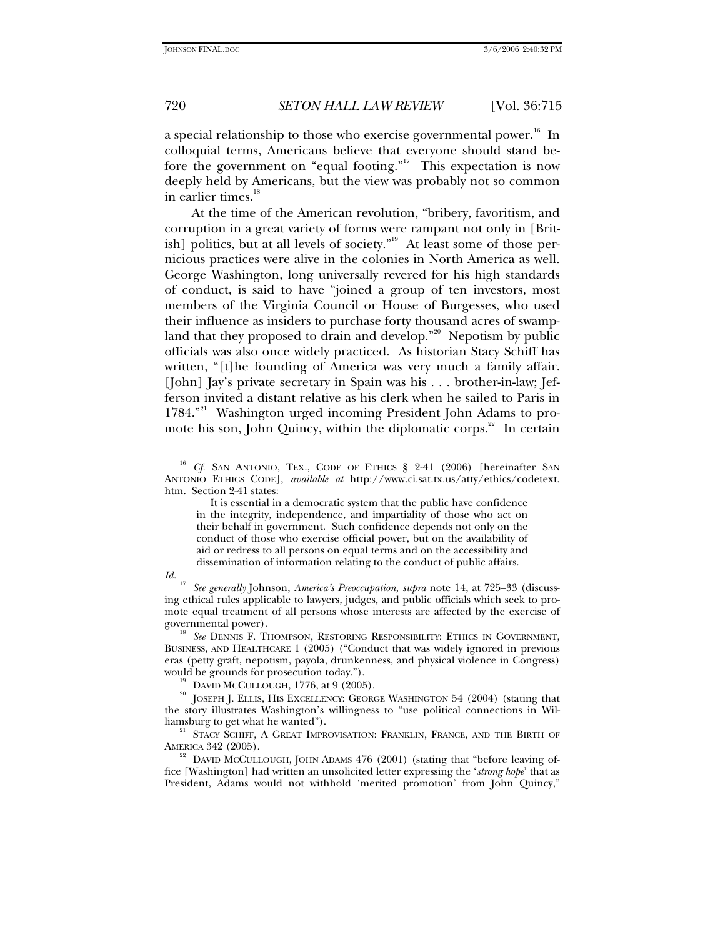a special relationship to those who exercise governmental power.<sup>16</sup> In colloquial terms, Americans believe that everyone should stand before the government on "equal footing."<sup>17</sup> This expectation is now deeply held by Americans, but the view was probably not so common in earlier times.<sup>18</sup>

At the time of the American revolution, "bribery, favoritism, and corruption in a great variety of forms were rampant not only in [British] politics, but at all levels of society."<sup>19</sup> At least some of those pernicious practices were alive in the colonies in North America as well. George Washington, long universally revered for his high standards of conduct, is said to have "joined a group of ten investors, most members of the Virginia Council or House of Burgesses, who used their influence as insiders to purchase forty thousand acres of swampland that they proposed to drain and develop."<sup>20</sup> Nepotism by public officials was also once widely practiced. As historian Stacy Schiff has written, "[t]he founding of America was very much a family affair. [John] Jay's private secretary in Spain was his . . . brother-in-law; Jefferson invited a distant relative as his clerk when he sailed to Paris in 1784."<sup>21</sup> Washington urged incoming President John Adams to promote his son, John Quincy, within the diplomatic corps.<sup>22</sup> In certain

 It is essential in a democratic system that the public have confidence in the integrity, independence, and impartiality of those who act on their behalf in government. Such confidence depends not only on the conduct of those who exercise official power, but on the availability of aid or redress to all persons on equal terms and on the accessibility and dissemination of information relating to the conduct of public affairs.

*Id.* <sup>17</sup> *See generally* Johnson, *America's Preoccupation*, *supra* note 14, at 725–33 (discussing ethical rules applicable to lawyers, judges, and public officials which seek to promote equal treatment of all persons whose interests are affected by the exercise of governmental power).<br><sup>18</sup> See DENNIS F. THOMPSON, RESTORING RESPONSIBILITY: ETHICS IN GOVERNMENT,

BUSINESS, AND HEALTHCARE 1 (2005) ("Conduct that was widely ignored in previous eras (petty graft, nepotism, payola, drunkenness, and physical violence in Congress)

<sup>21</sup> STACY SCHIFF, A GREAT IMPROVISATION: FRANKLIN, FRANCE, AND THE BIRTH OF AMERICA 342 (2005).

 $22$  DAVID MCCULLOUGH, JOHN ADAMS 476 (2001) (stating that "before leaving office [Washington] had written an unsolicited letter expressing the '*strong hope*' that as President, Adams would not withhold 'merited promotion' from John Quincy,"

<sup>&</sup>lt;sup>16</sup> *Cf.* SAN ANTONIO, TEX., CODE OF ETHICS § 2-41 (2006) [hereinafter SAN ANTONIO ETHICS CODE], *available at* http://www.ci.sat.tx.us/atty/ethics/codetext. htm. Section 2-41 states:

<sup>&</sup>lt;sup>19</sup> DAVID MCCULLOUGH, 1776, at 9 (2005). 20 JOSEPH J. ELLIS, HIS EXCELLENCY: GEORGE WASHINGTON 54 (2004) (stating that the story illustrates Washington's willingness to "use political connections in Wil-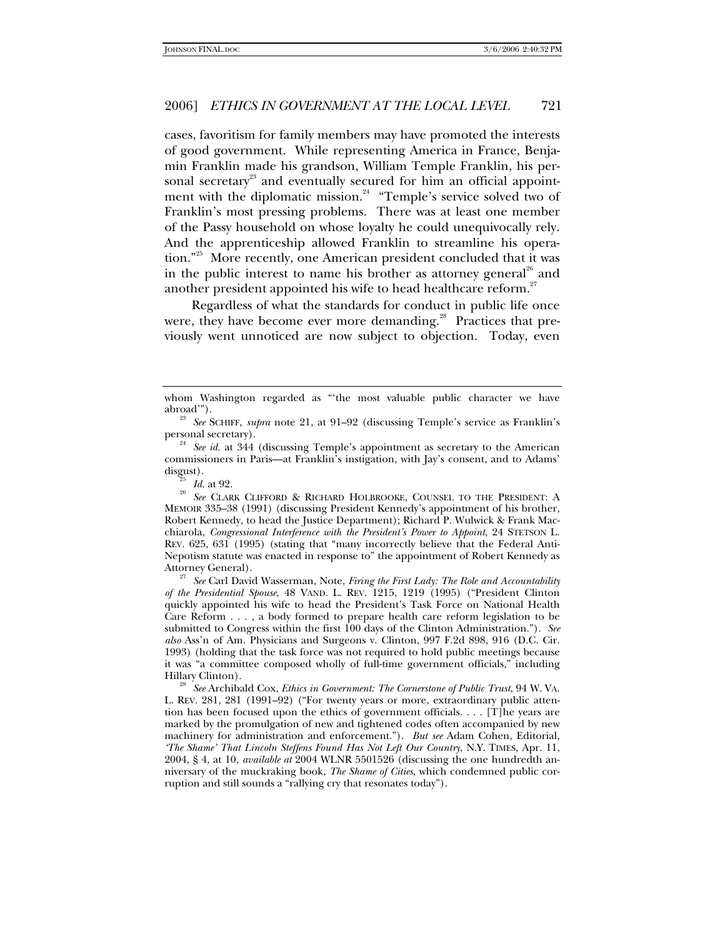cases, favoritism for family members may have promoted the interests of good government. While representing America in France, Benjamin Franklin made his grandson, William Temple Franklin, his personal secretary<sup>23</sup> and eventually secured for him an official appointment with the diplomatic mission.<sup>24</sup> "Temple's service solved two of Franklin's most pressing problems. There was at least one member of the Passy household on whose loyalty he could unequivocally rely. And the apprenticeship allowed Franklin to streamline his operation."<sup>25</sup> More recently, one American president concluded that it was in the public interest to name his brother as attorney general<sup>26</sup> and another president appointed his wife to head healthcare reform.<sup>27</sup>

Regardless of what the standards for conduct in public life once were, they have become ever more demanding.<sup>28</sup> Practices that previously went unnoticed are now subject to objection. Today, even

Attorney General). 27 *See* Carl David Wasserman, Note, *Firing the First Lady: The Role and Accountability of the Presidential Spouse*, 48 VAND. L. REV. 1215, 1219 (1995) ("President Clinton quickly appointed his wife to head the President's Task Force on National Health Care Reform . . . , a body formed to prepare health care reform legislation to be submitted to Congress within the first 100 days of the Clinton Administration."). *See also* Ass'n of Am. Physicians and Surgeons v. Clinton, 997 F.2d 898, 916 (D.C. Cir. 1993) (holding that the task force was not required to hold public meetings because it was "a committee composed wholly of full-time government officials," including

See Archibald Cox, *Ethics in Government: The Cornerstone of Public Trust*, 94 W. VA. L. REV. 281, 281 (1991–92) ("For twenty years or more, extraordinary public attention has been focused upon the ethics of government officials. . . . [T]he years are marked by the promulgation of new and tightened codes often accompanied by new machinery for administration and enforcement."). *But see* Adam Cohen, Editorial, *'The Shame' That Lincoln Steffens Found Has Not Left Our Country*, N.Y. TIMES, Apr. 11, 2004, § 4, at 10, *available at* 2004 WLNR 5501526 (discussing the one hundredth anniversary of the muckraking book, *The Shame of Cities*, which condemned public corruption and still sounds a "rallying cry that resonates today").

whom Washington regarded as "'the most valuable public character we have abroad'").

<sup>&</sup>lt;sup>23</sup> See SCHIFF, *supra* note 21, at 91–92 (discussing Temple's service as Franklin's personal secretary).

See id. at 344 (discussing Temple's appointment as secretary to the American commissioners in Paris—at Franklin's instigation, with Jay's consent, and to Adams' disgust).<br><sup>25</sup> Id. at 92.<br><sup>26</sup> See CLARK CLIFFORD & RICHARD HOLBROOKE, COUNSEL TO THE PRESIDENT: A

MEMOIR 335–38 (1991) (discussing President Kennedy's appointment of his brother, Robert Kennedy, to head the Justice Department); Richard P. Wulwick & Frank Macchiarola, *Congressional Interference with the President's Power to Appoint*, 24 STETSON L. REV. 625, 631 (1995) (stating that "many incorrectly believe that the Federal Anti-Nepotism statute was enacted in response to" the appointment of Robert Kennedy as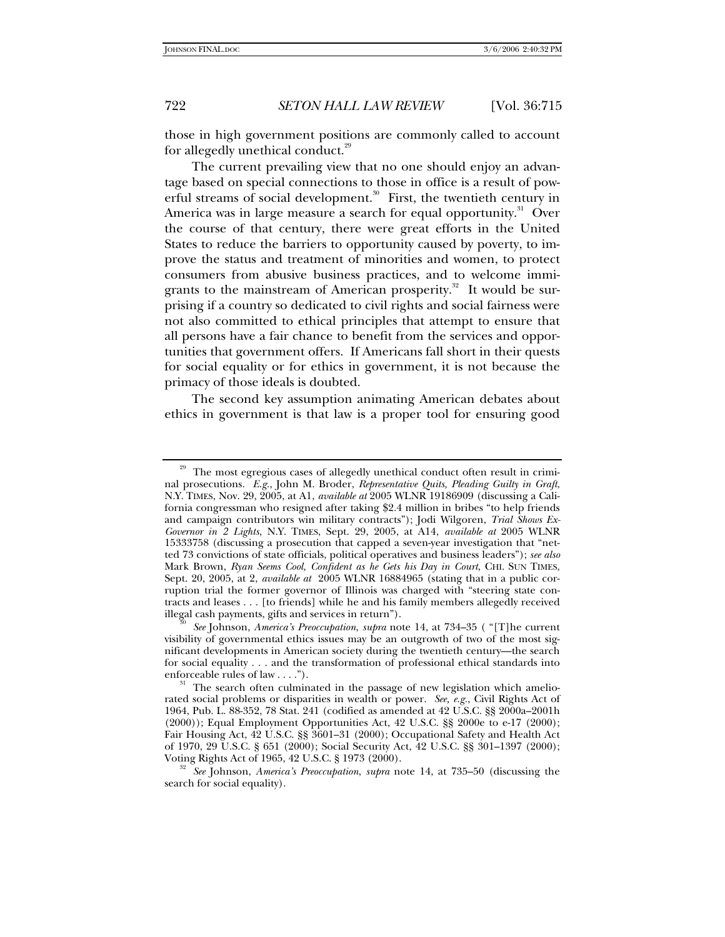those in high government positions are commonly called to account for allegedly unethical conduct.<sup>29</sup>

The current prevailing view that no one should enjoy an advantage based on special connections to those in office is a result of powerful streams of social development. $30$  First, the twentieth century in America was in large measure a search for equal opportunity.<sup>31</sup> Over the course of that century, there were great efforts in the United States to reduce the barriers to opportunity caused by poverty, to improve the status and treatment of minorities and women, to protect consumers from abusive business practices, and to welcome immigrants to the mainstream of American prosperity.<sup>32</sup> It would be surprising if a country so dedicated to civil rights and social fairness were not also committed to ethical principles that attempt to ensure that all persons have a fair chance to benefit from the services and opportunities that government offers. If Americans fall short in their quests for social equality or for ethics in government, it is not because the primacy of those ideals is doubted.

The second key assumption animating American debates about ethics in government is that law is a proper tool for ensuring good

The most egregious cases of allegedly unethical conduct often result in criminal prosecutions. *E.g.*, John M. Broder, *Representative Quits, Pleading Guilty in Graft*, N.Y. TIMES, Nov. 29, 2005, at A1, *available at* 2005 WLNR 19186909 (discussing a California congressman who resigned after taking \$2.4 million in bribes "to help friends and campaign contributors win military contracts"); Jodi Wilgoren, *Trial Shows Ex-Governor in 2 Lights*, N.Y. TIMES, Sept. 29, 2005, at A14, *available at* 2005 WLNR 15333758 (discussing a prosecution that capped a seven-year investigation that "netted 73 convictions of state officials, political operatives and business leaders"); *see also*  Mark Brown, *Ryan Seems Cool, Confident as he Gets his Day in Court*, CHI. SUN TIMES, Sept. 20, 2005, at 2, *available at* 2005 WLNR 16884965 (stating that in a public corruption trial the former governor of Illinois was charged with "steering state contracts and leases . . . [to friends] while he and his family members allegedly received illegal cash payments, gifts and services in return"). 30 *See* Johnson, *America's Preoccupation*, *supra* note 14, at 734–35 ( "[T]he current

visibility of governmental ethics issues may be an outgrowth of two of the most significant developments in American society during the twentieth century—the search for social equality . . . and the transformation of professional ethical standards into enforceable rules of law . . . .").

<sup>&</sup>lt;sup>31</sup> The search often culminated in the passage of new legislation which ameliorated social problems or disparities in wealth or power. *See, e.g.*, Civil Rights Act of 1964, Pub. L. 88-352, 78 Stat. 241 (codified as amended at 42 U.S.C. §§ 2000a–2001h (2000)); Equal Employment Opportunities Act, 42 U.S.C. §§ 2000e to e-17 (2000); Fair Housing Act, 42 U.S.C. §§ 3601–31 (2000); Occupational Safety and Health Act of 1970, 29 U.S.C. § 651 (2000); Social Security Act, 42 U.S.C. §§ 301–1397 (2000); Voting Rights Act of 1965, 42 U.S.C. § 1973 (2000). 32 *See* Johnson, *America's Preoccupation*, *supra* note 14, at 735–50 (discussing the

search for social equality).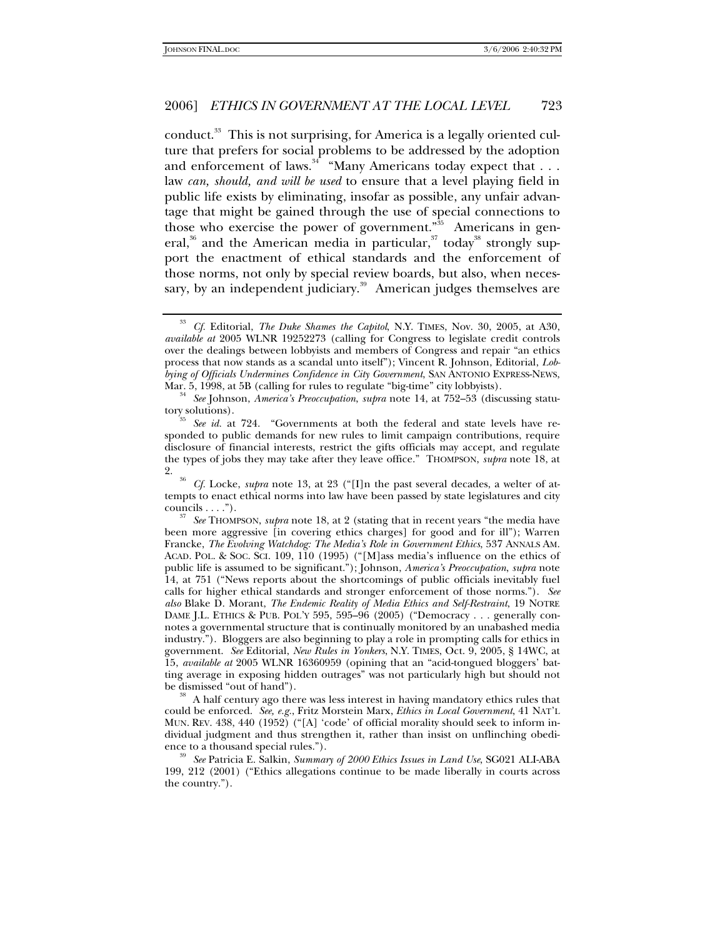conduct.<sup>33</sup> This is not surprising, for America is a legally oriented culture that prefers for social problems to be addressed by the adoption and enforcement of laws.<sup>34</sup> "Many Americans today expect that  $\dots$ law *can, should, and will be used* to ensure that a level playing field in public life exists by eliminating, insofar as possible, any unfair advantage that might be gained through the use of special connections to those who exercise the power of government."<sup>35</sup> Americans in general,<sup>36</sup> and the American media in particular,<sup>37</sup> today<sup>38</sup> strongly support the enactment of ethical standards and the enforcement of those norms, not only by special review boards, but also, when necessary, by an independent judiciary.<sup>39</sup> American judges themselves are

<sup>33</sup> *Cf.* Editorial, *The Duke Shames the Capitol*, N.Y. TIMES, Nov. 30, 2005, at A30, *available at* 2005 WLNR 19252273 (calling for Congress to legislate credit controls over the dealings between lobbyists and members of Congress and repair "an ethics process that now stands as a scandal unto itself"); Vincent R. Johnson, Editorial, *Lobbying of Officials Undermines Confidence in City Government*, SAN ANTONIO EXPRESS-NEWS,

Mar. 5, 1998, at 5B (calling for rules to regulate "big-time" city lobbyists). <sup>34</sup> *See* Johnson, *America's Preoccupation*, *supra* note 14, at 752–53 (discussing statutory solutions). 35 *See id.* at 724. "Governments at both the federal and state levels have re-

sponded to public demands for new rules to limit campaign contributions, require disclosure of financial interests, restrict the gifts officials may accept, and regulate the types of jobs they may take after they leave office." THOMPSON, *supra* note 18, at

<sup>2. 36</sup> *Cf.* Locke, *supra* note 13, at 23 ("[I]n the past several decades, a welter of attempts to enact ethical norms into law have been passed by state legislatures and city councils . . . ."). 37 *See* THOMPSON, *supra* note 18, at 2 (stating that in recent years "the media have

been more aggressive [in covering ethics charges] for good and for ill"); Warren Francke, *The Evolving Watchdog: The Media's Role in Government Ethics*, 537 ANNALS AM. ACAD. POL. & SOC. SCI. 109, 110 (1995) ("[M]ass media's influence on the ethics of public life is assumed to be significant."); Johnson, *America's Preoccupation*, *supra* note 14, at 751 ("News reports about the shortcomings of public officials inevitably fuel calls for higher ethical standards and stronger enforcement of those norms."). *See also* Blake D. Morant, *The Endemic Reality of Media Ethics and Self-Restraint*, 19 NOTRE DAME J.L. ETHICS & PUB. POL'Y 595, 595–96 (2005) ("Democracy . . . generally connotes a governmental structure that is continually monitored by an unabashed media industry."). Bloggers are also beginning to play a role in prompting calls for ethics in government. *See* Editorial, *New Rules in Yonkers*, N.Y. TIMES, Oct. 9, 2005, § 14WC, at 15, *available at* 2005 WLNR 16360959 (opining that an "acid-tongued bloggers' batting average in exposing hidden outrages" was not particularly high but should not be dismissed "out of hand").<br><sup>38</sup> A half century ago there was less interest in having mandatory ethics rules that

could be enforced. *See, e.g.*, Fritz Morstein Marx, *Ethics in Local Government*, 41 NAT'L MUN. REV. 438, 440 (1952) ("[A] 'code' of official morality should seek to inform individual judgment and thus strengthen it, rather than insist on unflinching obedience to a thousand special rules.").

See Patricia E. Salkin, *Summary of 2000 Ethics Issues in Land Use*, SG021 ALI-ABA 199, 212 (2001) ("Ethics allegations continue to be made liberally in courts across the country.").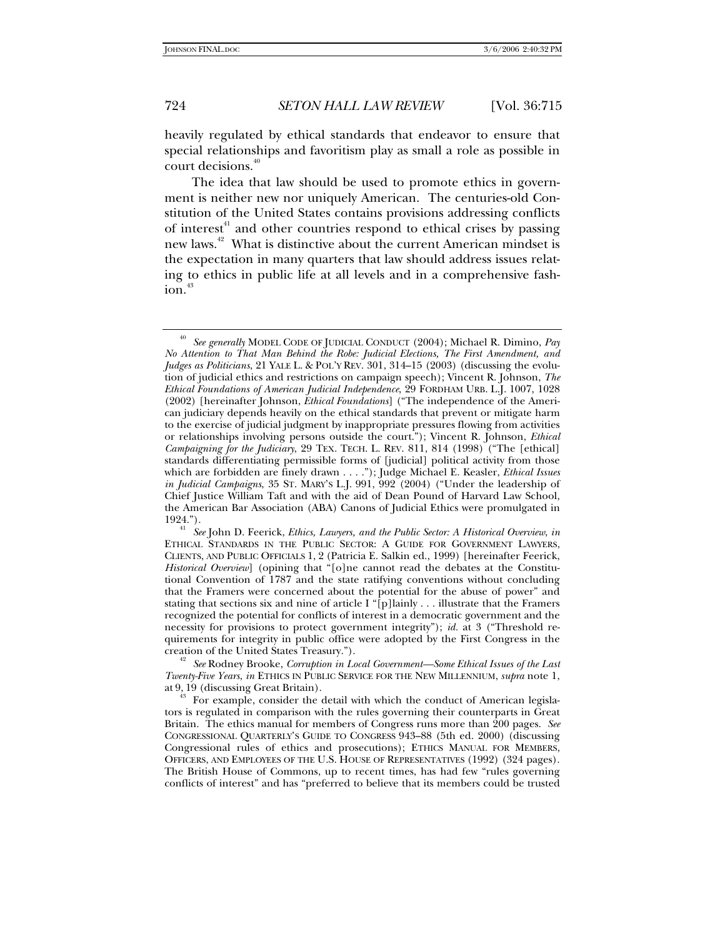heavily regulated by ethical standards that endeavor to ensure that special relationships and favoritism play as small a role as possible in court decisions.<sup>40</sup>

The idea that law should be used to promote ethics in government is neither new nor uniquely American. The centuries-old Constitution of the United States contains provisions addressing conflicts of interest $A$ <sup>1</sup> and other countries respond to ethical crises by passing new laws.<sup>42</sup> What is distinctive about the current American mindset is the expectation in many quarters that law should address issues relating to ethics in public life at all levels and in a comprehensive fashion.<sup>43</sup>

<sup>40</sup> *See generally* MODEL CODE OF JUDICIAL CONDUCT (2004); Michael R. Dimino, *Pay No Attention to That Man Behind the Robe: Judicial Elections, The First Amendment, and Judges as Politicians*, 21 YALE L. & POL'Y REV. 301, 314–15 (2003) (discussing the evolution of judicial ethics and restrictions on campaign speech); Vincent R. Johnson, *The Ethical Foundations of American Judicial Independence*, 29 FORDHAM URB. L.J. 1007, 1028 (2002) [hereinafter Johnson, *Ethical Foundations*] ("The independence of the American judiciary depends heavily on the ethical standards that prevent or mitigate harm to the exercise of judicial judgment by inappropriate pressures flowing from activities or relationships involving persons outside the court."); Vincent R. Johnson, *Ethical Campaigning for the Judiciary*, 29 TEX. TECH. L. REV. 811, 814 (1998) ("The [ethical] standards differentiating permissible forms of [judicial] political activity from those which are forbidden are finely drawn . . . ."); Judge Michael E. Keasler, *Ethical Issues in Judicial Campaigns*, 35 ST. MARY'S L.J. 991, 992 (2004) ("Under the leadership of Chief Justice William Taft and with the aid of Dean Pound of Harvard Law School, the American Bar Association (ABA) Canons of Judicial Ethics were promulgated in

<sup>1924.&</sup>quot;). 41 *See* John D. Feerick, *Ethics, Lawyers, and the Public Sector: A Historical Overview*, *in*  ETHICAL STANDARDS IN THE PUBLIC SECTOR: A GUIDE FOR GOVERNMENT LAWYERS, CLIENTS, AND PUBLIC OFFICIALS 1, 2 (Patricia E. Salkin ed., 1999) [hereinafter Feerick, *Historical Overview*] (opining that "[o]ne cannot read the debates at the Constitutional Convention of 1787 and the state ratifying conventions without concluding that the Framers were concerned about the potential for the abuse of power" and stating that sections six and nine of article I "[p]lainly . . . illustrate that the Framers recognized the potential for conflicts of interest in a democratic government and the necessity for provisions to protect government integrity"); *id.* at 3 ("Threshold requirements for integrity in public office were adopted by the First Congress in the creation of the United States Treasury.").

creation of the United States Treasury."). 42 *See* Rodney Brooke, *Corruption in Local Government—Some Ethical Issues of the Last Twenty-Five Years*, *in* ETHICS IN PUBLIC SERVICE FOR THE NEW MILLENNIUM, *supra* note 1, at 9, 19 (discussing Great Britain).

<sup>&</sup>lt;sup>43</sup> For example, consider the detail with which the conduct of American legislators is regulated in comparison with the rules governing their counterparts in Great Britain. The ethics manual for members of Congress runs more than 200 pages. *See*  CONGRESSIONAL QUARTERLY'S GUIDE TO CONGRESS 943–88 (5th ed. 2000) (discussing Congressional rules of ethics and prosecutions); ETHICS MANUAL FOR MEMBERS, OFFICERS, AND EMPLOYEES OF THE U.S. HOUSE OF REPRESENTATIVES (1992) (324 pages). The British House of Commons, up to recent times, has had few "rules governing conflicts of interest" and has "preferred to believe that its members could be trusted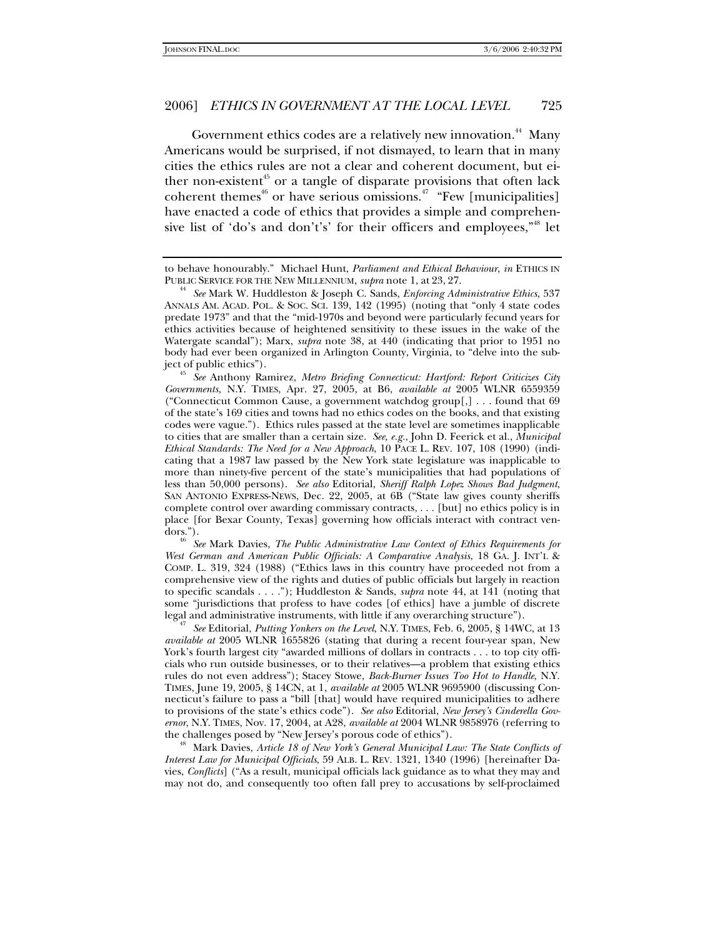Government ethics codes are a relatively new innovation.<sup>44</sup> Many Americans would be surprised, if not dismayed, to learn that in many cities the ethics rules are not a clear and coherent document, but either non-existent<sup>45</sup> or a tangle of disparate provisions that often lack coherent themes<sup>46</sup> or have serious omissions.<sup>47</sup> "Few [municipalities] have enacted a code of ethics that provides a simple and comprehensive list of 'do's and don't's' for their officers and employees," let

dors.").<br><sup>46</sup> See Mark Davies, *The Public Administrative Law Context of Ethics Requirements for West German and American Public Officials: A Comparative Analysis*, 18 GA. J. INT'L & COMP. L. 319, 324 (1988) ("Ethics laws in this country have proceeded not from a comprehensive view of the rights and duties of public officials but largely in reaction to specific scandals . . . ."); Huddleston & Sands, *supra* note 44, at 141 (noting that some "jurisdictions that profess to have codes [of ethics] have a jumble of discrete legal and administrative instruments, with little if any overarching structure"). 47 *See* Editorial, *Putting Yonkers on the Level*, N.Y. TIMES, Feb. 6, 2005, § 14WC, at 13

*available at* 2005 WLNR 1655826 (stating that during a recent four-year span, New York's fourth largest city "awarded millions of dollars in contracts . . . to top city officials who run outside businesses, or to their relatives—a problem that existing ethics rules do not even address"); Stacey Stowe, *Back-Burner Issues Too Hot to Handle*, N.Y. TIMES, June 19, 2005, § 14CN, at 1, *available at* 2005 WLNR 9695900 (discussing Connecticut's failure to pass a "bill [that] would have required municipalities to adhere to provisions of the state's ethics code"). *See also* Editorial, *New Jersey's Cinderella Governor*, N.Y. TIMES, Nov. 17, 2004, at A28, *available at* 2004 WLNR 9858976 (referring to

Mark Davies, Article 18 of New York's General Municipal Law: The State Conflicts of *Interest Law for Municipal Officials*, 59 ALB. L. REV. 1321, 1340 (1996) [hereinafter Davies, *Conflicts*] ("As a result, municipal officials lack guidance as to what they may and may not do, and consequently too often fall prey to accusations by self-proclaimed

to behave honourably." Michael Hunt, *Parliament and Ethical Behaviour*, *in* ETHICS IN

<sup>&</sup>lt;sup>44</sup> See Mark W. Huddleston & Joseph C. Sands, *Enforcing Administrative Ethics*, 537 ANNALS AM. ACAD. POL. & SOC. SCI. 139, 142 (1995) (noting that "only 4 state codes predate 1973" and that the "mid-1970s and beyond were particularly fecund years for ethics activities because of heightened sensitivity to these issues in the wake of the Watergate scandal"); Marx, *supra* note 38, at 440 (indicating that prior to 1951 no body had ever been organized in Arlington County, Virginia, to "delve into the sub-

ject of public ethics"). 45 *See* Anthony Ramirez, *Metro Briefing Connecticut: Hartford: Report Criticizes City Governments*, N.Y. TIMES, Apr. 27, 2005, at B6, *available at* 2005 WLNR 6559359 ("Connecticut Common Cause, a government watchdog group[,] . . . found that 69 of the state's 169 cities and towns had no ethics codes on the books, and that existing codes were vague."). Ethics rules passed at the state level are sometimes inapplicable to cities that are smaller than a certain size. *See, e.g.*, John D. Feerick et al., *Municipal Ethical Standards: The Need for a New Approach*, 10 PACE L. REV. 107, 108 (1990) (indicating that a 1987 law passed by the New York state legislature was inapplicable to more than ninety-five percent of the state's municipalities that had populations of less than 50,000 persons). *See also* Editorial, *Sheriff Ralph Lopez Shows Bad Judgment*, SAN ANTONIO EXPRESS-NEWS, Dec. 22, 2005, at 6B ("State law gives county sheriffs complete control over awarding commissary contracts, . . . [but] no ethics policy is in place [for Bexar County, Texas] governing how officials interact with contract ven-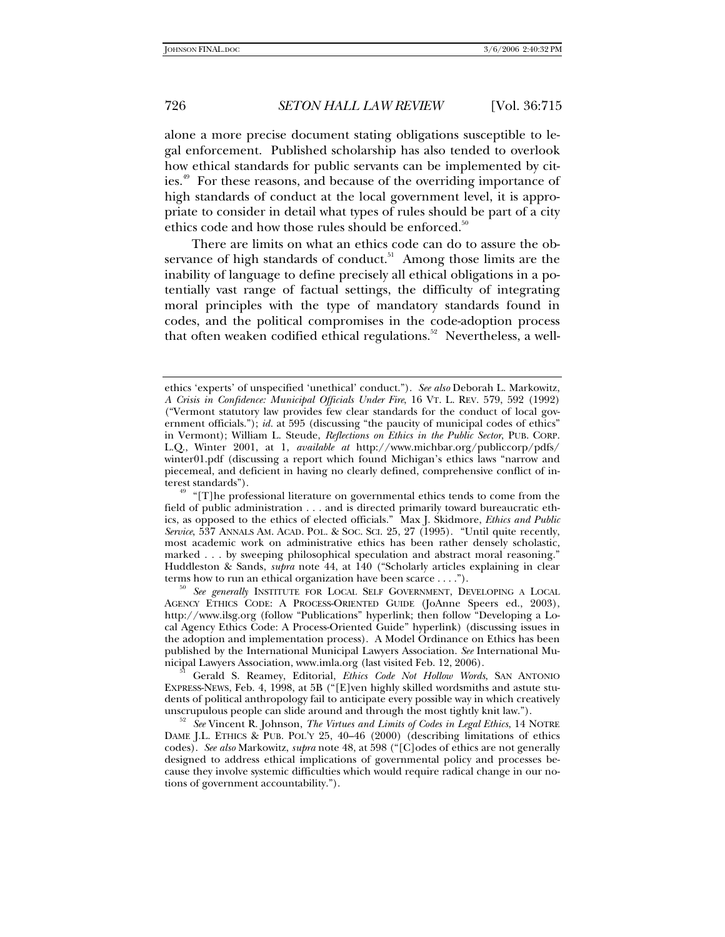alone a more precise document stating obligations susceptible to legal enforcement. Published scholarship has also tended to overlook how ethical standards for public servants can be implemented by cities.<sup>49</sup> For these reasons, and because of the overriding importance of high standards of conduct at the local government level, it is appropriate to consider in detail what types of rules should be part of a city ethics code and how those rules should be enforced.<sup>50</sup>

There are limits on what an ethics code can do to assure the observance of high standards of conduct.<sup>51</sup> Among those limits are the inability of language to define precisely all ethical obligations in a potentially vast range of factual settings, the difficulty of integrating moral principles with the type of mandatory standards found in codes, and the political compromises in the code-adoption process that often weaken codified ethical regulations.<sup>52</sup> Nevertheless, a well-

See generally INSTITUTE FOR LOCAL SELF GOVERNMENT, DEVELOPING A LOCAL AGENCY ETHICS CODE: A PROCESS-ORIENTED GUIDE (JoAnne Speers ed., 2003), http://www.ilsg.org (follow "Publications" hyperlink; then follow "Developing a Local Agency Ethics Code: A Process-Oriented Guide" hyperlink) (discussing issues in the adoption and implementation process). A Model Ordinance on Ethics has been published by the International Municipal Lawyers Association. *See* International Municipal Lawyers Association, www.imla.org (last visited Feb. 12, 2006). 51 Gerald S. Reamey, Editorial, *Ethics Code Not Hollow Words*, SAN ANTONIO

EXPRESS-NEWS, Feb. 4, 1998, at 5B ("[E]ven highly skilled wordsmiths and astute students of political anthropology fail to anticipate every possible way in which creatively unscrupulous people can slide around and through the most tightly knit law."). <sup>52</sup> *See* Vincent R. Johnson, *The Virtues and Limits of Codes in Legal Ethics*, 14 NOTRE

DAME J.L. ETHICS & PUB. POL'Y 25, 40–46 (2000) (describing limitations of ethics codes). *See also* Markowitz, *supra* note 48, at 598 ("[C]odes of ethics are not generally designed to address ethical implications of governmental policy and processes because they involve systemic difficulties which would require radical change in our notions of government accountability.").

ethics 'experts' of unspecified 'unethical' conduct."). *See also* Deborah L. Markowitz, *A Crisis in Confidence: Municipal Officials Under Fire*, 16 VT. L. REV. 579, 592 (1992) ("Vermont statutory law provides few clear standards for the conduct of local government officials."); *id.* at 595 (discussing "the paucity of municipal codes of ethics" in Vermont); William L. Steude, *Reflections on Ethics in the Public Sector*, PUB. CORP. L.Q., Winter 2001, at 1, *available at* http://www.michbar.org/publiccorp/pdfs/ winter01.pdf (discussing a report which found Michigan's ethics laws "narrow and piecemeal, and deficient in having no clearly defined, comprehensive conflict of in-

terest standards").<br> $^{49}$  "[T]he professional literature on governmental ethics tends to come from the field of public administration . . . and is directed primarily toward bureaucratic ethics, as opposed to the ethics of elected officials." Max J. Skidmore, *Ethics and Public Service*, 537 ANNALS AM. ACAD. POL. & SOC. SCI. 25, 27 (1995). "Until quite recently, most academic work on administrative ethics has been rather densely scholastic, marked . . . by sweeping philosophical speculation and abstract moral reasoning." Huddleston & Sands, *supra* note 44, at 140 ("Scholarly articles explaining in clear terms how to run an ethical organization have been scarce ....").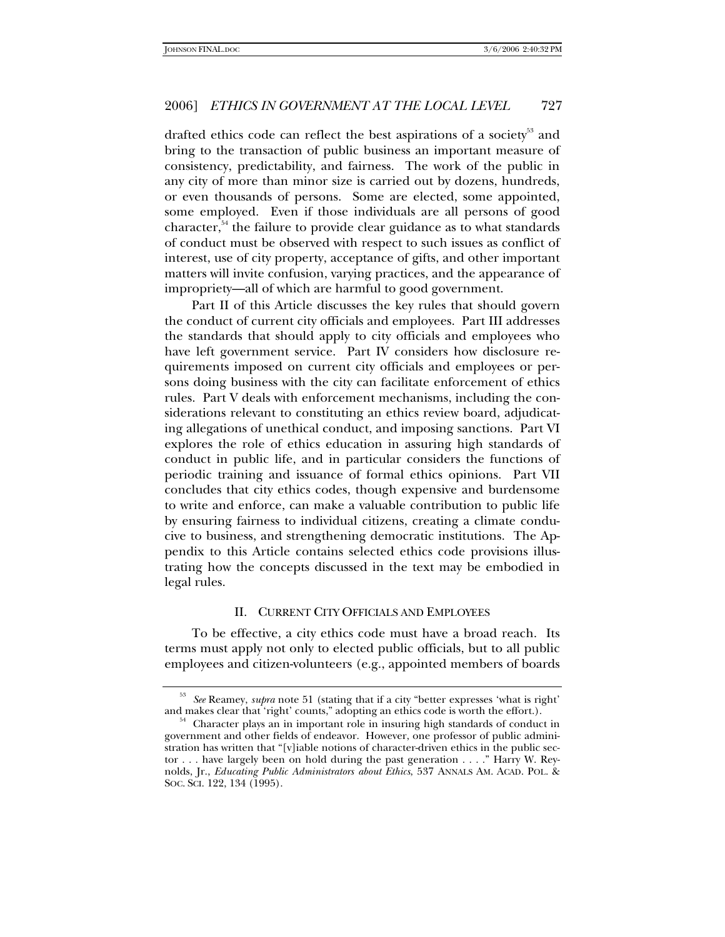drafted ethics code can reflect the best aspirations of a society<sup>53</sup> and bring to the transaction of public business an important measure of consistency, predictability, and fairness. The work of the public in any city of more than minor size is carried out by dozens, hundreds, or even thousands of persons. Some are elected, some appointed, some employed. Even if those individuals are all persons of good character, $54$ <sup>the failure to provide clear guidance as to what standards</sup> of conduct must be observed with respect to such issues as conflict of interest, use of city property, acceptance of gifts, and other important matters will invite confusion, varying practices, and the appearance of impropriety—all of which are harmful to good government.

Part II of this Article discusses the key rules that should govern the conduct of current city officials and employees. Part III addresses the standards that should apply to city officials and employees who have left government service. Part IV considers how disclosure requirements imposed on current city officials and employees or persons doing business with the city can facilitate enforcement of ethics rules. Part V deals with enforcement mechanisms, including the considerations relevant to constituting an ethics review board, adjudicating allegations of unethical conduct, and imposing sanctions. Part VI explores the role of ethics education in assuring high standards of conduct in public life, and in particular considers the functions of periodic training and issuance of formal ethics opinions. Part VII concludes that city ethics codes, though expensive and burdensome to write and enforce, can make a valuable contribution to public life by ensuring fairness to individual citizens, creating a climate conducive to business, and strengthening democratic institutions. The Appendix to this Article contains selected ethics code provisions illustrating how the concepts discussed in the text may be embodied in legal rules.

### II. CURRENT CITY OFFICIALS AND EMPLOYEES

To be effective, a city ethics code must have a broad reach. Its terms must apply not only to elected public officials, but to all public employees and citizen-volunteers (e.g., appointed members of boards

<sup>&</sup>lt;sup>53</sup> See Reamey, *supra* note 51 (stating that if a city "better expresses 'what is right' and makes clear that 'right' counts," adopting an ethics code is worth the effort.).

Character plays an in important role in insuring high standards of conduct in government and other fields of endeavor. However, one professor of public administration has written that "[v]iable notions of character-driven ethics in the public sector . . . have largely been on hold during the past generation . . . ." Harry W. Reynolds, Jr., *Educating Public Administrators about Ethics*, 537 ANNALS AM. ACAD. POL. & SOC. SCI. 122, 134 (1995).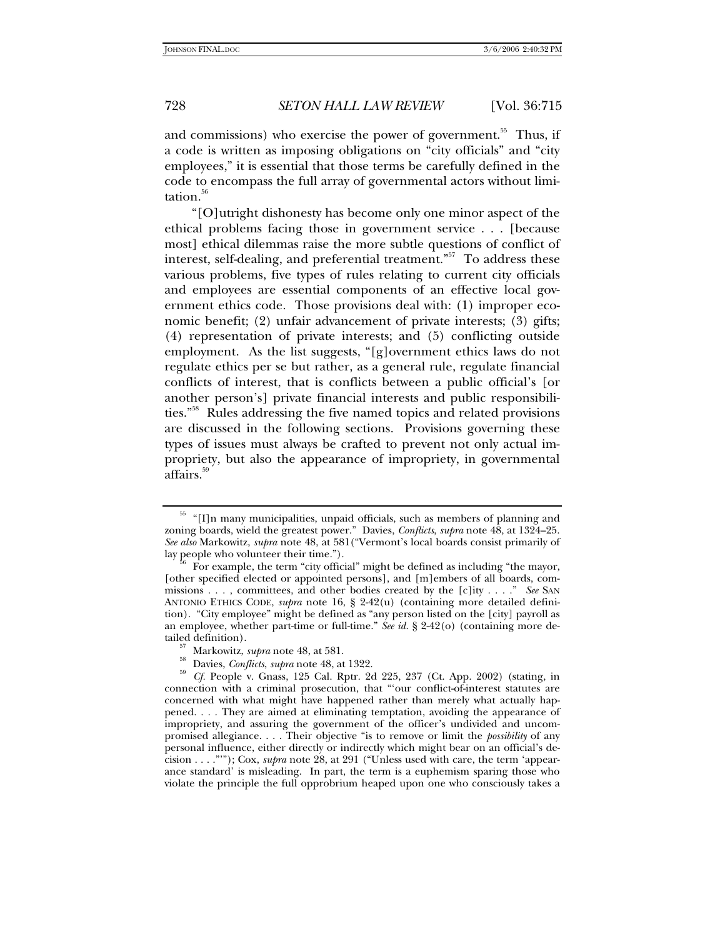and commissions) who exercise the power of government.<sup>55</sup> Thus, if a code is written as imposing obligations on "city officials" and "city employees," it is essential that those terms be carefully defined in the code to encompass the full array of governmental actors without limitation.<sup>56</sup>

"[O]utright dishonesty has become only one minor aspect of the ethical problems facing those in government service . . . [because most] ethical dilemmas raise the more subtle questions of conflict of interest, self-dealing, and preferential treatment."<sup>57</sup> To address these various problems, five types of rules relating to current city officials and employees are essential components of an effective local government ethics code. Those provisions deal with: (1) improper economic benefit; (2) unfair advancement of private interests; (3) gifts; (4) representation of private interests; and (5) conflicting outside employment. As the list suggests, "[g]overnment ethics laws do not regulate ethics per se but rather, as a general rule, regulate financial conflicts of interest, that is conflicts between a public official's [or another person's] private financial interests and public responsibilities."58 Rules addressing the five named topics and related provisions are discussed in the following sections. Provisions governing these types of issues must always be crafted to prevent not only actual impropriety, but also the appearance of impropriety, in governmental affairs.<sup>59</sup>

<sup>&</sup>lt;sup>55</sup> "[I]n many municipalities, unpaid officials, such as members of planning and zoning boards, wield the greatest power." Davies, *Conflicts*, *supra* note 48, at 1324–25. *See also* Markowitz, *supra* note 48, at 581("Vermont's local boards consist primarily of

For example, the term "city official" might be defined as including "the mayor, [other specified elected or appointed persons], and [m]embers of all boards, commissions . . . , committees, and other bodies created by the [c]ity . . . ." *See* SAN ANTONIO ETHICS CODE, *supra* note 16, § 2-42(u) (containing more detailed definition). "City employee" might be defined as "any person listed on the [city] payroll as an employee, whether part-time or full-time." *See id.* § 2-42(o) (containing more detailed definition).<br><sup>57</sup> Markowitz, *supra* note 48, at 581.<br><sup>58</sup> Davies, *Conflicts*, *supra* note 48, at 1322.<br><sup>59</sup> Cf. People v. Gnass, 125 Cal. Rptr. 2d 225, 237 (Ct. App. 2002) (stating, in

connection with a criminal prosecution, that "'our conflict-of-interest statutes are concerned with what might have happened rather than merely what actually happened. . . . They are aimed at eliminating temptation, avoiding the appearance of impropriety, and assuring the government of the officer's undivided and uncompromised allegiance. . . . Their objective "is to remove or limit the *possibility* of any personal influence, either directly or indirectly which might bear on an official's decision . . . ."'"); Cox, *supra* note 28, at 291 ("Unless used with care, the term 'appearance standard' is misleading. In part, the term is a euphemism sparing those who violate the principle the full opprobrium heaped upon one who consciously takes a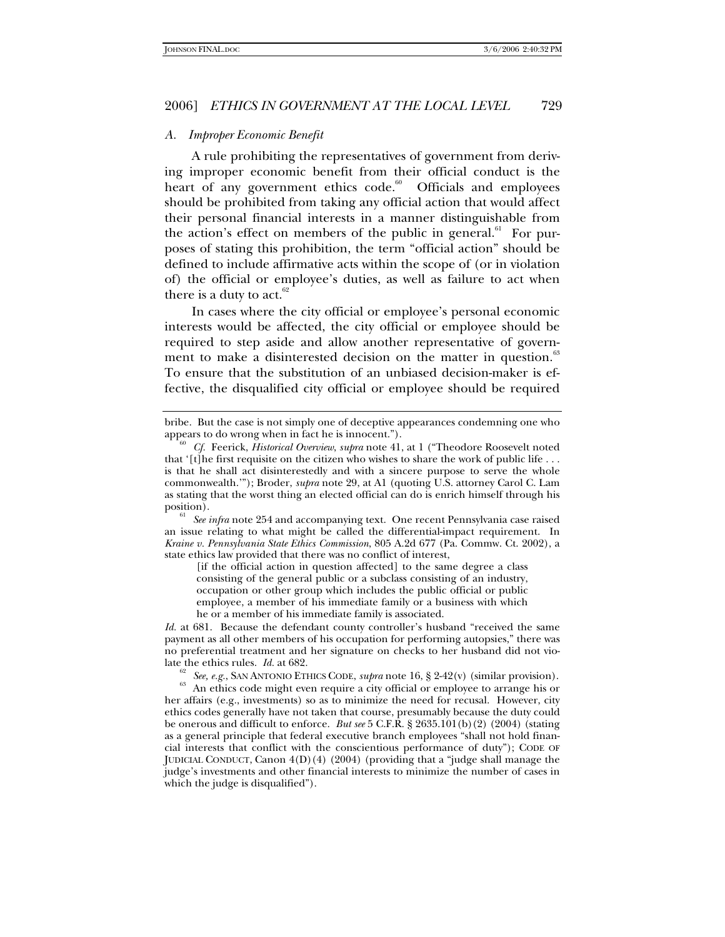#### *A. Improper Economic Benefit*

A rule prohibiting the representatives of government from deriving improper economic benefit from their official conduct is the heart of any government ethics code.<sup>60</sup> Officials and employees should be prohibited from taking any official action that would affect their personal financial interests in a manner distinguishable from the action's effect on members of the public in general. $61$  For purposes of stating this prohibition, the term "official action" should be defined to include affirmative acts within the scope of (or in violation of) the official or employee's duties, as well as failure to act when there is a duty to act. $\degree$ 

In cases where the city official or employee's personal economic interests would be affected, the city official or employee should be required to step aside and allow another representative of government to make a disinterested decision on the matter in question.<sup>63</sup> To ensure that the substitution of an unbiased decision-maker is effective, the disqualified city official or employee should be required

position). 61 *See infra* note 254 and accompanying text. One recent Pennsylvania case raised an issue relating to what might be called the differential-impact requirement. In *Kraine v. Pennsylvania State Ethics Commission*, 805 A.2d 677 (Pa. Commw. Ct. 2002), a state ethics law provided that there was no conflict of interest,

[if the official action in question affected] to the same degree a class consisting of the general public or a subclass consisting of an industry, occupation or other group which includes the public official or public employee, a member of his immediate family or a business with which he or a member of his immediate family is associated.

*Id.* at 681. Because the defendant county controller's husband "received the same payment as all other members of his occupation for performing autopsies," there was no preferential treatment and her signature on checks to her husband did not vio-<br>late the ethics rules.  $Id.$  at  $682.$ 

<sup>62</sup> *See, e.g.*, SAN ANTONIO ETHICS CODE, *supra* note 16, § 2-42(v) (similar provision). An ethics code might even require a city official or employee to arrange his or her affairs (e.g., investments) so as to minimize the need for recusal. However, city ethics codes generally have not taken that course, presumably because the duty could be onerous and difficult to enforce. *But see* 5 C.F.R. § 2635.101(b)(2) (2004) (stating as a general principle that federal executive branch employees "shall not hold financial interests that conflict with the conscientious performance of duty"); CODE OF JUDICIAL CONDUCT, Canon 4(D)(4) (2004) (providing that a "judge shall manage the judge's investments and other financial interests to minimize the number of cases in which the judge is disqualified").

bribe. But the case is not simply one of deceptive appearances condemning one who appears to do wrong when in fact he is innocent.").

Cf. Feerick, *Historical Overview*, *supra* note 41, at 1 ("Theodore Roosevelt noted that '[t]he first requisite on the citizen who wishes to share the work of public life  $\dots$ is that he shall act disinterestedly and with a sincere purpose to serve the whole commonwealth.'"); Broder, *supra* note 29, at A1 (quoting U.S. attorney Carol C. Lam as stating that the worst thing an elected official can do is enrich himself through his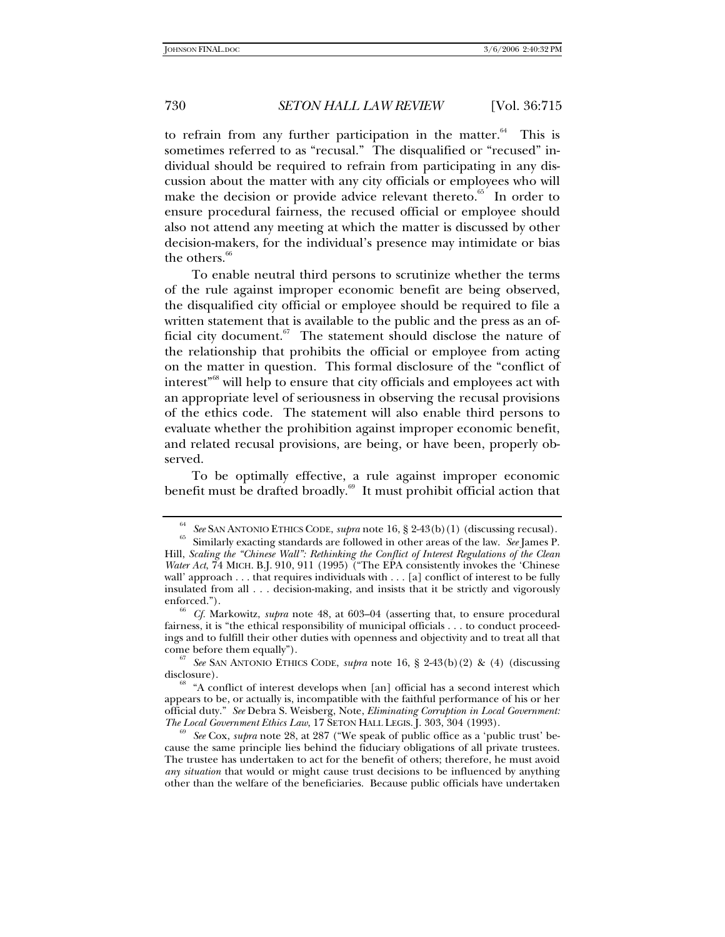to refrain from any further participation in the matter. $64$  This is sometimes referred to as "recusal." The disqualified or "recused" individual should be required to refrain from participating in any discussion about the matter with any city officials or employees who will make the decision or provide advice relevant thereto. $65$  In order to ensure procedural fairness, the recused official or employee should also not attend any meeting at which the matter is discussed by other decision-makers, for the individual's presence may intimidate or bias the others.<sup>66</sup>

To enable neutral third persons to scrutinize whether the terms of the rule against improper economic benefit are being observed, the disqualified city official or employee should be required to file a written statement that is available to the public and the press as an official city document. $67$  The statement should disclose the nature of the relationship that prohibits the official or employee from acting on the matter in question. This formal disclosure of the "conflict of interest<sup>"68</sup> will help to ensure that city officials and employees act with an appropriate level of seriousness in observing the recusal provisions of the ethics code. The statement will also enable third persons to evaluate whether the prohibition against improper economic benefit, and related recusal provisions, are being, or have been, properly observed.

To be optimally effective, a rule against improper economic benefit must be drafted broadly.<sup>69</sup> It must prohibit official action that

<sup>&</sup>lt;sup>64</sup> See SAN ANTONIO ETHICS CODE, *supra* note 16, § 2-43(b)(1) (discussing recusal).<br><sup>65</sup> Similarly exacting standards are followed in other areas of the law. *See* James P.

Hill, *Scaling the "Chinese Wall": Rethinking the Conflict of Interest Regulations of the Clean Water Act*, 74 MICH. B.J. 910, 911 (1995) ("The EPA consistently invokes the 'Chinese wall' approach . . . that requires individuals with . . . [a] conflict of interest to be fully insulated from all . . . decision-making, and insists that it be strictly and vigorously

enforced."). <sup>66</sup> *Cf.* Markowitz, *supra* note 48, at 603–04 (asserting that, to ensure procedural fairness, it is "the ethical responsibility of municipal officials . . . to conduct proceedings and to fulfill their other duties with openness and objectivity and to treat all that

<sup>&</sup>lt;sup>67</sup> See SAN ANTONIO ETHICS CODE, *supra* note 16, § 2-43(b)(2) & (4) (discussing disclosure).

<sup>&</sup>lt;sup>8</sup> "A conflict of interest develops when [an] official has a second interest which appears to be, or actually is, incompatible with the faithful performance of his or her official duty." *See* Debra S. Weisberg, Note, *Eliminating Corruption in Local Government: The Local Government Ethics Law*, 17 SETON HALL LEGIS. J. 303, 304 (1993).<br><sup>69</sup> See Cox, *supra* note 28, at 287 ("We speak of public office as a 'public trust' be-

cause the same principle lies behind the fiduciary obligations of all private trustees. The trustee has undertaken to act for the benefit of others; therefore, he must avoid *any situation* that would or might cause trust decisions to be influenced by anything other than the welfare of the beneficiaries. Because public officials have undertaken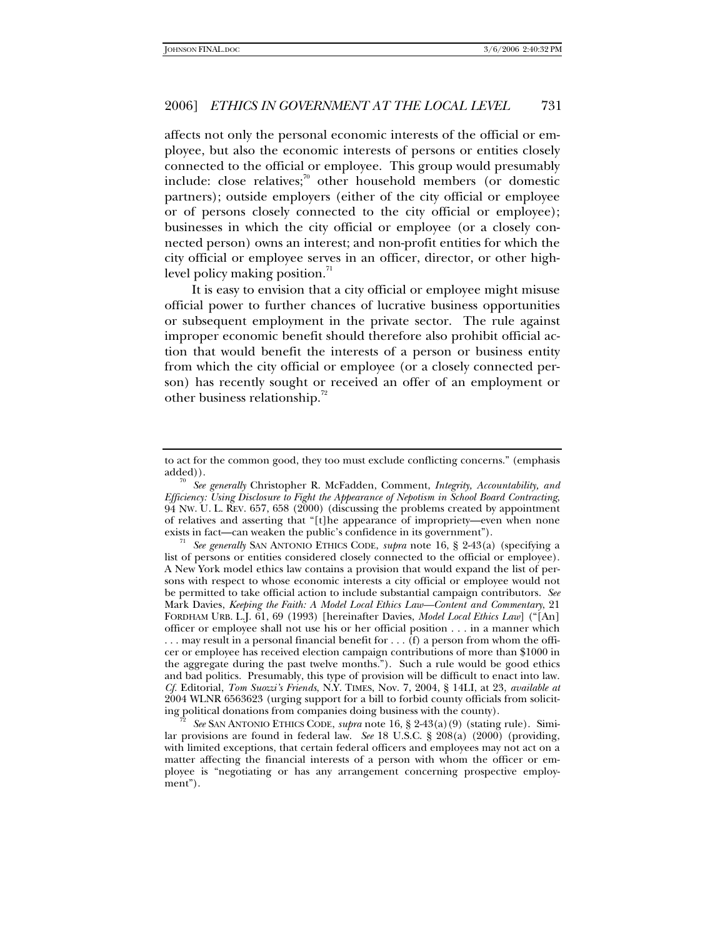affects not only the personal economic interests of the official or employee, but also the economic interests of persons or entities closely connected to the official or employee. This group would presumably include: close relatives; $\bar{a}$  other household members (or domestic partners); outside employers (either of the city official or employee or of persons closely connected to the city official or employee); businesses in which the city official or employee (or a closely connected person) owns an interest; and non-profit entities for which the city official or employee serves in an officer, director, or other highlevel policy making position. $71$ 

It is easy to envision that a city official or employee might misuse official power to further chances of lucrative business opportunities or subsequent employment in the private sector. The rule against improper economic benefit should therefore also prohibit official action that would benefit the interests of a person or business entity from which the city official or employee (or a closely connected person) has recently sought or received an offer of an employment or other business relationship.<sup>72</sup>

to act for the common good, they too must exclude conflicting concerns." (emphasis added)). <sup>70</sup> *See generally* Christopher R. McFadden, Comment, *Integrity, Accountability, and* 

*Efficiency: Using Disclosure to Fight the Appearance of Nepotism in School Board Contracting*, 94 NW. U. L. REV. 657, 658 (2000) (discussing the problems created by appointment of relatives and asserting that "[t]he appearance of impropriety—even when none

exists in fact—can weaken the public's confidence in its government"). <sup>71</sup> *See generally* SAN ANTONIO ETHICS CODE, *supra* note 16, § 2-43(a) (specifying a list of persons or entities considered closely connected to the official or employee). A New York model ethics law contains a provision that would expand the list of persons with respect to whose economic interests a city official or employee would not be permitted to take official action to include substantial campaign contributors. *See*  Mark Davies, *Keeping the Faith: A Model Local Ethics Law—Content and Commentary*, 21 FORDHAM URB. L.J. 61, 69 (1993) [hereinafter Davies, *Model Local Ethics Law*] ("[An] officer or employee shall not use his or her official position . . . in a manner which  $\ldots$  may result in a personal financial benefit for  $\ldots$  (f) a person from whom the officer or employee has received election campaign contributions of more than \$1000 in the aggregate during the past twelve months."). Such a rule would be good ethics and bad politics. Presumably, this type of provision will be difficult to enact into law. *Cf.* Editorial, *Tom Suozzi's Friends*, N.Y. TIMES, Nov. 7, 2004, § 14LI, at 23, *available at*  2004 WLNR 6563623 (urging support for a bill to forbid county officials from soliciting political donations from companies doing business with the county). <sup>72</sup> *See* SAN ANTONIO ETHICS CODE, *supra* note 16, § 2-43(a)(9) (stating rule). Simi-

lar provisions are found in federal law. *See* 18 U.S.C. § 208(a) (2000) (providing, with limited exceptions, that certain federal officers and employees may not act on a matter affecting the financial interests of a person with whom the officer or employee is "negotiating or has any arrangement concerning prospective employment").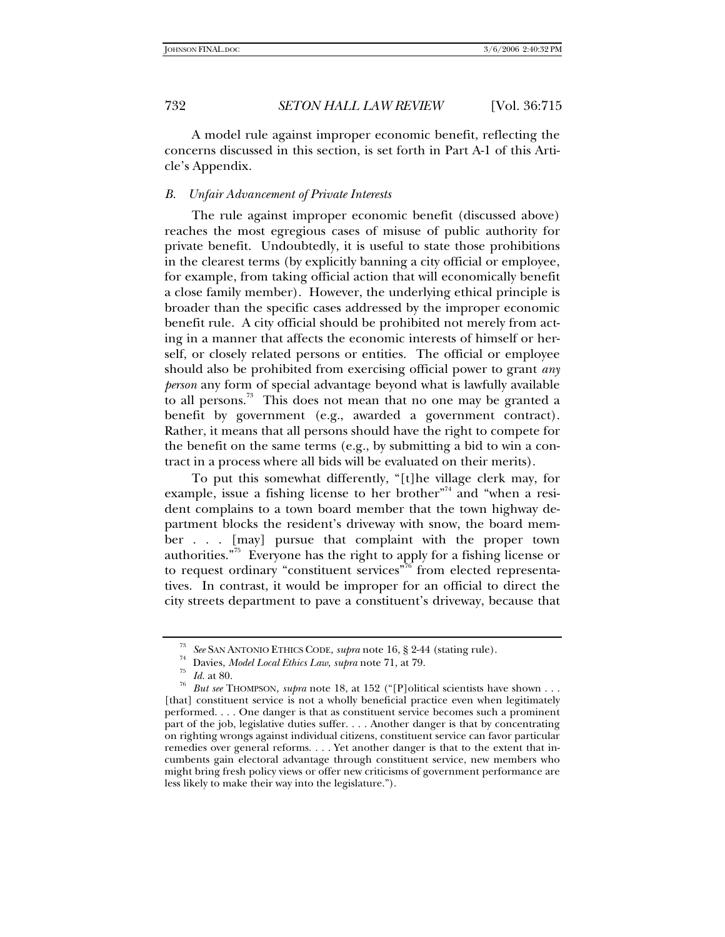A model rule against improper economic benefit, reflecting the concerns discussed in this section, is set forth in Part A-1 of this Article's Appendix.

## *B. Unfair Advancement of Private Interests*

The rule against improper economic benefit (discussed above) reaches the most egregious cases of misuse of public authority for private benefit. Undoubtedly, it is useful to state those prohibitions in the clearest terms (by explicitly banning a city official or employee, for example, from taking official action that will economically benefit a close family member). However, the underlying ethical principle is broader than the specific cases addressed by the improper economic benefit rule. A city official should be prohibited not merely from acting in a manner that affects the economic interests of himself or herself, or closely related persons or entities. The official or employee should also be prohibited from exercising official power to grant *any person* any form of special advantage beyond what is lawfully available to all persons.<sup>73</sup> This does not mean that no one may be granted a benefit by government (e.g., awarded a government contract). Rather, it means that all persons should have the right to compete for the benefit on the same terms (e.g., by submitting a bid to win a contract in a process where all bids will be evaluated on their merits).

To put this somewhat differently, "[t]he village clerk may, for example, issue a fishing license to her brother<sup> $n<sup>74</sup>$ </sup> and "when a resident complains to a town board member that the town highway department blocks the resident's driveway with snow, the board member . . . [may] pursue that complaint with the proper town authorities."75 Everyone has the right to apply for a fishing license or to request ordinary "constituent services"<sup>16</sup> from elected representatives. In contrast, it would be improper for an official to direct the city streets department to pave a constituent's driveway, because that

<sup>&</sup>lt;sup>73</sup> See SAN ANTONIO ETHICS CODE, *supra* note 16, § 2-44 (stating rule).<br><sup>74</sup> Davies, *Model Local Ethics Law, supra* note 71, at 79.<br><sup>75</sup> Id. at 80.<br><sup>76</sup> But see THOMPSON, *supra* note 18, at 152 ("[P]olitical scientist [that] constituent service is not a wholly beneficial practice even when legitimately performed. . . . One danger is that as constituent service becomes such a prominent part of the job, legislative duties suffer. . . . Another danger is that by concentrating on righting wrongs against individual citizens, constituent service can favor particular remedies over general reforms. . . . Yet another danger is that to the extent that incumbents gain electoral advantage through constituent service, new members who might bring fresh policy views or offer new criticisms of government performance are less likely to make their way into the legislature.").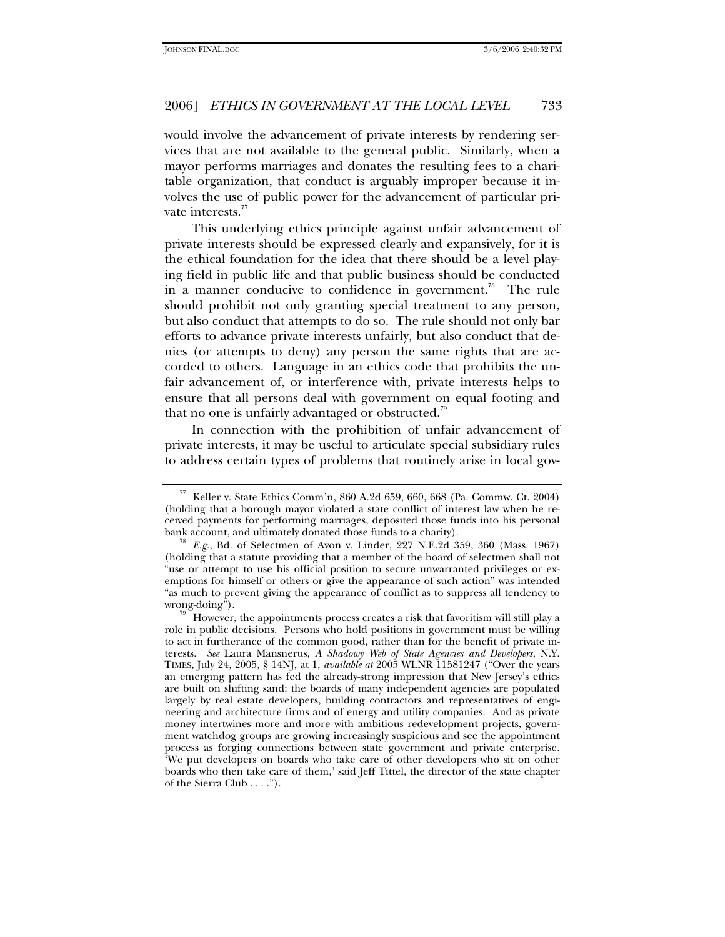would involve the advancement of private interests by rendering services that are not available to the general public. Similarly, when a mayor performs marriages and donates the resulting fees to a charitable organization, that conduct is arguably improper because it involves the use of public power for the advancement of particular private interests. $77$ 

This underlying ethics principle against unfair advancement of private interests should be expressed clearly and expansively, for it is the ethical foundation for the idea that there should be a level playing field in public life and that public business should be conducted in a manner conducive to confidence in government.<sup>78</sup> The rule should prohibit not only granting special treatment to any person, but also conduct that attempts to do so. The rule should not only bar efforts to advance private interests unfairly, but also conduct that denies (or attempts to deny) any person the same rights that are accorded to others. Language in an ethics code that prohibits the unfair advancement of, or interference with, private interests helps to ensure that all persons deal with government on equal footing and that no one is unfairly advantaged or obstructed.<sup>79</sup>

In connection with the prohibition of unfair advancement of private interests, it may be useful to articulate special subsidiary rules to address certain types of problems that routinely arise in local gov-

<sup>77</sup> Keller v. State Ethics Comm'n, 860 A.2d 659, 660, 668 (Pa. Commw. Ct. 2004) (holding that a borough mayor violated a state conflict of interest law when he received payments for performing marriages, deposited those funds into his personal

bank account, and ultimately donated those funds to a charity). <sup>78</sup> *E.g.*, Bd. of Selectmen of Avon v. Linder, 227 N.E.2d 359, 360 (Mass. 1967) (holding that a statute providing that a member of the board of selectmen shall not "use or attempt to use his official position to secure unwarranted privileges or exemptions for himself or others or give the appearance of such action" was intended "as much to prevent giving the appearance of conflict as to suppress all tendency to

wrong-doing").<br><sup>79</sup> However, the appointments process creates a risk that favoritism will still play a role in public decisions. Persons who hold positions in government must be willing to act in furtherance of the common good, rather than for the benefit of private interests. *See* Laura Mansnerus, *A Shadowy Web of State Agencies and Developers*, N.Y. TIMES, July 24, 2005, § 14NJ, at 1, *available at* 2005 WLNR 11581247 ("Over the years an emerging pattern has fed the already-strong impression that New Jersey's ethics are built on shifting sand: the boards of many independent agencies are populated largely by real estate developers, building contractors and representatives of engineering and architecture firms and of energy and utility companies. And as private money intertwines more and more with ambitious redevelopment projects, government watchdog groups are growing increasingly suspicious and see the appointment process as forging connections between state government and private enterprise. 'We put developers on boards who take care of other developers who sit on other boards who then take care of them,' said Jeff Tittel, the director of the state chapter of the Sierra Club . . . .").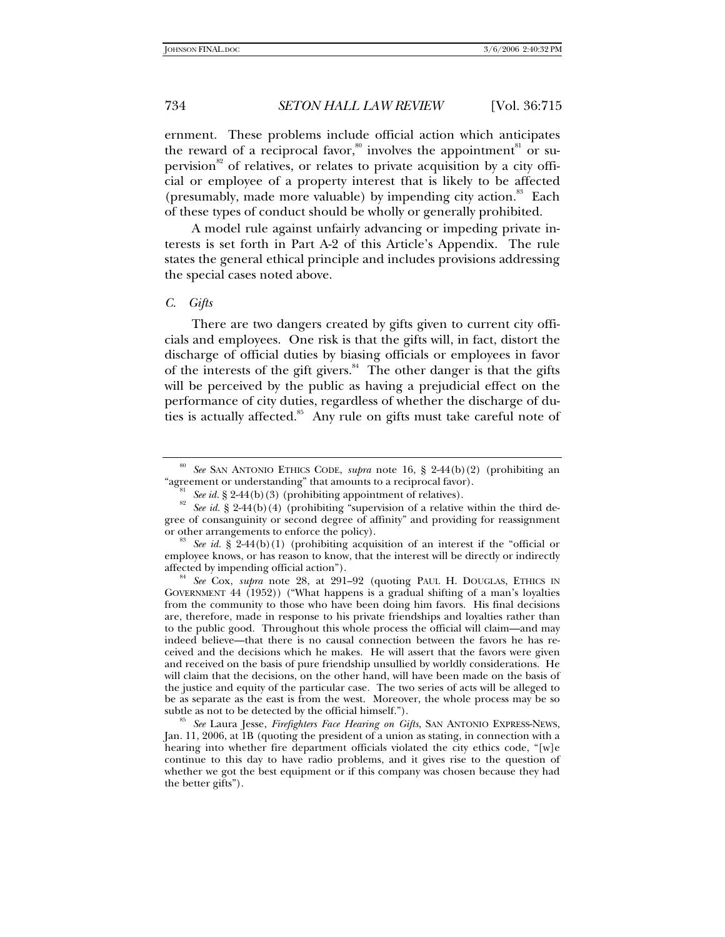ernment. These problems include official action which anticipates the reward of a reciprocal favor, $\frac{80}{3}$  involves the appointment $\frac{81}{3}$  or supervision<sup>82</sup> of relatives, or relates to private acquisition by a city official or employee of a property interest that is likely to be affected (presumably, made more valuable) by impending city action. $88$  Each of these types of conduct should be wholly or generally prohibited.

A model rule against unfairly advancing or impeding private interests is set forth in Part A-2 of this Article's Appendix. The rule states the general ethical principle and includes provisions addressing the special cases noted above.

# *C. Gifts*

There are two dangers created by gifts given to current city officials and employees. One risk is that the gifts will, in fact, distort the discharge of official duties by biasing officials or employees in favor of the interests of the gift givers. $84$  The other danger is that the gifts will be perceived by the public as having a prejudicial effect on the performance of city duties, regardless of whether the discharge of duties is actually affected.<sup>85</sup> Any rule on gifts must take careful note of

<sup>&</sup>lt;sup>80</sup> See SAN ANTONIO ETHICS CODE, *supra* note 16, § 2-44(b)(2) (prohibiting an "agreement or understanding" that amounts to a reciprocal favor).

<sup>&</sup>lt;sup>81</sup> See id. § 2-44(b)(3) (prohibiting appointment of relatives).<br><sup>82</sup> See id. § 2-44(b)(4) (prohibiting "supervision of a relative within the third degree of consanguinity or second degree of affinity" and providing for reassignment or other arrangements to enforce the policy). 83 *See id.* § 2-44(b)(1) (prohibiting acquisition of an interest if the "official or

employee knows, or has reason to know, that the interest will be directly or indirectly affected by impending official action").

<sup>&</sup>lt;sup>84</sup> See Cox, *supra* note 28, at 291–92 (quoting PAUL H. DOUGLAS, ETHICS IN GOVERNMENT 44 (1952)) ("What happens is a gradual shifting of a man's loyalties from the community to those who have been doing him favors. His final decisions are, therefore, made in response to his private friendships and loyalties rather than to the public good. Throughout this whole process the official will claim—and may indeed believe—that there is no causal connection between the favors he has received and the decisions which he makes. He will assert that the favors were given and received on the basis of pure friendship unsullied by worldly considerations. He will claim that the decisions, on the other hand, will have been made on the basis of the justice and equity of the particular case. The two series of acts will be alleged to be as separate as the east is from the west. Moreover, the whole process may be so subtle as not to be detected by the official himself."). <sup>85</sup> *See* Laura Jesse, *Firefighters Face Hearing on Gifts*, SAN ANTONIO EXPRESS-NEWS,

Jan. 11, 2006, at 1B (quoting the president of a union as stating, in connection with a hearing into whether fire department officials violated the city ethics code, "[w]e continue to this day to have radio problems, and it gives rise to the question of whether we got the best equipment or if this company was chosen because they had the better gifts").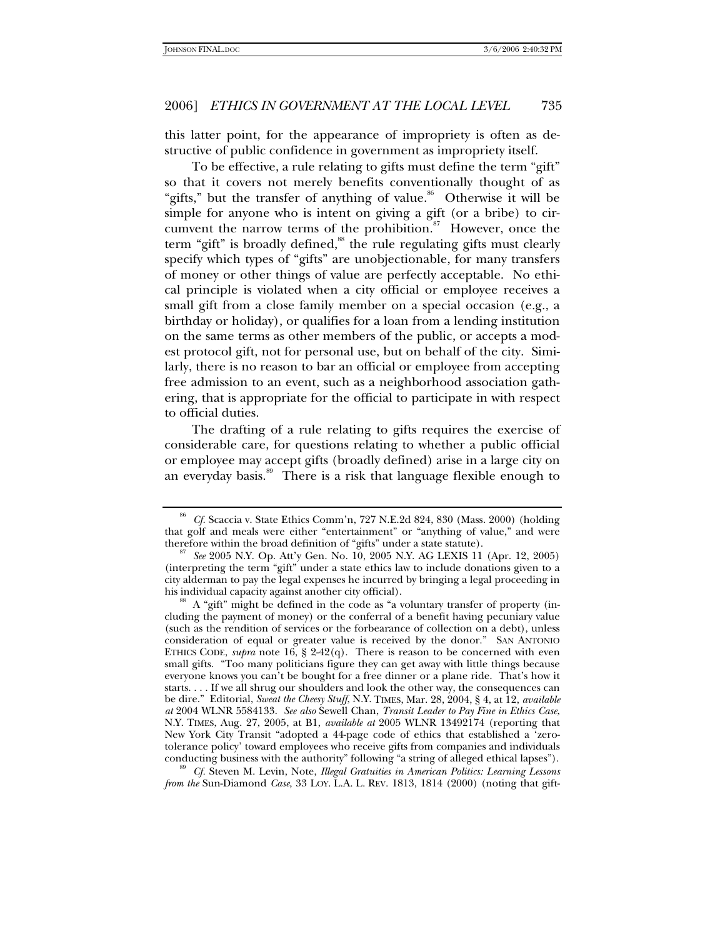this latter point, for the appearance of impropriety is often as destructive of public confidence in government as impropriety itself.

To be effective, a rule relating to gifts must define the term "gift" so that it covers not merely benefits conventionally thought of as "gifts," but the transfer of anything of value.<sup>86</sup> Otherwise it will be simple for anyone who is intent on giving a gift (or a bribe) to circumvent the narrow terms of the prohibition.<sup>87</sup> However, once the term "gift" is broadly defined, $\frac{88}{3}$  the rule regulating gifts must clearly specify which types of "gifts" are unobjectionable, for many transfers of money or other things of value are perfectly acceptable. No ethical principle is violated when a city official or employee receives a small gift from a close family member on a special occasion (e.g., a birthday or holiday), or qualifies for a loan from a lending institution on the same terms as other members of the public, or accepts a modest protocol gift, not for personal use, but on behalf of the city. Similarly, there is no reason to bar an official or employee from accepting free admission to an event, such as a neighborhood association gathering, that is appropriate for the official to participate in with respect to official duties.

The drafting of a rule relating to gifts requires the exercise of considerable care, for questions relating to whether a public official or employee may accept gifts (broadly defined) arise in a large city on an everyday basis.<sup>89</sup> There is a risk that language flexible enough to

*from the* Sun-Diamond *Case*, 33 LOY. L.A. L. REV. 1813, 1814 (2000) (noting that gift-

<sup>86</sup> *Cf.* Scaccia v. State Ethics Comm'n, 727 N.E.2d 824, 830 (Mass. 2000) (holding that golf and meals were either "entertainment" or "anything of value," and were therefore within the broad definition of "gifts" under a state statute).

 $^\mathrm{s7}$  See 2005 N.Y. Op. Att'y Gen. No. 10, 2005 N.Y. AG LEXIS 11 (Apr. 12, 2005) (interpreting the term "gift" under a state ethics law to include donations given to a city alderman to pay the legal expenses he incurred by bringing a legal proceeding in his individual capacity against another city official).<br><sup>88</sup> A "gift" might be defined in the code as "a voluntary transfer of property (in-

cluding the payment of money) or the conferral of a benefit having pecuniary value (such as the rendition of services or the forbearance of collection on a debt), unless consideration of equal or greater value is received by the donor." SAN ANTONIO ETHICS CODE, *supra* note 16, § 2-42(q). There is reason to be concerned with even small gifts. "Too many politicians figure they can get away with little things because everyone knows you can't be bought for a free dinner or a plane ride. That's how it starts. . . . If we all shrug our shoulders and look the other way, the consequences can be dire." Editorial, *Sweat the Cheesy Stuff*, N.Y. TIMES, Mar. 28, 2004, § 4, at 12, *available at* 2004 WLNR 5584133. *See also* Sewell Chan, *Transit Leader to Pay Fine in Ethics Case*, N.Y. TIMES, Aug. 27, 2005, at B1, *available at* 2005 WLNR 13492174 (reporting that New York City Transit "adopted a 44-page code of ethics that established a 'zerotolerance policy' toward employees who receive gifts from companies and individuals conducting business with the authority" following "a string of alleged ethical lapses"). <sup>89</sup> *Cf.* Steven M. Levin, Note, *Illegal Gratuities in American Politics: Learning Lessons*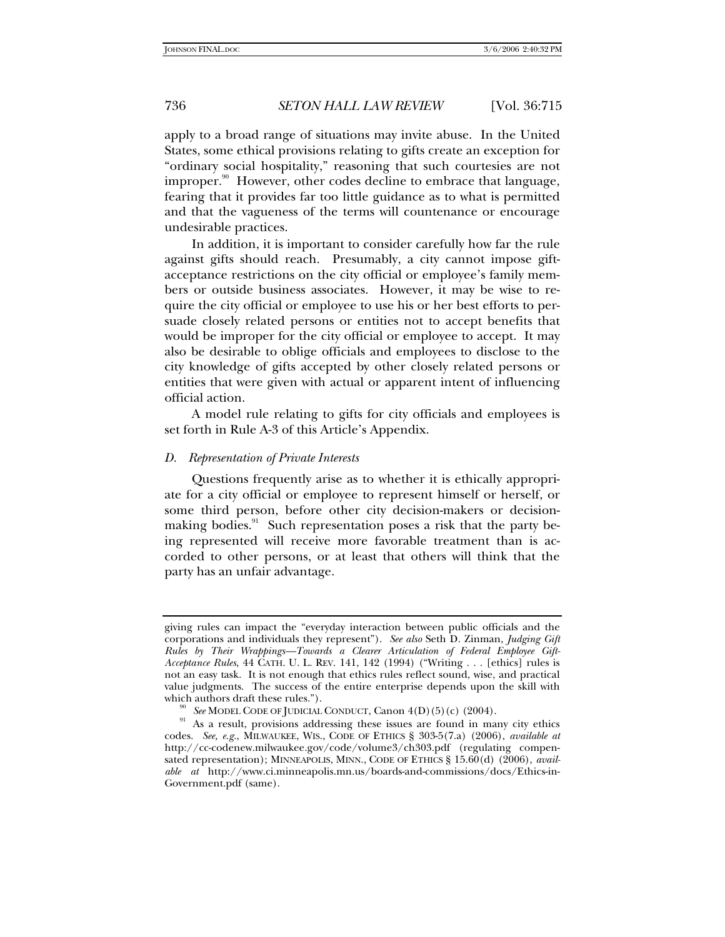apply to a broad range of situations may invite abuse. In the United States, some ethical provisions relating to gifts create an exception for "ordinary social hospitality," reasoning that such courtesies are not improper.<sup>90</sup> However, other codes decline to embrace that language, fearing that it provides far too little guidance as to what is permitted and that the vagueness of the terms will countenance or encourage undesirable practices.

In addition, it is important to consider carefully how far the rule against gifts should reach. Presumably, a city cannot impose giftacceptance restrictions on the city official or employee's family members or outside business associates. However, it may be wise to require the city official or employee to use his or her best efforts to persuade closely related persons or entities not to accept benefits that would be improper for the city official or employee to accept. It may also be desirable to oblige officials and employees to disclose to the city knowledge of gifts accepted by other closely related persons or entities that were given with actual or apparent intent of influencing official action.

A model rule relating to gifts for city officials and employees is set forth in Rule A-3 of this Article's Appendix.

#### *D. Representation of Private Interests*

Questions frequently arise as to whether it is ethically appropriate for a city official or employee to represent himself or herself, or some third person, before other city decision-makers or decisionmaking bodies.<sup>91</sup> Such representation poses a risk that the party being represented will receive more favorable treatment than is accorded to other persons, or at least that others will think that the party has an unfair advantage.

giving rules can impact the "everyday interaction between public officials and the corporations and individuals they represent"). *See also* Seth D. Zinman, *Judging Gift Rules by Their Wrappings—Towards a Clearer Articulation of Federal Employee Gift-Acceptance Rules*, 44 CATH. U. L. REV. 141, 142 (1994) ("Writing . . . [ethics] rules is not an easy task. It is not enough that ethics rules reflect sound, wise, and practical value judgments. The success of the entire enterprise depends upon the skill with

which authors draft these rules.").<br><sup>90</sup> See MODEL CODE OF JUDICIAL CONDUCT, Canon 4(D)(5)(c) (2004).<br><sup>91</sup> As a result, provisions addressing these issues are found in many city ethics codes. *See, e.g.*, MILWAUKEE, WIS., CODE OF ETHICS § 303-5(7.a) (2006), *available at*  http://cc-codenew.milwaukee.gov/code/volume3/ch303.pdf (regulating compensated representation); MINNEAPOLIS, MINN., CODE OF ETHICS § 15.60(d) (2006), *available at* http://www.ci.minneapolis.mn.us/boards-and-commissions/docs/Ethics-in-Government.pdf (same).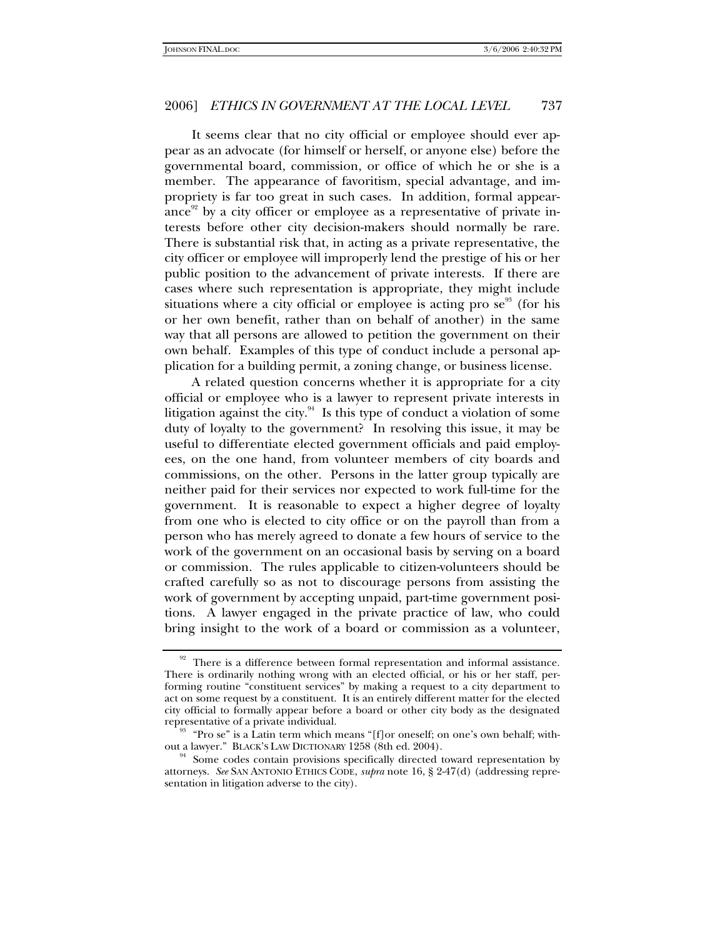It seems clear that no city official or employee should ever appear as an advocate (for himself or herself, or anyone else) before the governmental board, commission, or office of which he or she is a member. The appearance of favoritism, special advantage, and impropriety is far too great in such cases. In addition, formal appearance<sup>92</sup> by a city officer or employee as a representative of private interests before other city decision-makers should normally be rare. There is substantial risk that, in acting as a private representative, the city officer or employee will improperly lend the prestige of his or her public position to the advancement of private interests. If there are cases where such representation is appropriate, they might include situations where a city official or employee is acting pro  $se^{93}$  (for his or her own benefit, rather than on behalf of another) in the same way that all persons are allowed to petition the government on their own behalf. Examples of this type of conduct include a personal application for a building permit, a zoning change, or business license.

A related question concerns whether it is appropriate for a city official or employee who is a lawyer to represent private interests in litigation against the city. $94$  Is this type of conduct a violation of some duty of loyalty to the government? In resolving this issue, it may be useful to differentiate elected government officials and paid employees, on the one hand, from volunteer members of city boards and commissions, on the other. Persons in the latter group typically are neither paid for their services nor expected to work full-time for the government. It is reasonable to expect a higher degree of loyalty from one who is elected to city office or on the payroll than from a person who has merely agreed to donate a few hours of service to the work of the government on an occasional basis by serving on a board or commission. The rules applicable to citizen-volunteers should be crafted carefully so as not to discourage persons from assisting the work of government by accepting unpaid, part-time government positions. A lawyer engaged in the private practice of law, who could bring insight to the work of a board or commission as a volunteer,

 $92$  There is a difference between formal representation and informal assistance. There is ordinarily nothing wrong with an elected official, or his or her staff, performing routine "constituent services" by making a request to a city department to act on some request by a constituent. It is an entirely different matter for the elected city official to formally appear before a board or other city body as the designated

<sup>&</sup>lt;sup>93</sup> "Pro se" is a Latin term which means "[f]or oneself; on one's own behalf; with-<br>out a lawyer." BLACK'S LAW DICTIONARY 1258 (8th ed. 2004).

<sup>&</sup>lt;sup>14</sup> Some codes contain provisions specifically directed toward representation by attorneys. *See* SAN ANTONIO ETHICS CODE, *supra* note 16, § 2-47(d) (addressing representation in litigation adverse to the city).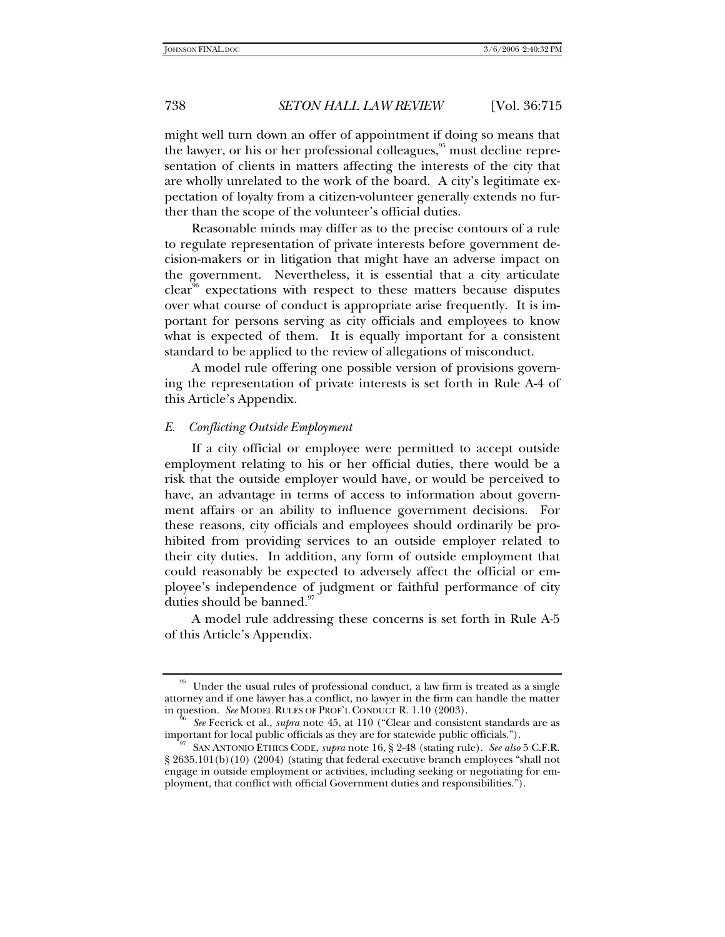might well turn down an offer of appointment if doing so means that the lawyer, or his or her professional colleagues, $\frac{95}{3}$  must decline representation of clients in matters affecting the interests of the city that are wholly unrelated to the work of the board. A city's legitimate expectation of loyalty from a citizen-volunteer generally extends no further than the scope of the volunteer's official duties.

Reasonable minds may differ as to the precise contours of a rule to regulate representation of private interests before government decision-makers or in litigation that might have an adverse impact on the government. Nevertheless, it is essential that a city articulate  $clear<sup>50</sup>$  expectations with respect to these matters because disputes over what course of conduct is appropriate arise frequently. It is important for persons serving as city officials and employees to know what is expected of them. It is equally important for a consistent standard to be applied to the review of allegations of misconduct.

A model rule offering one possible version of provisions governing the representation of private interests is set forth in Rule A-4 of this Article's Appendix.

#### *E. Conflicting Outside Employment*

If a city official or employee were permitted to accept outside employment relating to his or her official duties, there would be a risk that the outside employer would have, or would be perceived to have, an advantage in terms of access to information about government affairs or an ability to influence government decisions. For these reasons, city officials and employees should ordinarily be prohibited from providing services to an outside employer related to their city duties. In addition, any form of outside employment that could reasonably be expected to adversely affect the official or employee's independence of judgment or faithful performance of city duties should be banned.<sup>97</sup>

A model rule addressing these concerns is set forth in Rule A-5 of this Article's Appendix.

Under the usual rules of professional conduct, a law firm is treated as a single attorney and if one lawyer has a conflict, no lawyer in the firm can handle the matter in question. *See* MODEL RULES OF PROF'L CONDUCT R.  $1.10$  (2003).

<sup>&</sup>lt;sup>30</sup> See Feerick et al., *supra* note 45, at 110 ("Clear and consistent standards are as important for local public officials as they are for statewide public officials.").

SAN ANTONIO ETHICS CODE, *supra* note 16, § 2-48 (stating rule). *See also* 5 C.F.R. § 2635.101(b)(10) (2004) (stating that federal executive branch employees "shall not engage in outside employment or activities, including seeking or negotiating for employment, that conflict with official Government duties and responsibilities.").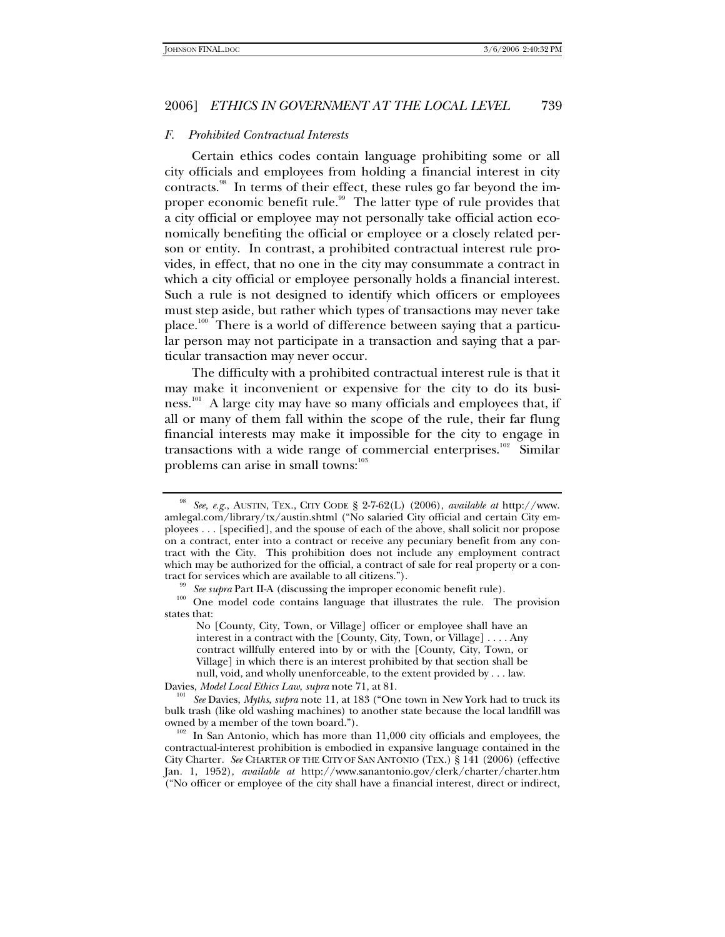## *F. Prohibited Contractual Interests*

Certain ethics codes contain language prohibiting some or all city officials and employees from holding a financial interest in city contracts.<sup>98</sup> In terms of their effect, these rules go far beyond the improper economic benefit rule.<sup>99</sup> The latter type of rule provides that a city official or employee may not personally take official action economically benefiting the official or employee or a closely related person or entity. In contrast, a prohibited contractual interest rule provides, in effect, that no one in the city may consummate a contract in which a city official or employee personally holds a financial interest. Such a rule is not designed to identify which officers or employees must step aside, but rather which types of transactions may never take place.<sup>100</sup> There is a world of difference between saying that a particular person may not participate in a transaction and saying that a particular transaction may never occur.

The difficulty with a prohibited contractual interest rule is that it may make it inconvenient or expensive for the city to do its business.<sup>101</sup> A large city may have so many officials and employees that, if all or many of them fall within the scope of the rule, their far flung financial interests may make it impossible for the city to engage in transactions with a wide range of commercial enterprises.<sup>102</sup> Similar problems can arise in small towns:<sup>103</sup>

<sup>98</sup> *See, e.g.*, AUSTIN, TEX., CITY CODE § 2-7-62(L) (2006), *available at* http://www. amlegal.com/library/tx/austin.shtml ("No salaried City official and certain City employees . . . [specified], and the spouse of each of the above, shall solicit nor propose on a contract, enter into a contract or receive any pecuniary benefit from any contract with the City. This prohibition does not include any employment contract which may be authorized for the official, a contract of sale for real property or a contract for services which are available to all citizens.").<br><sup>99</sup> *See supra* Part II-A (discussing the improper economic benefit rule).<br><sup>100</sup> One model code contains language that illustrates the rule. The provision

states that:

No [County, City, Town, or Village] officer or employee shall have an interest in a contract with the [County, City, Town, or Village] . . . . Any contract willfully entered into by or with the [County, City, Town, or Village] in which there is an interest prohibited by that section shall be null, void, and wholly unenforceable, to the extent provided by . . . law.

Davies, *Model Local Ethics Law*, *supra* note 71, at 81. <sup>101</sup> *See* Davies, *Myths*, *supra* note 11, at 183 ("One town in New York had to truck its bulk trash (like old washing machines) to another state because the local landfill was owned by a member of the town board.").<br><sup>102</sup> In San Antonio, which has more than 11,000 city officials and employees, the

contractual-interest prohibition is embodied in expansive language contained in the City Charter. *See* CHARTER OF THE CITY OF SAN ANTONIO (TEX.) § 141 (2006) (effective Jan. 1, 1952), *available at* http://www.sanantonio.gov/clerk/charter/charter.htm ("No officer or employee of the city shall have a financial interest, direct or indirect,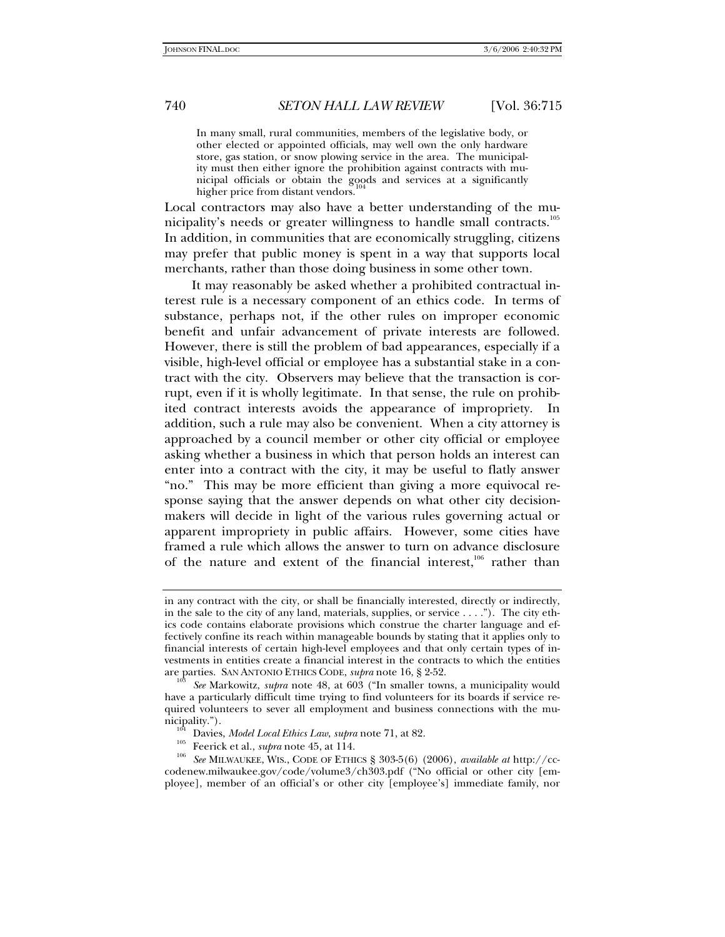In many small, rural communities, members of the legislative body, or other elected or appointed officials, may well own the only hardware store, gas station, or snow plowing service in the area. The municipality must then either ignore the prohibition against contracts with municipal officials or obtain the goods and services at a significantly higher price from distant vendors.<sup>1</sup>

Local contractors may also have a better understanding of the municipality's needs or greater willingness to handle small contracts.<sup>105</sup> In addition, in communities that are economically struggling, citizens may prefer that public money is spent in a way that supports local merchants, rather than those doing business in some other town.

It may reasonably be asked whether a prohibited contractual interest rule is a necessary component of an ethics code. In terms of substance, perhaps not, if the other rules on improper economic benefit and unfair advancement of private interests are followed. However, there is still the problem of bad appearances, especially if a visible, high-level official or employee has a substantial stake in a contract with the city. Observers may believe that the transaction is corrupt, even if it is wholly legitimate. In that sense, the rule on prohibited contract interests avoids the appearance of impropriety. In addition, such a rule may also be convenient. When a city attorney is approached by a council member or other city official or employee asking whether a business in which that person holds an interest can enter into a contract with the city, it may be useful to flatly answer "no." This may be more efficient than giving a more equivocal response saying that the answer depends on what other city decisionmakers will decide in light of the various rules governing actual or apparent impropriety in public affairs. However, some cities have framed a rule which allows the answer to turn on advance disclosure of the nature and extent of the financial interest, $106$  rather than

in any contract with the city, or shall be financially interested, directly or indirectly, in the sale to the city of any land, materials, supplies, or service . . . ."). The city ethics code contains elaborate provisions which construe the charter language and effectively confine its reach within manageable bounds by stating that it applies only to financial interests of certain high-level employees and that only certain types of investments in entities create a financial interest in the contracts to which the entities are parties. SAN ANTONIO ETHICS CODE, *supra* note 16, § 2-52.

See Markowitz, *supra* note 48, at 603 ("In smaller towns, a municipality would have a particularly difficult time trying to find volunteers for its boards if service required volunteers to sever all employment and business connections with the municipality.").<br>
<sup>104</sup> Davies, *Model Local Ethics Law, supra* note 71, at 82.<br>
<sup>105</sup> Feerick et al., *supra* note 45, at 114.<br>
<sup>106</sup> *See* MILWAUKEE, WIS., CODE OF ETHICS § 303-5(6) (2006), *available at* http://cc-

codenew.milwaukee.gov/code/volume3/ch303.pdf ("No official or other city [employee], member of an official's or other city [employee's] immediate family, nor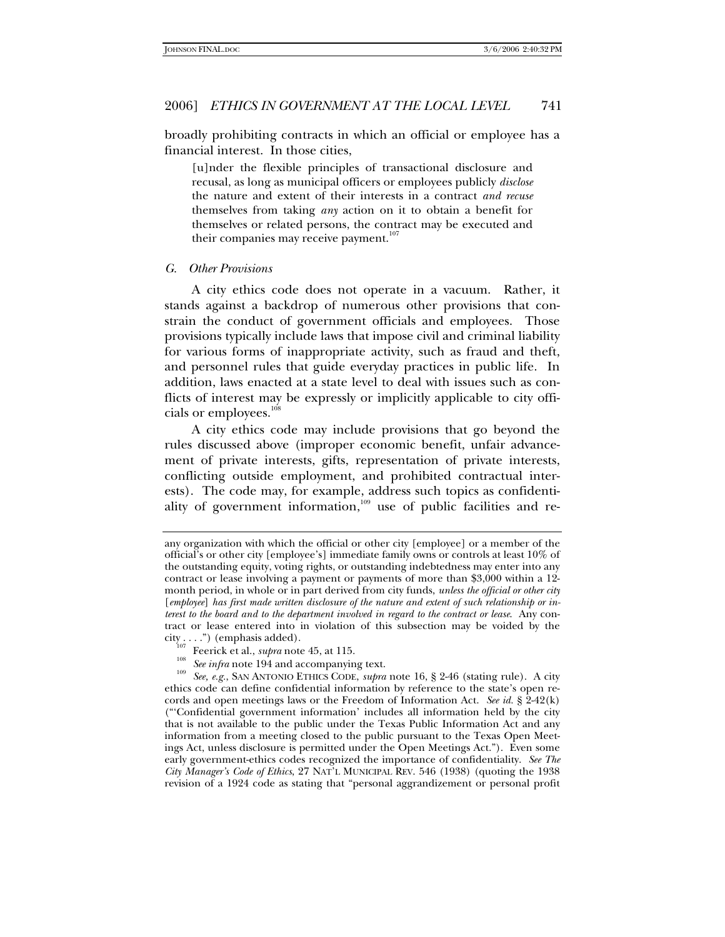broadly prohibiting contracts in which an official or employee has a financial interest. In those cities,

[u]nder the flexible principles of transactional disclosure and recusal, as long as municipal officers or employees publicly *disclose* the nature and extent of their interests in a contract *and recuse*  themselves from taking *any* action on it to obtain a benefit for themselves or related persons, the contract may be executed and their companies may receive payment.<sup>107</sup>

#### *G. Other Provisions*

A city ethics code does not operate in a vacuum. Rather, it stands against a backdrop of numerous other provisions that constrain the conduct of government officials and employees. Those provisions typically include laws that impose civil and criminal liability for various forms of inappropriate activity, such as fraud and theft, and personnel rules that guide everyday practices in public life. In addition, laws enacted at a state level to deal with issues such as conflicts of interest may be expressly or implicitly applicable to city officials or employees.<sup>108</sup>

A city ethics code may include provisions that go beyond the rules discussed above (improper economic benefit, unfair advancement of private interests, gifts, representation of private interests, conflicting outside employment, and prohibited contractual interests). The code may, for example, address such topics as confidentiality of government information, $109$  use of public facilities and re-

any organization with which the official or other city [employee] or a member of the official's or other city [employee's] immediate family owns or controls at least 10% of the outstanding equity, voting rights, or outstanding indebtedness may enter into any contract or lease involving a payment or payments of more than \$3,000 within a 12 month period, in whole or in part derived from city funds, *unless the official or other city*  [*employee*] *has first made written disclosure of the nature and extent of such relationship or interest to the board and to the department involved in regard to the contract or lease*. Any contract or lease entered into in violation of this subsection may be voided by the  $\text{city}_{\alpha}$ ....") (emphasis added).

<sup>&</sup>lt;sup>107</sup> Feerick et al., *supra* note 45, at 115.<br><sup>108</sup> *See infra* note 194 and accompanying text.<br><sup>109</sup> *See, e.g.*, SAN ANTONIO ETHICS CODE, *supra* note 16, § 2-46 (stating rule). A city ethics code can define confidential information by reference to the state's open records and open meetings laws or the Freedom of Information Act. *See id.* § 2-42(k) ("'Confidential government information' includes all information held by the city that is not available to the public under the Texas Public Information Act and any information from a meeting closed to the public pursuant to the Texas Open Meetings Act, unless disclosure is permitted under the Open Meetings Act."). Even some early government-ethics codes recognized the importance of confidentiality. *See The City Manager's Code of Ethics*, 27 NAT'L MUNICIPAL REV. 546 (1938) (quoting the 1938 revision of a 1924 code as stating that "personal aggrandizement or personal profit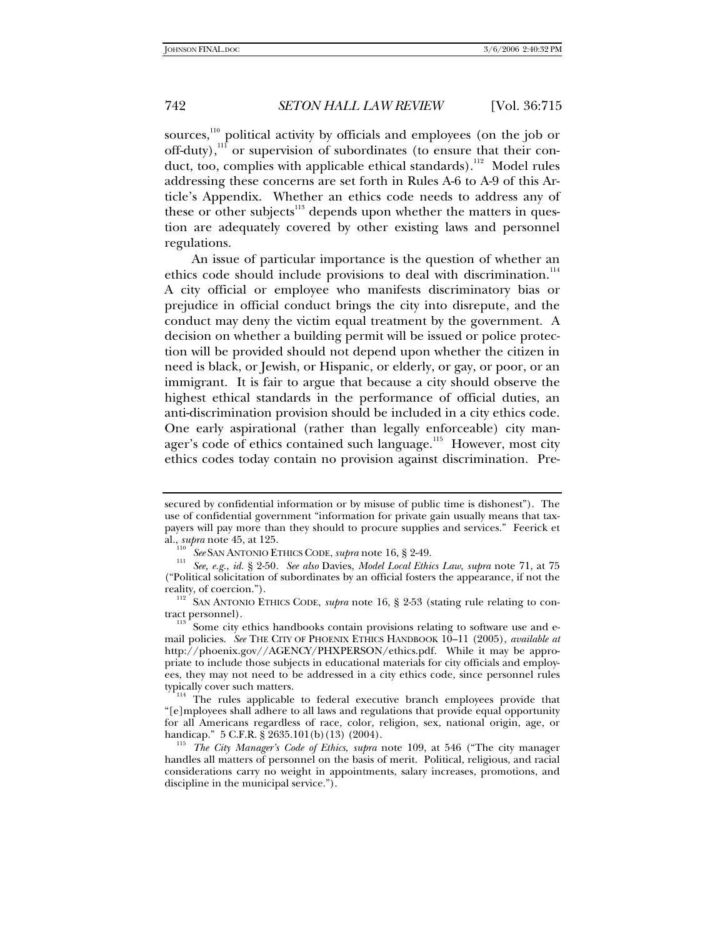sources,<sup>110</sup> political activity by officials and employees (on the job or off-duty), $\frac{1}{11}$  or supervision of subordinates (to ensure that their conduct, too, complies with applicable ethical standards).<sup>112</sup> Model rules addressing these concerns are set forth in Rules A-6 to A-9 of this Article's Appendix. Whether an ethics code needs to address any of these or other subjects<sup>113</sup> depends upon whether the matters in question are adequately covered by other existing laws and personnel regulations.

An issue of particular importance is the question of whether an ethics code should include provisions to deal with discrimination.<sup>114</sup> A city official or employee who manifests discriminatory bias or prejudice in official conduct brings the city into disrepute, and the conduct may deny the victim equal treatment by the government. A decision on whether a building permit will be issued or police protection will be provided should not depend upon whether the citizen in need is black, or Jewish, or Hispanic, or elderly, or gay, or poor, or an immigrant. It is fair to argue that because a city should observe the highest ethical standards in the performance of official duties, an anti-discrimination provision should be included in a city ethics code. One early aspirational (rather than legally enforceable) city manager's code of ethics contained such language.<sup>115</sup> However, most city ethics codes today contain no provision against discrimination. Pre-

secured by confidential information or by misuse of public time is dishonest"). The use of confidential government "information for private gain usually means that taxpayers will pay more than they should to procure supplies and services." Feerick et

al., *supra* note 45, at 125.<br><sup>110</sup> *See* SAN ANTONIO ETHICS CODE, *supra* note 16, § 2-49.<br><sup>111</sup> *See, e.g., id.* § 2-50. *See also* Davies, *Model Local Ethics Law, supra* note 71, at 75 ("Political solicitation of subordinates by an official fosters the appearance, if not the

reality, of coercion.").<br><sup>112</sup> SAN ANTONIO ETHICS CODE, *supra* note 16, § 2-53 (stating rule relating to con-<br>tract personnel).

Some city ethics handbooks contain provisions relating to software use and email policies. *See* THE CITY OF PHOENIX ETHICS HANDBOOK 10–11 (2005), *available at* http://phoenix.gov//AGENCY/PHXPERSON/ethics.pdf. While it may be appropriate to include those subjects in educational materials for city officials and employees, they may not need to be addressed in a city ethics code, since personnel rules

<sup>&</sup>lt;sup>114</sup> The rules applicable to federal executive branch employees provide that "[e]mployees shall adhere to all laws and regulations that provide equal opportunity for all Americans regardless of race, color, religion, sex, national origin, age, or

The City Manager's Code of Ethics, *supra* note 109, at 546 ("The city manager handles all matters of personnel on the basis of merit. Political, religious, and racial considerations carry no weight in appointments, salary increases, promotions, and discipline in the municipal service.").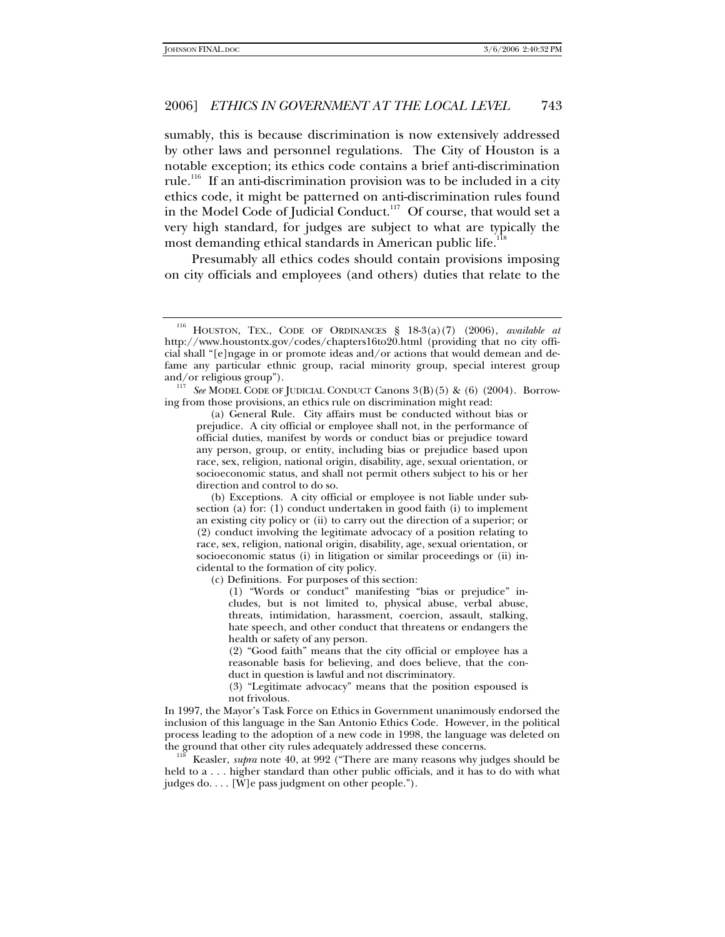sumably, this is because discrimination is now extensively addressed by other laws and personnel regulations. The City of Houston is a notable exception; its ethics code contains a brief anti-discrimination rule.<sup>116</sup> If an anti-discrimination provision was to be included in a city ethics code, it might be patterned on anti-discrimination rules found in the Model Code of Judicial Conduct.<sup>117</sup> Of course, that would set a very high standard, for judges are subject to what are typically the most demanding ethical standards in American public life.<sup>1</sup>

Presumably all ethics codes should contain provisions imposing on city officials and employees (and others) duties that relate to the

(c) Definitions. For purposes of this section:

Keasler, *supra* note 40, at 992 ("There are many reasons why judges should be held to a . . . higher standard than other public officials, and it has to do with what judges do. . . . [W]e pass judgment on other people.").

<sup>116</sup> HOUSTON, TEX., CODE OF ORDINANCES § 18-3(a)(7) (2006), *available at* http://www.houstontx.gov/codes/chapters16to20.html (providing that no city official shall "[e]ngage in or promote ideas and/or actions that would demean and defame any particular ethnic group, racial minority group, special interest group and/or religious group").

<sup>&</sup>lt;sup>117</sup> See MODEL CODE OF JUDICIAL CONDUCT Canons 3(B)(5) & (6) (2004). Borrowing from those provisions, an ethics rule on discrimination might read:

 <sup>(</sup>a) General Rule. City affairs must be conducted without bias or prejudice. A city official or employee shall not, in the performance of official duties, manifest by words or conduct bias or prejudice toward any person, group, or entity, including bias or prejudice based upon race, sex, religion, national origin, disability, age, sexual orientation, or socioeconomic status, and shall not permit others subject to his or her direction and control to do so.

 <sup>(</sup>b) Exceptions. A city official or employee is not liable under subsection (a) for: (1) conduct undertaken in good faith (i) to implement an existing city policy or (ii) to carry out the direction of a superior; or (2) conduct involving the legitimate advocacy of a position relating to race, sex, religion, national origin, disability, age, sexual orientation, or socioeconomic status (i) in litigation or similar proceedings or (ii) incidental to the formation of city policy.

<sup>(1) &</sup>quot;Words or conduct" manifesting "bias or prejudice" includes, but is not limited to, physical abuse, verbal abuse, threats, intimidation, harassment, coercion, assault, stalking, hate speech, and other conduct that threatens or endangers the health or safety of any person.

<sup>(2) &</sup>quot;Good faith" means that the city official or employee has a reasonable basis for believing, and does believe, that the conduct in question is lawful and not discriminatory.

<sup>(3) &</sup>quot;Legitimate advocacy" means that the position espoused is not frivolous.

In 1997, the Mayor's Task Force on Ethics in Government unanimously endorsed the inclusion of this language in the San Antonio Ethics Code. However, in the political process leading to the adoption of a new code in 1998, the language was deleted on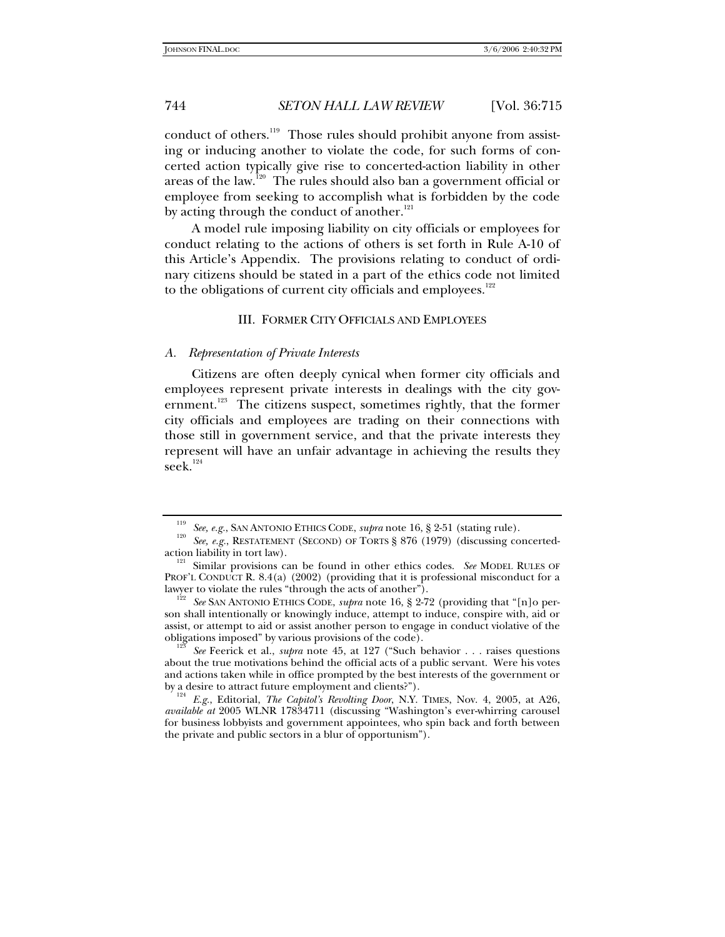conduct of others.<sup>119</sup> Those rules should prohibit anyone from assisting or inducing another to violate the code, for such forms of concerted action typically give rise to concerted-action liability in other areas of the law.<sup>120</sup> The rules should also ban a government official or employee from seeking to accomplish what is forbidden by the code by acting through the conduct of another.<sup>121</sup>

A model rule imposing liability on city officials or employees for conduct relating to the actions of others is set forth in Rule A-10 of this Article's Appendix. The provisions relating to conduct of ordinary citizens should be stated in a part of the ethics code not limited to the obligations of current city officials and employees.<sup>122</sup>

# III. FORMER CITY OFFICIALS AND EMPLOYEES

#### *A. Representation of Private Interests*

Citizens are often deeply cynical when former city officials and employees represent private interests in dealings with the city government.<sup>123</sup> The citizens suspect, sometimes rightly, that the former city officials and employees are trading on their connections with those still in government service, and that the private interests they represent will have an unfair advantage in achieving the results they  ${\rm seek.}^{^{124}}$ 

son shall intentionally or knowingly induce, attempt to induce, conspire with, aid or assist, or attempt to aid or assist another person to engage in conduct violative of the obligations imposed" by various provisions of the code). <sup>123</sup> *See* Feerick et al., *supra* note 45, at 127 ("Such behavior . . . raises questions

about the true motivations behind the official acts of a public servant. Were his votes and actions taken while in office prompted by the best interests of the government or

by a desire to attract future employment and clients?"). <sup>124</sup> *E.g.*, Editorial, *The Capitol's Revolting Door*, N.Y. TIMES, Nov. 4, 2005, at A26, *available at* 2005 WLNR 17834711 (discussing "Washington's ever-whirring carousel for business lobbyists and government appointees, who spin back and forth between the private and public sectors in a blur of opportunism").

<sup>&</sup>lt;sup>119</sup> See, e.g., SAN ANTONIO ETHICS CODE, *supra* note 16, § 2-51 (stating rule).<br><sup>120</sup> See, e.g., RESTATEMENT (SECOND) OF TORTS § 876 (1979) (discussing concertedaction liability in tort law). 121 Similar provisions can be found in other ethics codes. *See* MODEL RULES OF

PROF'L CONDUCT R. 8.4(a) (2002) (providing that it is professional misconduct for a lawyer to violate the rules "through the acts of another"). <sup>122</sup> *See* SAN ANTONIO ETHICS CODE, *supra* note 16, § 2-72 (providing that "[n]o per-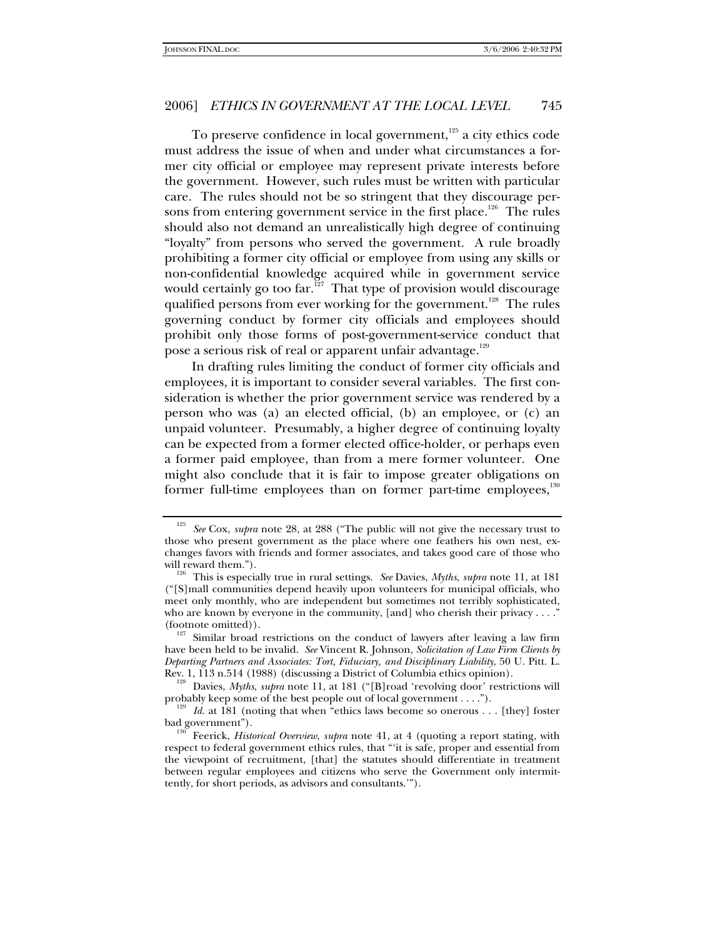To preserve confidence in local government,<sup>125</sup> a city ethics code must address the issue of when and under what circumstances a former city official or employee may represent private interests before the government. However, such rules must be written with particular care. The rules should not be so stringent that they discourage persons from entering government service in the first place.<sup>126</sup> The rules should also not demand an unrealistically high degree of continuing "loyalty" from persons who served the government. A rule broadly prohibiting a former city official or employee from using any skills or non-confidential knowledge acquired while in government service would certainly go too far.<sup>127</sup> That type of provision would discourage qualified persons from ever working for the government.<sup>128</sup> The rules governing conduct by former city officials and employees should prohibit only those forms of post-government-service conduct that pose a serious risk of real or apparent unfair advantage.<sup>129</sup>

In drafting rules limiting the conduct of former city officials and employees, it is important to consider several variables. The first consideration is whether the prior government service was rendered by a person who was (a) an elected official, (b) an employee, or (c) an unpaid volunteer. Presumably, a higher degree of continuing loyalty can be expected from a former elected office-holder, or perhaps even a former paid employee, than from a mere former volunteer. One might also conclude that it is fair to impose greater obligations on former full-time employees than on former part-time employees, $\frac{1}{2}$ 

<sup>125</sup> *See* Cox, *supra* note 28, at 288 ("The public will not give the necessary trust to those who present government as the place where one feathers his own nest, exchanges favors with friends and former associates, and takes good care of those who

<sup>&</sup>lt;sup>126</sup> This is especially true in rural settings. *See Davies, Myths, supra* note 11, at 181 ("[S]mall communities depend heavily upon volunteers for municipal officials, who meet only monthly, who are independent but sometimes not terribly sophisticated, who are known by everyone in the community, [and] who cherish their privacy . . . ."<br>(footnote omitted)).

 $127$  Similar broad restrictions on the conduct of lawyers after leaving a law firm have been held to be invalid. *See* Vincent R. Johnson, *Solicitation of Law Firm Clients by Departing Partners and Associates: Tort, Fiduciary, and Disciplinary Liability*, 50 U. Pitt. L.

Rev. 1, 113 n.514 (1988) (discussing a District of Columbia ethics opinion). 128 Davies, *Myths*, *supra* note 11, at 181 ("[B]road 'revolving door' restrictions will

probably keep some of the best people out of local government . . . .").<br><sup>129</sup> *Id.* at 181 (noting that when "ethics laws become so onerous . . . [they] foster

bad government"). 130 Feerick, *Historical Overview*, *supra* note 41, at 4 (quoting a report stating, with respect to federal government ethics rules, that "'it is safe, proper and essential from the viewpoint of recruitment, [that] the statutes should differentiate in treatment between regular employees and citizens who serve the Government only intermittently, for short periods, as advisors and consultants.'").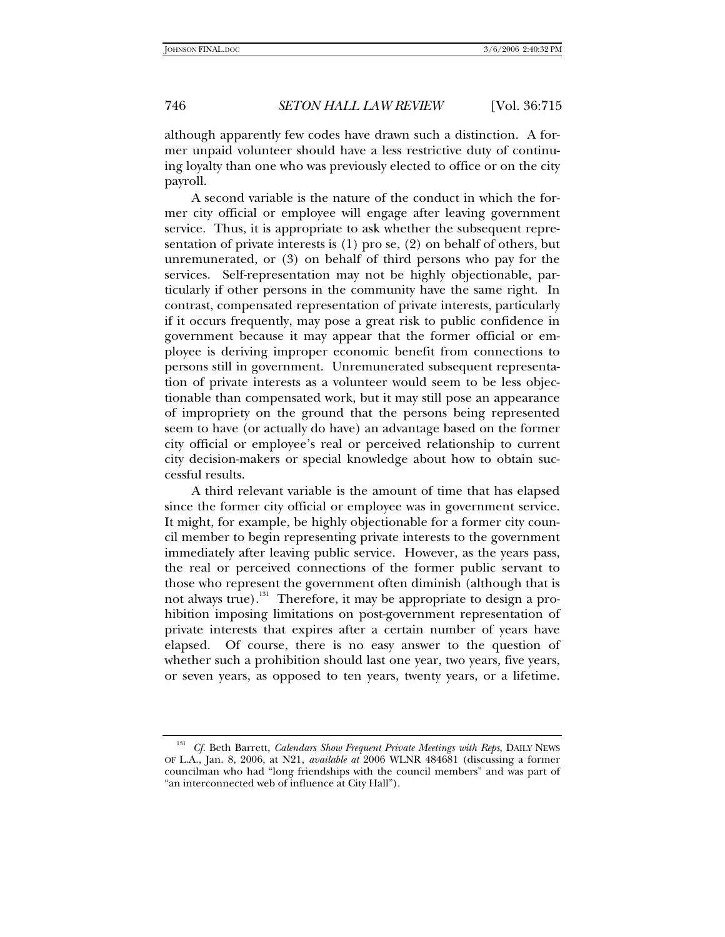although apparently few codes have drawn such a distinction. A former unpaid volunteer should have a less restrictive duty of continuing loyalty than one who was previously elected to office or on the city payroll.

A second variable is the nature of the conduct in which the former city official or employee will engage after leaving government service. Thus, it is appropriate to ask whether the subsequent representation of private interests is (1) pro se, (2) on behalf of others, but unremunerated, or (3) on behalf of third persons who pay for the services. Self-representation may not be highly objectionable, particularly if other persons in the community have the same right. In contrast, compensated representation of private interests, particularly if it occurs frequently, may pose a great risk to public confidence in government because it may appear that the former official or employee is deriving improper economic benefit from connections to persons still in government. Unremunerated subsequent representation of private interests as a volunteer would seem to be less objectionable than compensated work, but it may still pose an appearance of impropriety on the ground that the persons being represented seem to have (or actually do have) an advantage based on the former city official or employee's real or perceived relationship to current city decision-makers or special knowledge about how to obtain successful results.

A third relevant variable is the amount of time that has elapsed since the former city official or employee was in government service. It might, for example, be highly objectionable for a former city council member to begin representing private interests to the government immediately after leaving public service. However, as the years pass, the real or perceived connections of the former public servant to those who represent the government often diminish (although that is not always true).<sup>131</sup> Therefore, it may be appropriate to design a prohibition imposing limitations on post-government representation of private interests that expires after a certain number of years have elapsed. Of course, there is no easy answer to the question of whether such a prohibition should last one year, two years, five years, or seven years, as opposed to ten years, twenty years, or a lifetime.

<sup>&</sup>lt;sup>131</sup> Cf. Beth Barrett, *Calendars Show Frequent Private Meetings with Reps*, DAILY NEWS OF L.A., Jan. 8, 2006, at N21, *available at* 2006 WLNR 484681 (discussing a former councilman who had "long friendships with the council members" and was part of "an interconnected web of influence at City Hall").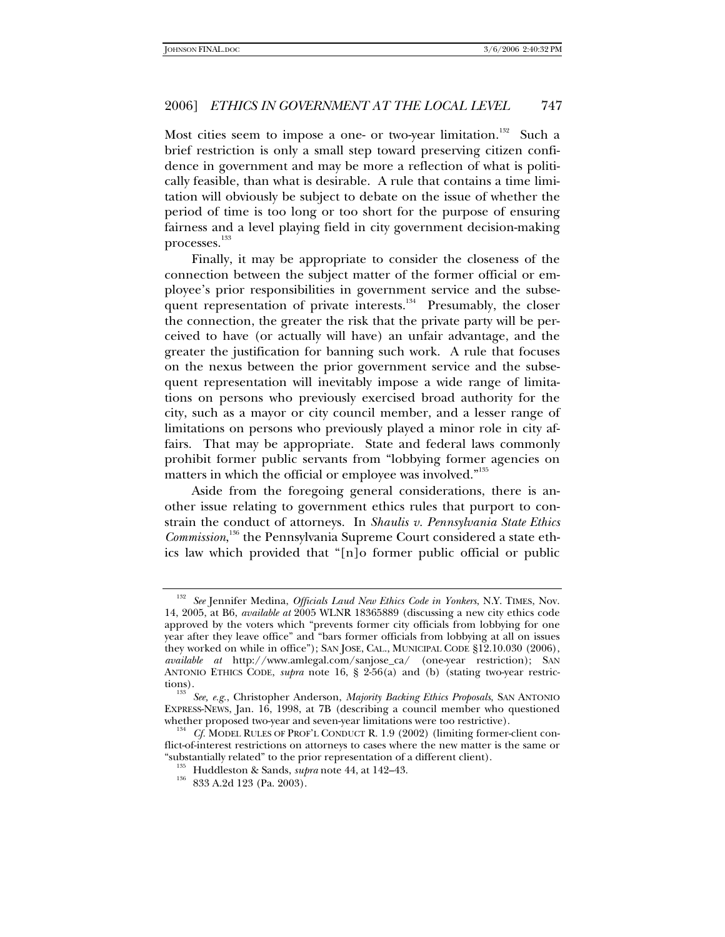Most cities seem to impose a one- or two-year limitation.<sup>132</sup> Such a brief restriction is only a small step toward preserving citizen confidence in government and may be more a reflection of what is politically feasible, than what is desirable. A rule that contains a time limitation will obviously be subject to debate on the issue of whether the period of time is too long or too short for the purpose of ensuring fairness and a level playing field in city government decision-making processes.<sup>133</sup>

Finally, it may be appropriate to consider the closeness of the connection between the subject matter of the former official or employee's prior responsibilities in government service and the subsequent representation of private interests.<sup>134</sup> Presumably, the closer the connection, the greater the risk that the private party will be perceived to have (or actually will have) an unfair advantage, and the greater the justification for banning such work. A rule that focuses on the nexus between the prior government service and the subsequent representation will inevitably impose a wide range of limitations on persons who previously exercised broad authority for the city, such as a mayor or city council member, and a lesser range of limitations on persons who previously played a minor role in city affairs. That may be appropriate. State and federal laws commonly prohibit former public servants from "lobbying former agencies on matters in which the official or employee was involved."<sup>135</sup>

Aside from the foregoing general considerations, there is another issue relating to government ethics rules that purport to constrain the conduct of attorneys. In *Shaulis v. Pennsylvania State Ethics*  Commission,<sup>136</sup> the Pennsylvania Supreme Court considered a state ethics law which provided that "[n]o former public official or public

<sup>132</sup> *See* Jennifer Medina, *Officials Laud New Ethics Code in Yonkers*, N.Y. TIMES, Nov. 14, 2005, at B6, *available at* 2005 WLNR 18365889 (discussing a new city ethics code approved by the voters which "prevents former city officials from lobbying for one year after they leave office" and "bars former officials from lobbying at all on issues they worked on while in office"); SAN JOSE, CAL., MUNICIPAL CODE §12.10.030 (2006), *available at* http://www.amlegal.com/sanjose\_ca/ (one-year restriction); SAN ANTONIO ETHICS CODE, *supra* note 16, § 2-56(a) and (b) (stating two-year restric-

tions). <sup>133</sup> *See, e.g.*, Christopher Anderson, *Majority Backing Ethics Proposals*, SAN ANTONIO EXPRESS-NEWS, Jan. 16, 1998, at 7B (describing a council member who questioned

<sup>&</sup>lt;sup>134</sup> Cf. MODEL RULES OF PROF'L CONDUCT R. 1.9 (2002) (limiting former-client conflict-of-interest restrictions on attorneys to cases where the new matter is the same or "substantially related" to the prior representation of a different client). 135 Huddleston & Sands, *supra* note 44, at 142–43. 136 833 A.2d 123 (Pa. 2003).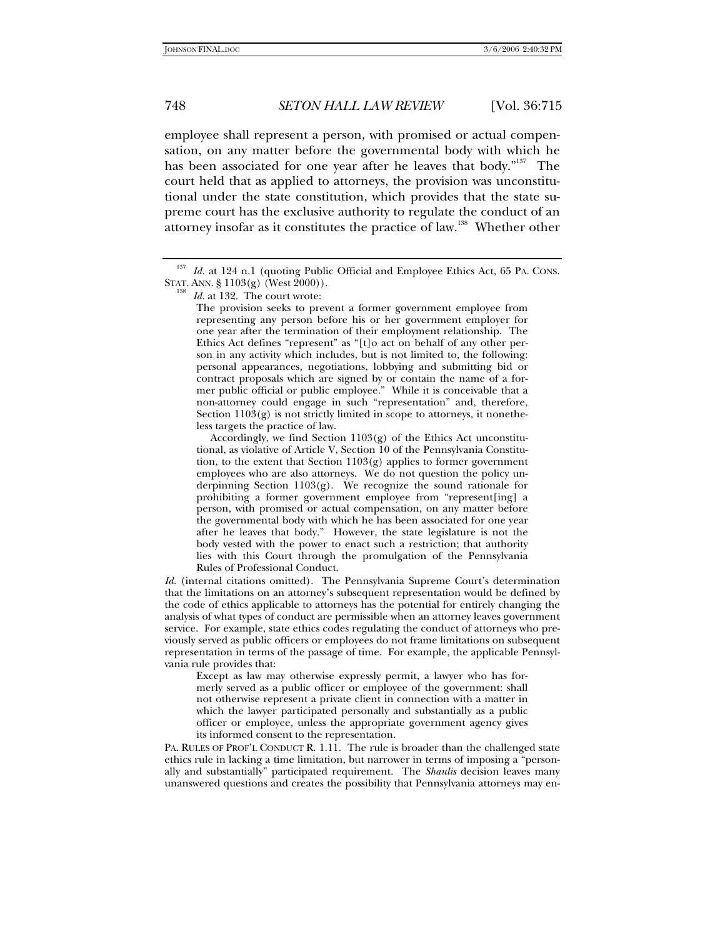employee shall represent a person, with promised or actual compensation, on any matter before the governmental body with which he has been associated for one year after he leaves that body."<sup>137</sup> The court held that as applied to attorneys, the provision was unconstitutional under the state constitution, which provides that the state supreme court has the exclusive authority to regulate the conduct of an attorney insofar as it constitutes the practice of law.<sup>138</sup> Whether other

The provision seeks to prevent a former government employee from representing any person before his or her government employer for one year after the termination of their employment relationship. The Ethics Act defines "represent" as "[t]o act on behalf of any other person in any activity which includes, but is not limited to, the following: personal appearances, negotiations, lobbying and submitting bid or contract proposals which are signed by or contain the name of a former public official or public employee." While it is conceivable that a non-attorney could engage in such "representation" and, therefore, Section 1103(g) is not strictly limited in scope to attorneys, it nonetheless targets the practice of law.

 Accordingly, we find Section 1103(g) of the Ethics Act unconstitutional, as violative of Article V, Section 10 of the Pennsylvania Constitution, to the extent that Section 1103(g) applies to former government employees who are also attorneys. We do not question the policy underpinning Section 1103(g). We recognize the sound rationale for prohibiting a former government employee from "represent[ing] a person, with promised or actual compensation, on any matter before the governmental body with which he has been associated for one year after he leaves that body." However, the state legislature is not the body vested with the power to enact such a restriction; that authority lies with this Court through the promulgation of the Pennsylvania Rules of Professional Conduct.

*Id.* (internal citations omitted). The Pennsylvania Supreme Court's determination that the limitations on an attorney's subsequent representation would be defined by the code of ethics applicable to attorneys has the potential for entirely changing the analysis of what types of conduct are permissible when an attorney leaves government service. For example, state ethics codes regulating the conduct of attorneys who previously served as public officers or employees do not frame limitations on subsequent representation in terms of the passage of time. For example, the applicable Pennsylvania rule provides that:

Except as law may otherwise expressly permit, a lawyer who has formerly served as a public officer or employee of the government: shall not otherwise represent a private client in connection with a matter in which the lawyer participated personally and substantially as a public officer or employee, unless the appropriate government agency gives its informed consent to the representation.

PA. RULES OF PROF'L CONDUCT R. 1.11. The rule is broader than the challenged state ethics rule in lacking a time limitation, but narrower in terms of imposing a "personally and substantially" participated requirement. The *Shaulis* decision leaves many unanswered questions and creates the possibility that Pennsylvania attorneys may en-

<sup>&</sup>lt;sup>137</sup> *Id.* at 124 n.1 (quoting Public Official and Employee Ethics Act, 65 PA. CONS. STAT. ANN. § 1103(g) (West 2000)). <sup>138</sup> *Id.* at 132. The court wrote: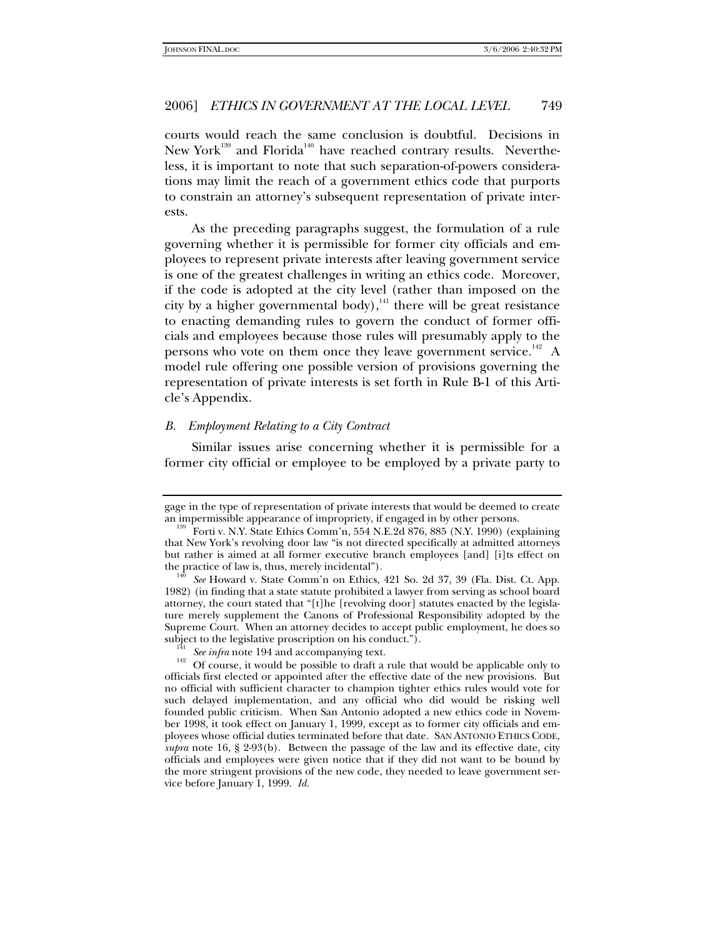courts would reach the same conclusion is doubtful. Decisions in New York<sup>139</sup> and Florida<sup>140</sup> have reached contrary results. Nevertheless, it is important to note that such separation-of-powers considerations may limit the reach of a government ethics code that purports to constrain an attorney's subsequent representation of private interests.

As the preceding paragraphs suggest, the formulation of a rule governing whether it is permissible for former city officials and employees to represent private interests after leaving government service is one of the greatest challenges in writing an ethics code. Moreover, if the code is adopted at the city level (rather than imposed on the city by a higher governmental body), $141$  there will be great resistance to enacting demanding rules to govern the conduct of former officials and employees because those rules will presumably apply to the persons who vote on them once they leave government service.<sup>142</sup> A model rule offering one possible version of provisions governing the representation of private interests is set forth in Rule B-1 of this Article's Appendix.

#### *B. Employment Relating to a City Contract*

Similar issues arise concerning whether it is permissible for a former city official or employee to be employed by a private party to

gage in the type of representation of private interests that would be deemed to create an impermissible appearance of impropriety, if engaged in by other persons.

<sup>&</sup>lt;sup>139</sup> Forti v. N.Y. State Ethics Comm'n, 554 N.E.2d 876, 885 (N.Y. 1990) (explaining that New York's revolving door law "is not directed specifically at admitted attorneys but rather is aimed at all former executive branch employees [and] [i]ts effect on the practice of law is, thus, merely incidental").<br><sup>140</sup> *See* Howard v. State Comm'n on Ethics, 421 So. 2d 37, 39 (Fla. Dist. Ct. App.

<sup>1982) (</sup>in finding that a state statute prohibited a lawyer from serving as school board attorney, the court stated that "[t]he [revolving door] statutes enacted by the legislature merely supplement the Canons of Professional Responsibility adopted by the Supreme Court. When an attorney decides to accept public employment, he does so

subject to the legislative proscription on his conduct.").<br><sup>141</sup> *See infra* note 194 and accompanying text.<br><sup>142</sup> Of course, it would be possible to draft a rule that would be applicable only to officials first elected or appointed after the effective date of the new provisions. But no official with sufficient character to champion tighter ethics rules would vote for such delayed implementation, and any official who did would be risking well founded public criticism. When San Antonio adopted a new ethics code in November 1998, it took effect on January 1, 1999, except as to former city officials and employees whose official duties terminated before that date. SAN ANTONIO ETHICS CODE, *supra* note 16, § 2-93(b). Between the passage of the law and its effective date, city officials and employees were given notice that if they did not want to be bound by the more stringent provisions of the new code, they needed to leave government service before January 1, 1999. *Id.*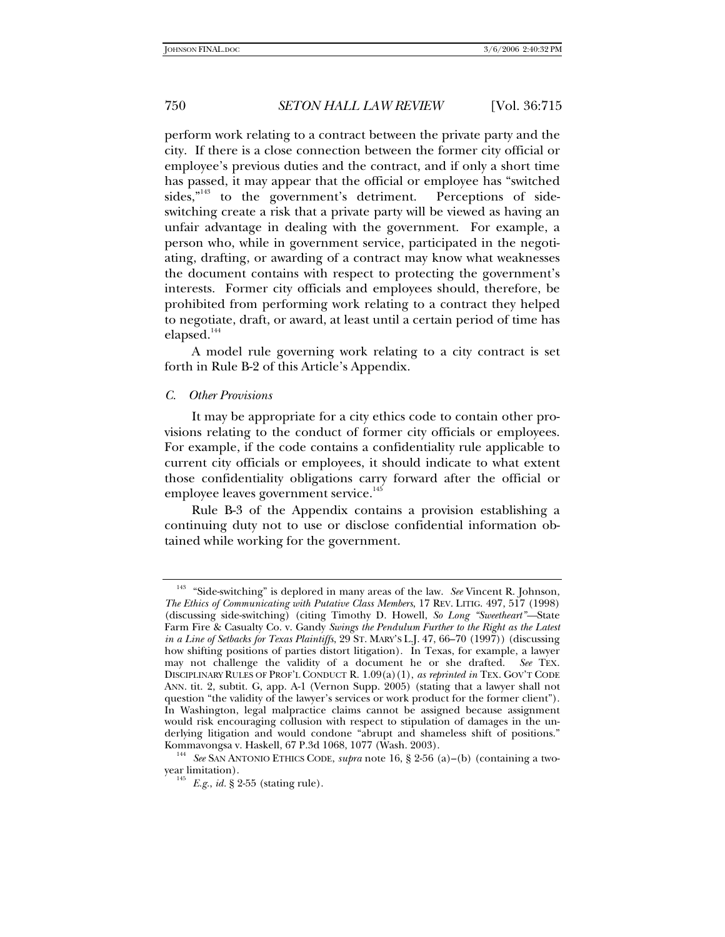perform work relating to a contract between the private party and the city. If there is a close connection between the former city official or employee's previous duties and the contract, and if only a short time has passed, it may appear that the official or employee has "switched sides,"<sup>143</sup> to the government's detriment. Perceptions of sideswitching create a risk that a private party will be viewed as having an unfair advantage in dealing with the government. For example, a person who, while in government service, participated in the negotiating, drafting, or awarding of a contract may know what weaknesses the document contains with respect to protecting the government's interests. Former city officials and employees should, therefore, be prohibited from performing work relating to a contract they helped to negotiate, draft, or award, at least until a certain period of time has elapsed. $144$ 

A model rule governing work relating to a city contract is set forth in Rule B-2 of this Article's Appendix.

#### *C. Other Provisions*

It may be appropriate for a city ethics code to contain other provisions relating to the conduct of former city officials or employees. For example, if the code contains a confidentiality rule applicable to current city officials or employees, it should indicate to what extent those confidentiality obligations carry forward after the official or employee leaves government service.<sup>145</sup>

Rule B-3 of the Appendix contains a provision establishing a continuing duty not to use or disclose confidential information obtained while working for the government.

<sup>143 &</sup>quot;Side-switching" is deplored in many areas of the law. *See* Vincent R. Johnson, *The Ethics of Communicating with Putative Class Members*, 17 REV. LITIG. 497, 517 (1998) (discussing side-switching) (citing Timothy D. Howell, *So Long "Sweetheart"—*State Farm Fire & Casualty Co. v. Gandy *Swings the Pendulum Further to the Right as the Latest in a Line of Setbacks for Texas Plaintiffs*, 29 ST. MARY'S L.J. 47, 66–70 (1997)) (discussing how shifting positions of parties distort litigation). In Texas, for example, a lawyer may not challenge the validity of a document he or she drafted. *See* TEX. DISCIPLINARY RULES OF PROF'L CONDUCT R. 1.09(a)(1), *as reprinted in* TEX. GOV'T CODE ANN. tit. 2, subtit. G, app. A-1 (Vernon Supp. 2005) (stating that a lawyer shall not question "the validity of the lawyer's services or work product for the former client"). In Washington, legal malpractice claims cannot be assigned because assignment would risk encouraging collusion with respect to stipulation of damages in the underlying litigation and would condone "abrupt and shameless shift of positions."

<sup>&</sup>lt;sup>144</sup> See SAN ANTONIO ETHICS CODE, *supra* note 16, § 2-56 (a)–(b) (containing a twoyear limitation). <sup>145</sup> *E.g.*, *id.* § 2-55 (stating rule).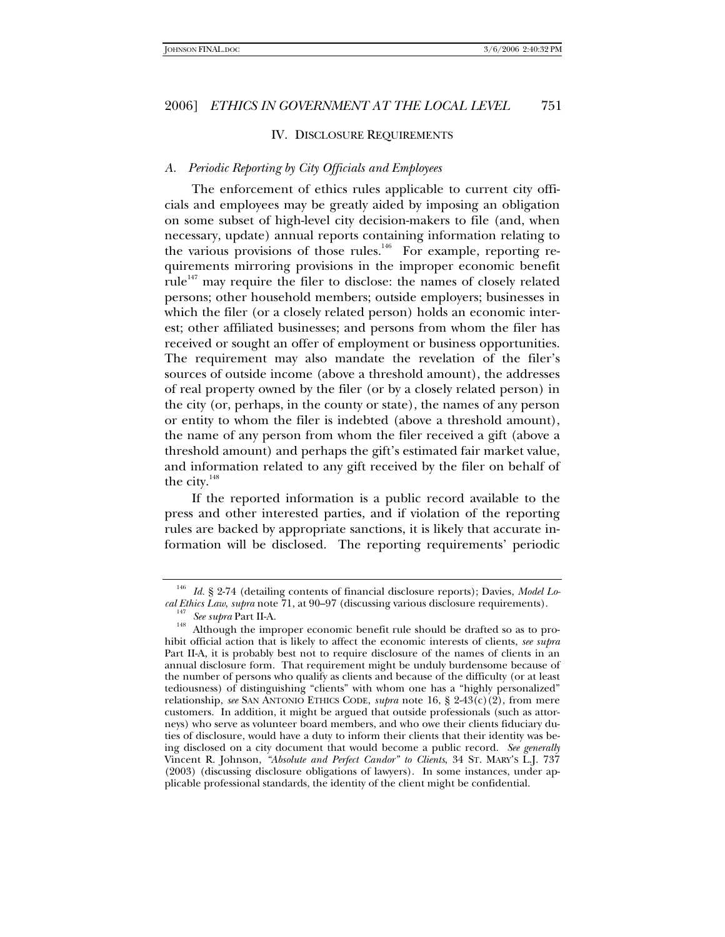#### IV. DISCLOSURE REQUIREMENTS

#### *A. Periodic Reporting by City Officials and Employees*

The enforcement of ethics rules applicable to current city officials and employees may be greatly aided by imposing an obligation on some subset of high-level city decision-makers to file (and, when necessary, update) annual reports containing information relating to the various provisions of those rules.<sup>146</sup> For example, reporting requirements mirroring provisions in the improper economic benefit rule<sup>147</sup> may require the filer to disclose: the names of closely related persons; other household members; outside employers; businesses in which the filer (or a closely related person) holds an economic interest; other affiliated businesses; and persons from whom the filer has received or sought an offer of employment or business opportunities. The requirement may also mandate the revelation of the filer's sources of outside income (above a threshold amount), the addresses of real property owned by the filer (or by a closely related person) in the city (or, perhaps, in the county or state), the names of any person or entity to whom the filer is indebted (above a threshold amount), the name of any person from whom the filer received a gift (above a threshold amount) and perhaps the gift's estimated fair market value, and information related to any gift received by the filer on behalf of the city. $148$ 

If the reported information is a public record available to the press and other interested parties, and if violation of the reporting rules are backed by appropriate sanctions, it is likely that accurate information will be disclosed. The reporting requirements' periodic

<sup>&</sup>lt;sup>146</sup> *Id.* § 2-74 (detailing contents of financial disclosure reports); Davies, Model Lo-cal Ethics Law, supra note 71, at 90–97 (discussing various disclosure requirements).

<sup>&</sup>lt;sup>147</sup> See supra Part II-A.<br><sup>148</sup> Although the improper economic benefit rule should be drafted so as to prohibit official action that is likely to affect the economic interests of clients, *see supra*  Part II-A, it is probably best not to require disclosure of the names of clients in an annual disclosure form. That requirement might be unduly burdensome because of the number of persons who qualify as clients and because of the difficulty (or at least tediousness) of distinguishing "clients" with whom one has a "highly personalized" relationship, *see* SAN ANTONIO ETHICS CODE, *supra* note 16, § 2-43(c)(2), from mere customers. In addition, it might be argued that outside professionals (such as attorneys) who serve as volunteer board members, and who owe their clients fiduciary duties of disclosure, would have a duty to inform their clients that their identity was being disclosed on a city document that would become a public record. *See generally* Vincent R. Johnson, *"Absolute and Perfect Candor" to Clients*, 34 ST. MARY'S L.J. 737 (2003) (discussing disclosure obligations of lawyers). In some instances, under applicable professional standards, the identity of the client might be confidential.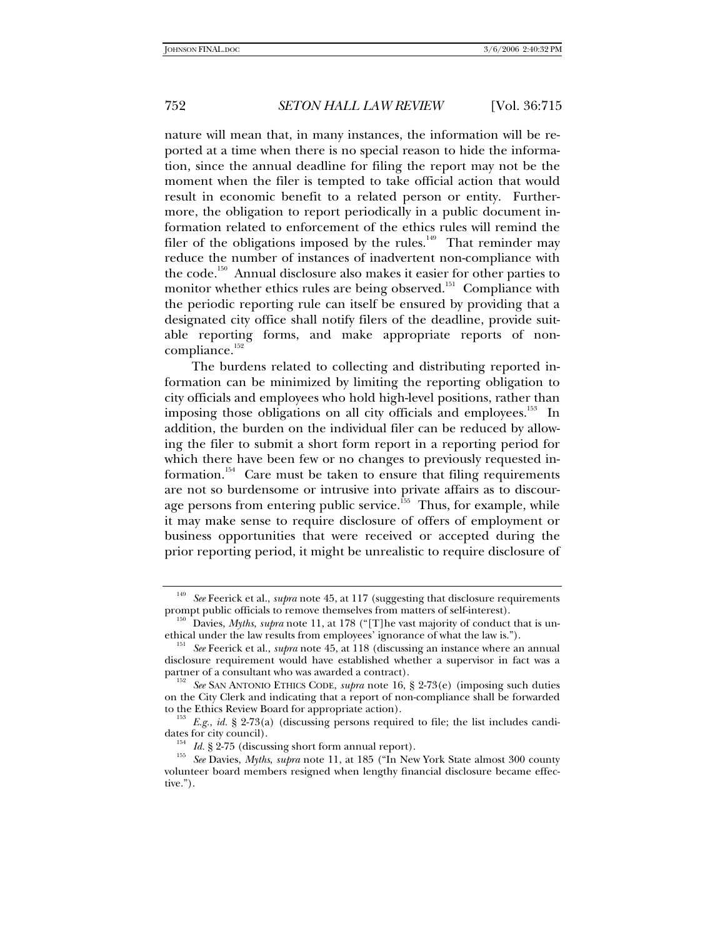nature will mean that, in many instances, the information will be reported at a time when there is no special reason to hide the information, since the annual deadline for filing the report may not be the moment when the filer is tempted to take official action that would result in economic benefit to a related person or entity. Furthermore, the obligation to report periodically in a public document information related to enforcement of the ethics rules will remind the filer of the obligations imposed by the rules.<sup>149</sup> That reminder may reduce the number of instances of inadvertent non-compliance with the code.<sup>150</sup> Annual disclosure also makes it easier for other parties to monitor whether ethics rules are being observed.<sup>151</sup> Compliance with the periodic reporting rule can itself be ensured by providing that a designated city office shall notify filers of the deadline, provide suitable reporting forms, and make appropriate reports of noncompliance.<sup>152</sup>

The burdens related to collecting and distributing reported information can be minimized by limiting the reporting obligation to city officials and employees who hold high-level positions, rather than imposing those obligations on all city officials and employees.<sup>153</sup> In addition, the burden on the individual filer can be reduced by allowing the filer to submit a short form report in a reporting period for which there have been few or no changes to previously requested information.<sup>154</sup> Care must be taken to ensure that filing requirements are not so burdensome or intrusive into private affairs as to discourage persons from entering public service.<sup>155</sup> Thus, for example, while it may make sense to require disclosure of offers of employment or business opportunities that were received or accepted during the prior reporting period, it might be unrealistic to require disclosure of

<sup>&</sup>lt;sup>149</sup> See Feerick et al., *supra* note 45, at 117 (suggesting that disclosure requirements prompt public officials to remove themselves from matters of self-interest).

<sup>&</sup>lt;sup>150</sup> Davies, *Myths*, *supra* note 11, at 178 ("[T]he vast majority of conduct that is unethical under the law results from employees' ignorance of what the law is.").

See Feerick et al., *supra* note 45, at 118 (discussing an instance where an annual disclosure requirement would have established whether a supervisor in fact was a partner of a consultant who was awarded a contract).

partner of a consultant who was awarded a contract). <sup>152</sup> *See* SAN ANTONIO ETHICS CODE, *supra* note 16, § 2-73(e) (imposing such duties on the City Clerk and indicating that a report of non-compliance shall be forwarded

to the Ethics Review Board for appropriate action).<br><sup>153</sup> E.g., *id.* § 2-73(a) (discussing persons required to file; the list includes candi-<br>dates for city council).

<sup>&</sup>lt;sup>154</sup> Id. § 2-75 (discussing short form annual report).<br><sup>155</sup> See Davies, *Myths, supra* note 11, at 185 ("In New York State almost 300 county volunteer board members resigned when lengthy financial disclosure became effective.").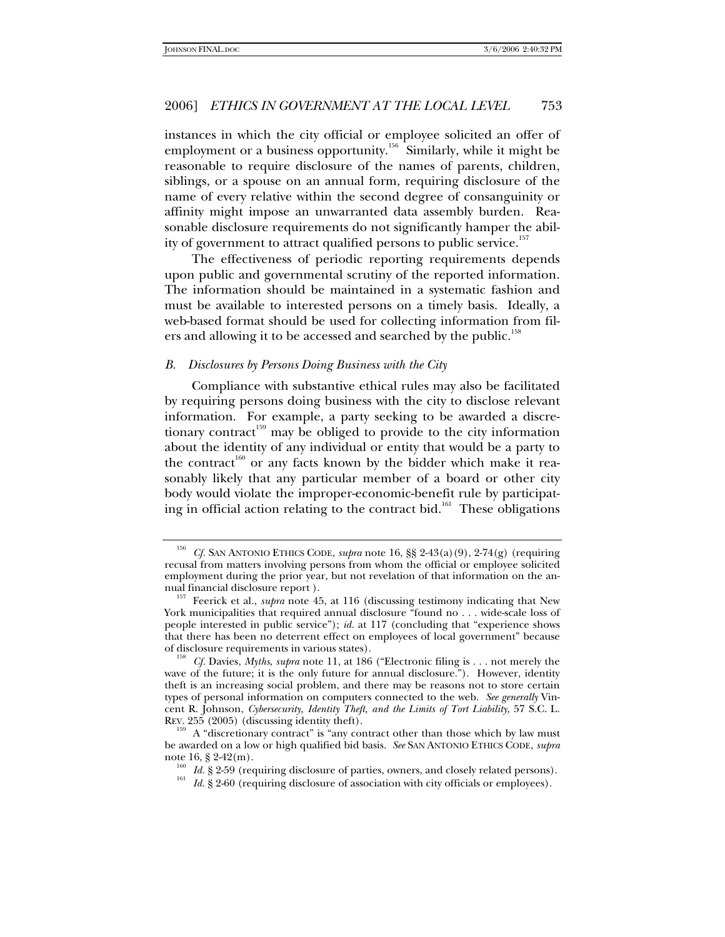instances in which the city official or employee solicited an offer of employment or a business opportunity.<sup>156</sup> Similarly, while it might be reasonable to require disclosure of the names of parents, children, siblings, or a spouse on an annual form, requiring disclosure of the name of every relative within the second degree of consanguinity or affinity might impose an unwarranted data assembly burden. Reasonable disclosure requirements do not significantly hamper the ability of government to attract qualified persons to public service.<sup>157</sup>

The effectiveness of periodic reporting requirements depends upon public and governmental scrutiny of the reported information. The information should be maintained in a systematic fashion and must be available to interested persons on a timely basis. Ideally, a web-based format should be used for collecting information from filers and allowing it to be accessed and searched by the public.<sup>158</sup>

#### *B. Disclosures by Persons Doing Business with the City*

Compliance with substantive ethical rules may also be facilitated by requiring persons doing business with the city to disclose relevant information. For example, a party seeking to be awarded a discretionary contract<sup>159</sup> may be obliged to provide to the city information about the identity of any individual or entity that would be a party to the contract<sup>160</sup> or any facts known by the bidder which make it reasonably likely that any particular member of a board or other city body would violate the improper-economic-benefit rule by participating in official action relating to the contract bid.<sup>161</sup> These obligations

<sup>156</sup> *Cf.* SAN ANTONIO ETHICS CODE, *supra* note 16, §§ 2-43(a)(9), 2-74(g) (requiring recusal from matters involving persons from whom the official or employee solicited employment during the prior year, but not revelation of that information on the annual financial disclosure report ). 157 Feerick et al., *supra* note 45, at 116 (discussing testimony indicating that New

York municipalities that required annual disclosure "found no . . . wide-scale loss of people interested in public service"); *id.* at 117 (concluding that "experience shows that there has been no deterrent effect on employees of local government" because of disclosure requirements in various states). <sup>158</sup> *Cf.* Davies, *Myths*, *supra* note 11, at 186 ("Electronic filing is . . . not merely the

wave of the future; it is the only future for annual disclosure."). However, identity theft is an increasing social problem, and there may be reasons not to store certain types of personal information on computers connected to the web. *See generally* Vincent R. Johnson, *Cybersecurity, Identity Theft, and the Limits of Tort Liability*, 57 S.C. L. REV. 255 (2005) (discussing identity theft).

<sup>159</sup> A "discretionary contract" is "any contract other than those which by law must be awarded on a low or high qualified bid basis. *See* SAN ANTONIO ETHICS CODE, *supra*  note 16, § 2-42(m).<br><sup>160</sup> *Id.* § 2-59 (requiring disclosure of parties, owners, and closely related persons).<br><sup>161</sup> *Id.* § 2-60 (requiring disclosure of association with city officials or employees).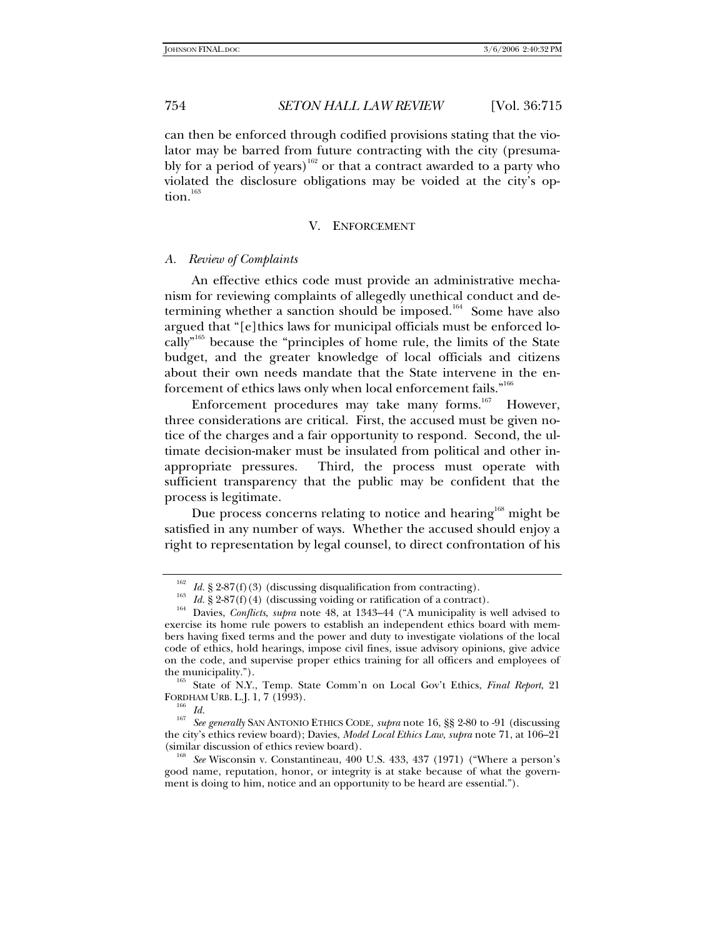can then be enforced through codified provisions stating that the violator may be barred from future contracting with the city (presumably for a period of years)<sup>162</sup> or that a contract awarded to a party who violated the disclosure obligations may be voided at the city's option.<sup>163</sup>

#### V. ENFORCEMENT

# *A. Review of Complaints*

An effective ethics code must provide an administrative mechanism for reviewing complaints of allegedly unethical conduct and determining whether a sanction should be imposed.<sup>164</sup> Some have also argued that "[e]thics laws for municipal officials must be enforced locally"165 because the "principles of home rule, the limits of the State budget, and the greater knowledge of local officials and citizens about their own needs mandate that the State intervene in the enforcement of ethics laws only when local enforcement fails."166

Enforcement procedures may take many forms. $167$  However, three considerations are critical. First, the accused must be given notice of the charges and a fair opportunity to respond. Second, the ultimate decision-maker must be insulated from political and other inappropriate pressures. Third, the process must operate with sufficient transparency that the public may be confident that the process is legitimate.

Due process concerns relating to notice and hearing<sup>168</sup> might be satisfied in any number of ways. Whether the accused should enjoy a right to representation by legal counsel, to direct confrontation of his

<sup>&</sup>lt;sup>162</sup> *Id.* § 2-87(f)(3) (discussing disqualification from contracting).<br><sup>163</sup> *Id.* § 2-87(f)(4) (discussing voiding or ratification of a contract).<br><sup>164</sup> Davies, *Conflicts*, *supra* note 48, at 1343–44 ("A municipality exercise its home rule powers to establish an independent ethics board with members having fixed terms and the power and duty to investigate violations of the local code of ethics, hold hearings, impose civil fines, issue advisory opinions, give advice on the code, and supervise proper ethics training for all officers and employees of

the municipality.").<br><sup>165</sup> State of N.Y., Temp. State Comm'n on Local Gov't Ethics, *Final Report*, 21<br>FORDHAM URB. L.J. 1, 7 (1993).

<sup>&</sup>lt;sup>166</sup> Id.<br><sup>167</sup> See generally SAN ANTONIO ETHICS CODE, *supra* note 16, §§ 2-80 to -91 (discussing the city's ethics review board); Davies, *Model Local Ethics Law*, *supra* note 71, at 106–21

<sup>&</sup>lt;sup>168</sup> See Wisconsin v. Constantineau, 400 U.S. 433, 437 (1971) ("Where a person's good name, reputation, honor, or integrity is at stake because of what the government is doing to him, notice and an opportunity to be heard are essential.").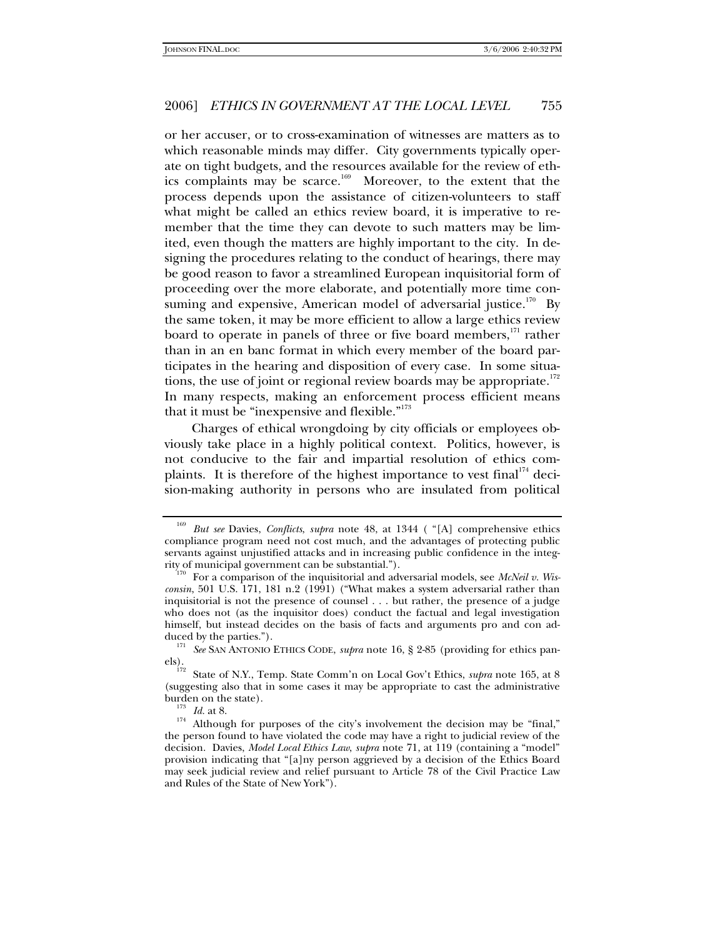or her accuser, or to cross-examination of witnesses are matters as to which reasonable minds may differ. City governments typically operate on tight budgets, and the resources available for the review of ethics complaints may be scarce.<sup>169</sup> Moreover, to the extent that the process depends upon the assistance of citizen-volunteers to staff what might be called an ethics review board, it is imperative to remember that the time they can devote to such matters may be limited, even though the matters are highly important to the city. In designing the procedures relating to the conduct of hearings, there may be good reason to favor a streamlined European inquisitorial form of proceeding over the more elaborate, and potentially more time consuming and expensive, American model of adversarial justice.<sup>170</sup> By the same token, it may be more efficient to allow a large ethics review board to operate in panels of three or five board members, $171$  rather than in an en banc format in which every member of the board participates in the hearing and disposition of every case. In some situations, the use of joint or regional review boards may be appropriate.<sup>172</sup> In many respects, making an enforcement process efficient means that it must be "inexpensive and flexible."<sup>173</sup>

Charges of ethical wrongdoing by city officials or employees obviously take place in a highly political context. Politics, however, is not conducive to the fair and impartial resolution of ethics complaints. It is therefore of the highest importance to vest final<sup>174</sup> decision-making authority in persons who are insulated from political

<sup>169</sup> *But see* Davies, *Conflicts*, *supra* note 48, at 1344 ( "[A] comprehensive ethics compliance program need not cost much, and the advantages of protecting public servants against unjustified attacks and in increasing public confidence in the integrity of municipal government can be substantial.").

<sup>&</sup>lt;sup>70</sup> For a comparison of the inquisitorial and adversarial models, see *McNeil v. Wisconsin*, 501 U.S. 171, 181 n.2 (1991) ("What makes a system adversarial rather than inquisitorial is not the presence of counsel . . . but rather, the presence of a judge who does not (as the inquisitor does) conduct the factual and legal investigation himself, but instead decides on the basis of facts and arguments pro and con adduced by the parties.").

<sup>&</sup>lt;sup>171</sup> See SAN ANTONIO ETHICS CODE, *supra* note 16, § 2-85 (providing for ethics pan-<br>els).

State of N.Y., Temp. State Comm'n on Local Gov't Ethics, *supra* note 165, at 8 (suggesting also that in some cases it may be appropriate to cast the administrative

burden on the state).<br><sup>173</sup> *Id.* at 8.<br><sup>174</sup> Although for purposes of the city's involvement the decision may be "final," the person found to have violated the code may have a right to judicial review of the decision. Davies, *Model Local Ethics Law*, *supra* note 71, at 119 (containing a "model" provision indicating that "[a]ny person aggrieved by a decision of the Ethics Board may seek judicial review and relief pursuant to Article 78 of the Civil Practice Law and Rules of the State of New York").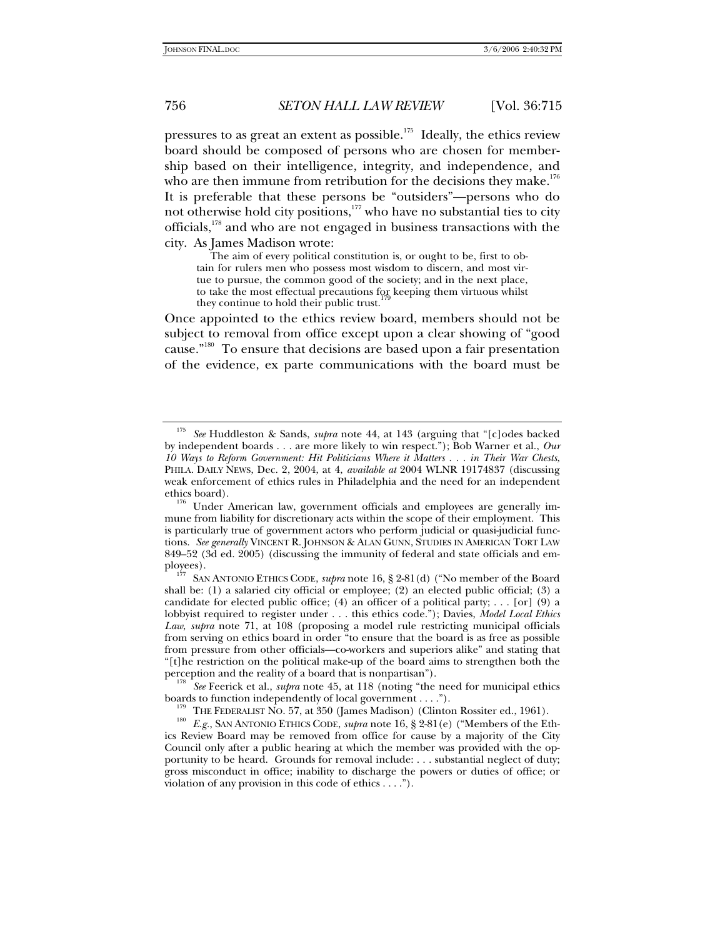pressures to as great an extent as possible.175 Ideally, the ethics review board should be composed of persons who are chosen for membership based on their intelligence, integrity, and independence, and who are then immune from retribution for the decisions they make.<sup>176</sup> It is preferable that these persons be "outsiders"—persons who do not otherwise hold city positions,177 who have no substantial ties to city officials,178 and who are not engaged in business transactions with the city. As James Madison wrote:

 The aim of every political constitution is, or ought to be, first to obtain for rulers men who possess most wisdom to discern, and most virtue to pursue, the common good of the society; and in the next place, to take the most effectual precautions for keeping them virtuous whilst they continue to hold their public trust.

Once appointed to the ethics review board, members should not be subject to removal from office except upon a clear showing of "good cause."180 To ensure that decisions are based upon a fair presentation of the evidence, ex parte communications with the board must be

<sup>175</sup> *See* Huddleston & Sands, *supra* note 44, at 143 (arguing that "[c]odes backed by independent boards . . . are more likely to win respect."); Bob Warner et al., *Our 10 Ways to Reform Government: Hit Politicians Where it Matters . . . in Their War Chests*, PHILA. DAILY NEWS, Dec. 2, 2004, at 4, *available at* 2004 WLNR 19174837 (discussing weak enforcement of ethics rules in Philadelphia and the need for an independent

<sup>&</sup>lt;sup>176</sup> Under American law, government officials and employees are generally immune from liability for discretionary acts within the scope of their employment. This is particularly true of government actors who perform judicial or quasi-judicial functions. *See generally* VINCENT R. JOHNSON & ALAN GUNN, STUDIES IN AMERICAN TORT LAW 849–52 (3d ed. 2005) (discussing the immunity of federal and state officials and em-

SAN ANTONIO ETHICS CODE, *supra* note 16, § 2-81(d) ("No member of the Board shall be: (1) a salaried city official or employee; (2) an elected public official; (3) a candidate for elected public office; (4) an officer of a political party; ... [or] (9) a lobbyist required to register under . . . this ethics code."); Davies, *Model Local Ethics Law*, *supra* note 71, at 108 (proposing a model rule restricting municipal officials from serving on ethics board in order "to ensure that the board is as free as possible from pressure from other officials—co-workers and superiors alike" and stating that "[t]he restriction on the political make-up of the board aims to strengthen both the

*See* Feerick et al., *supra* note 45, at 118 (noting "the need for municipal ethics boards to function independently of local government . . . .").<br><sup>179</sup> THE FEDERALIST NO. 57, at 350 (James Madison) (Clinton Rossiter ed., 1961).<br><sup>180</sup> E.g., SAN ANTONIO ETHICS CODE, *supra* note 16, § 2-81(e) ("Members o

ics Review Board may be removed from office for cause by a majority of the City Council only after a public hearing at which the member was provided with the opportunity to be heard. Grounds for removal include: . . . substantial neglect of duty; gross misconduct in office; inability to discharge the powers or duties of office; or violation of any provision in this code of ethics  $\dots$ .").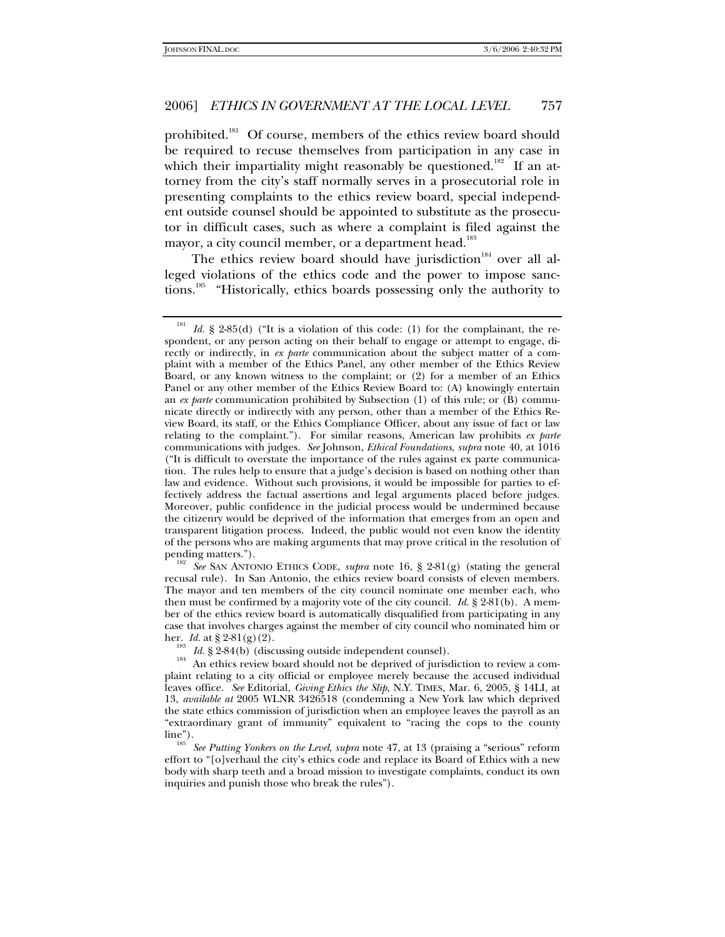prohibited.<sup>181</sup> Of course, members of the ethics review board should be required to recuse themselves from participation in any case in which their impartiality might reasonably be questioned.<sup>182</sup> If an attorney from the city's staff normally serves in a prosecutorial role in presenting complaints to the ethics review board, special independent outside counsel should be appointed to substitute as the prosecutor in difficult cases, such as where a complaint is filed against the mayor, a city council member, or a department head.<sup>183</sup>

The ethics review board should have jurisdiction<sup>184</sup> over all alleged violations of the ethics code and the power to impose sanctions.185 "Historically, ethics boards possessing only the authority to

<sup>182</sup> See SAN ANTONIO ETHICS CODE, *supra* note 16, § 2-81(g) (stating the general recusal rule). In San Antonio, the ethics review board consists of eleven members. The mayor and ten members of the city council nominate one member each, who then must be confirmed by a majority vote of the city council. *Id.* § 2-81(b). A member of the ethics review board is automatically disqualified from participating in any case that involves charges against the member of city council who nominated him or

Id. § 2-85(d) ("It is a violation of this code: (1) for the complainant, the respondent, or any person acting on their behalf to engage or attempt to engage, directly or indirectly, in *ex parte* communication about the subject matter of a complaint with a member of the Ethics Panel, any other member of the Ethics Review Board, or any known witness to the complaint; or (2) for a member of an Ethics Panel or any other member of the Ethics Review Board to: (A) knowingly entertain an *ex parte* communication prohibited by Subsection (1) of this rule; or (B) communicate directly or indirectly with any person, other than a member of the Ethics Review Board, its staff, or the Ethics Compliance Officer, about any issue of fact or law relating to the complaint."). For similar reasons, American law prohibits *ex parte* communications with judges. *See* Johnson, *Ethical Foundations*, *supra* note 40, at 1016 ("It is difficult to overstate the importance of the rules against ex parte communication. The rules help to ensure that a judge's decision is based on nothing other than law and evidence. Without such provisions, it would be impossible for parties to effectively address the factual assertions and legal arguments placed before judges. Moreover, public confidence in the judicial process would be undermined because the citizenry would be deprived of the information that emerges from an open and transparent litigation process. Indeed, the public would not even know the identity of the persons who are making arguments that may prove critical in the resolution of

her. *Id.* at § 2-81(g)(2).<br><sup>183</sup> *Id.* § 2-84(b) (discussing outside independent counsel).<br><sup>184</sup> An ethics review board should not be deprived of jurisdiction to review a complaint relating to a city official or employee merely because the accused individual leaves office. *See* Editorial, *Giving Ethics the Slip*, N.Y. TIMES, Mar. 6, 2005, § 14LI, at 13, *available at* 2005 WLNR 3426518 (condemning a New York law which deprived the state ethics commission of jurisdiction when an employee leaves the payroll as an "extraordinary grant of immunity" equivalent to "racing the cops to the county

line"). <sup>185</sup> *See Putting Yonkers on the Level*, *supra* note 47, at 13 (praising a "serious" reform effort to "[o]verhaul the city's ethics code and replace its Board of Ethics with a new body with sharp teeth and a broad mission to investigate complaints, conduct its own inquiries and punish those who break the rules").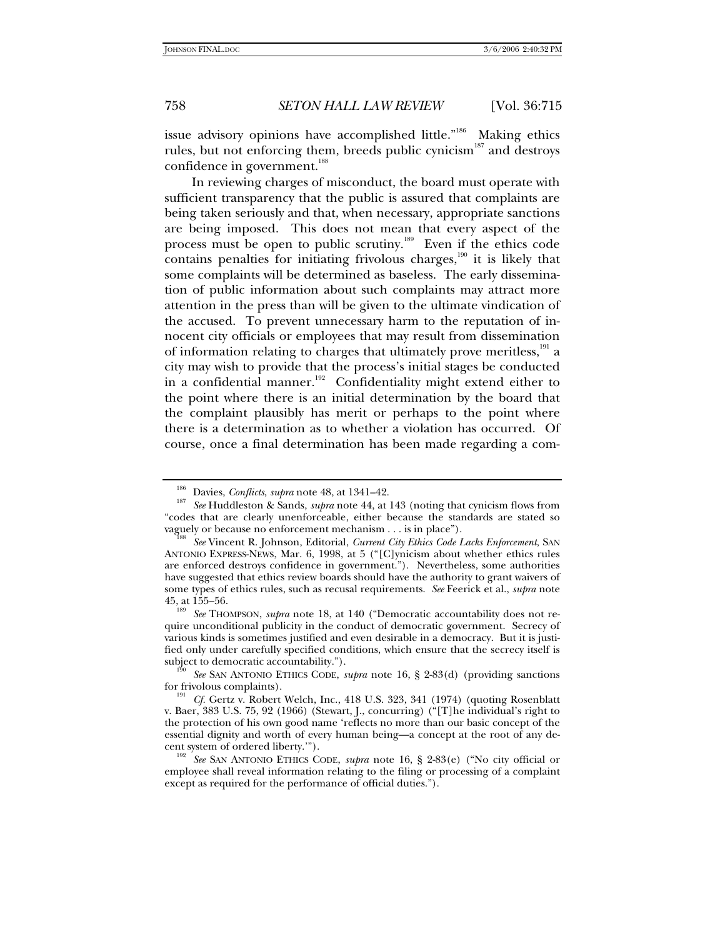issue advisory opinions have accomplished little."<sup>186</sup> Making ethics rules, but not enforcing them, breeds public cynicism<sup>187</sup> and destroys confidence in government.<sup>188</sup>

In reviewing charges of misconduct, the board must operate with sufficient transparency that the public is assured that complaints are being taken seriously and that, when necessary, appropriate sanctions are being imposed. This does not mean that every aspect of the process must be open to public scrutiny.189 Even if the ethics code contains penalties for initiating frivolous charges, $190$  it is likely that some complaints will be determined as baseless. The early dissemination of public information about such complaints may attract more attention in the press than will be given to the ultimate vindication of the accused. To prevent unnecessary harm to the reputation of innocent city officials or employees that may result from dissemination of information relating to charges that ultimately prove meritless,<sup>191</sup> a city may wish to provide that the process's initial stages be conducted in a confidential manner.<sup>192</sup> Confidentiality might extend either to the point where there is an initial determination by the board that the complaint plausibly has merit or perhaps to the point where there is a determination as to whether a violation has occurred. Of course, once a final determination has been made regarding a com-

<sup>&</sup>lt;sup>186</sup> Davies, *Conflicts*, *supra* note 48, at 1341–42.<br><sup>187</sup> See Huddleston & Sands, *supra* note 44, at 143 (noting that cynicism flows from "codes that are clearly unenforceable, either because the standards are stated so vaguely or because no enforcement mechanism . . . is in place"). <sup>188</sup> *See* Vincent R. Johnson, Editorial, *Current City Ethics Code Lacks Enforcement*, SAN

ANTONIO EXPRESS-NEWS, Mar. 6, 1998, at 5 ("[C]ynicism about whether ethics rules are enforced destroys confidence in government."). Nevertheless, some authorities have suggested that ethics review boards should have the authority to grant waivers of some types of ethics rules, such as recusal requirements. *See* Feerick et al., *supra* note 45, at 155–56. <sup>189</sup> *See* THOMPSON, *supra* note 18, at 140 ("Democratic accountability does not re-

quire unconditional publicity in the conduct of democratic government. Secrecy of various kinds is sometimes justified and even desirable in a democracy. But it is justified only under carefully specified conditions, which ensure that the secrecy itself is

See SAN ANTONIO ETHICS CODE, *supra* note 16, § 2-83(d) (providing sanctions for frivolous complaints). <sup>191</sup> *Cf.* Gertz v. Robert Welch, Inc., 418 U.S. 323, 341 (1974) (quoting Rosenblatt

v. Baer, 383 U.S. 75, 92 (1966) (Stewart, J., concurring) ("[T]he individual's right to the protection of his own good name 'reflects no more than our basic concept of the essential dignity and worth of every human being—a concept at the root of any de-

<sup>&</sup>lt;sup>192</sup> See SAN ANTONIO ETHICS CODE, *supra* note 16, § 2-83(e) ("No city official or employee shall reveal information relating to the filing or processing of a complaint except as required for the performance of official duties.").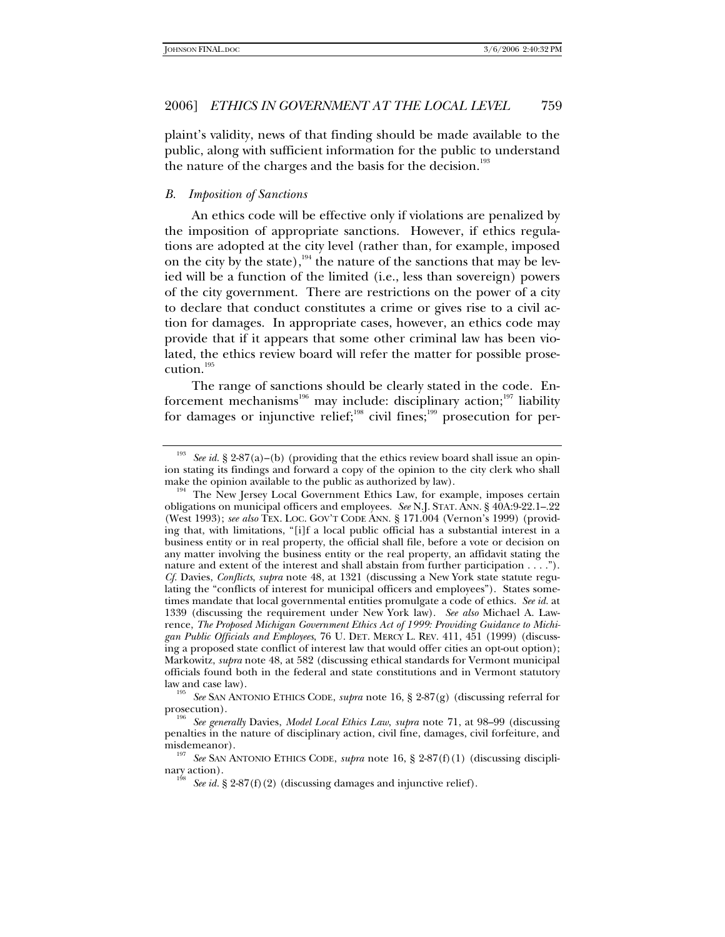plaint's validity, news of that finding should be made available to the public, along with sufficient information for the public to understand the nature of the charges and the basis for the decision.<sup>193</sup>

### *B. Imposition of Sanctions*

An ethics code will be effective only if violations are penalized by the imposition of appropriate sanctions. However, if ethics regulations are adopted at the city level (rather than, for example, imposed on the city by the state),<sup>194</sup> the nature of the sanctions that may be levied will be a function of the limited (i.e., less than sovereign) powers of the city government. There are restrictions on the power of a city to declare that conduct constitutes a crime or gives rise to a civil action for damages. In appropriate cases, however, an ethics code may provide that if it appears that some other criminal law has been violated, the ethics review board will refer the matter for possible prosecution.<sup>195</sup>

The range of sanctions should be clearly stated in the code. Enforcement mechanisms<sup>196</sup> may include: disciplinary action;<sup>197</sup> liability for damages or injunctive relief;<sup>198</sup> civil fines;<sup>199</sup> prosecution for per-

See id. § 2-87(a)–(b) (providing that the ethics review board shall issue an opinion stating its findings and forward a copy of the opinion to the city clerk who shall make the opinion available to the public as authorized by law).<br><sup>194</sup> The New Jersey Local Government Ethics Law, for example, imposes certain

obligations on municipal officers and employees. *See* N.J. STAT. ANN. § 40A:9-22.1–.22 (West 1993); *see also* TEX. LOC. GOV'T CODE ANN. § 171.004 (Vernon's 1999) (providing that, with limitations, "[i]f a local public official has a substantial interest in a business entity or in real property, the official shall file, before a vote or decision on any matter involving the business entity or the real property, an affidavit stating the nature and extent of the interest and shall abstain from further participation . . . ."). *Cf.* Davies, *Conflicts*, *supra* note 48, at 1321 (discussing a New York state statute regulating the "conflicts of interest for municipal officers and employees"). States sometimes mandate that local governmental entities promulgate a code of ethics. *See id.* at 1339 (discussing the requirement under New York law). *See also* Michael A. Lawrence, *The Proposed Michigan Government Ethics Act of 1999: Providing Guidance to Michigan Public Officials and Employees*, 76 U. DET. MERCY L. REV. 411, 451 (1999) (discussing a proposed state conflict of interest law that would offer cities an opt-out option); Markowitz, *supra* note 48, at 582 (discussing ethical standards for Vermont municipal officials found both in the federal and state constitutions and in Vermont statutory

law and case law). <sup>195</sup> *See* SAN ANTONIO ETHICS CODE, *supra* note 16, § 2-87(g) (discussing referral for prosecution). <sup>196</sup> *See generally* Davies, *Model Local Ethics Law*, *supra* note 71, at 98–99 (discussing

penalties in the nature of disciplinary action, civil fine, damages, civil forfeiture, and misdemeanor).<br><sup>197</sup> See SAN ANTONIO ETHICS CODE, *supra* note 16, § 2-87(f)(1) (discussing discipli-

nary action).<br><sup>198</sup> See id. § 2-87(f)(2) (discussing damages and injunctive relief).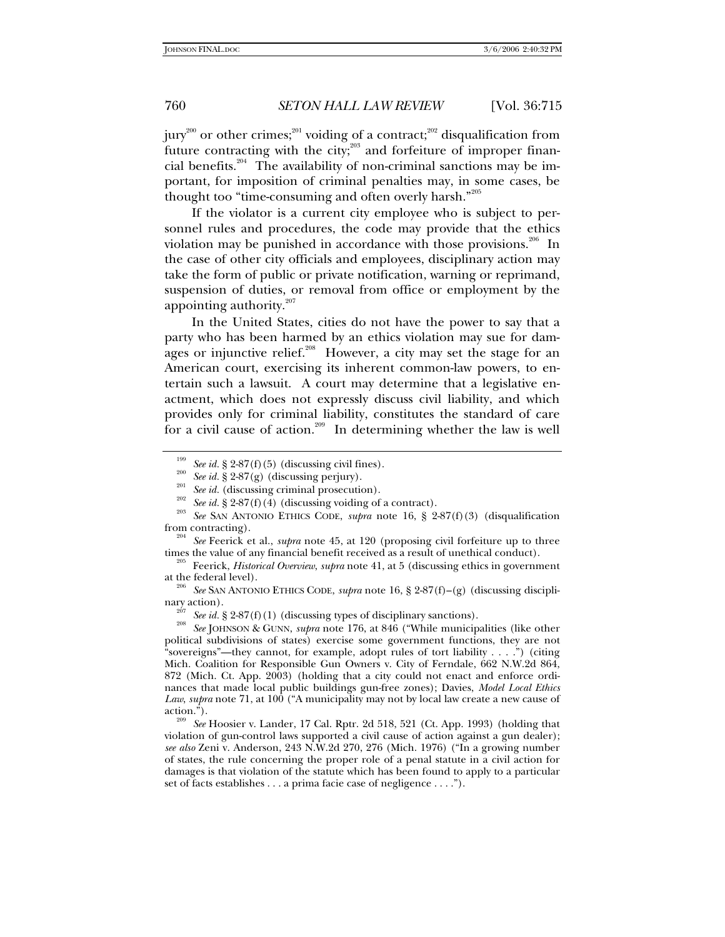jury<sup>200</sup> or other crimes;<sup>201</sup> voiding of a contract;<sup>202</sup> disqualification from future contracting with the city;<sup>203</sup> and forfeiture of improper financial benefits.<sup>204</sup> The availability of non-criminal sanctions may be important, for imposition of criminal penalties may, in some cases, be thought too "time-consuming and often overly harsh."<sup>205</sup>

If the violator is a current city employee who is subject to personnel rules and procedures, the code may provide that the ethics violation may be punished in accordance with those provisions.<sup>206</sup> In the case of other city officials and employees, disciplinary action may take the form of public or private notification, warning or reprimand, suspension of duties, or removal from office or employment by the appointing authority. $207$ 

In the United States, cities do not have the power to say that a party who has been harmed by an ethics violation may sue for damages or injunctive relief.<sup>208</sup> However, a city may set the stage for an American court, exercising its inherent common-law powers, to entertain such a lawsuit. A court may determine that a legislative enactment, which does not expressly discuss civil liability, and which provides only for criminal liability, constitutes the standard of care for a civil cause of action.<sup>209</sup> In determining whether the law is well

times the value of any financial benefit received as a result of unethical conduct). 205 Feerick, *Historical Overview*, *supra* note 41, at 5 (discussing ethics in government

at the federal level). <sup>206</sup> *See* SAN ANTONIO ETHICS CODE, *supra* note 16, § 2-87(f)–(g) (discussing discipli-

nary action).<br><sup>207</sup> See *id.* § 2-87(f)(1) (discussing types of disciplinary sanctions).<br><sup>208</sup> See JOHNSON & GUNN, *supra* note 176, at 846 ("While municipalities (like other

political subdivisions of states) exercise some government functions, they are not "sovereigns"—they cannot, for example, adopt rules of tort liability . . . .") (citing Mich. Coalition for Responsible Gun Owners v. City of Ferndale, 662 N.W.2d 864, 872 (Mich. Ct. App. 2003) (holding that a city could not enact and enforce ordinances that made local public buildings gun-free zones); Davies, *Model Local Ethics Law*, *supra* note 71, at 100 ("A municipality may not by local law create a new cause of action."). <sup>209</sup> *See* Hoosier v. Lander, 17 Cal. Rptr. 2d 518, 521 (Ct. App. 1993) (holding that

violation of gun-control laws supported a civil cause of action against a gun dealer); *see also* Zeni v. Anderson, 243 N.W.2d 270, 276 (Mich. 1976) ("In a growing number of states, the rule concerning the proper role of a penal statute in a civil action for damages is that violation of the statute which has been found to apply to a particular set of facts establishes . . . a prima facie case of negligence . . . .").

<sup>&</sup>lt;sup>199</sup> See id. § 2-87(f)(5) (discussing civil fines).<br><sup>200</sup> See id. § 2-87(g) (discussing perjury).<br><sup>201</sup> See id. (discussing criminal prosecution).<br><sup>202</sup> See id. § 2-87(f)(4) (discussing voiding of a contract).<br><sup>203</sup> See from contracting). <sup>204</sup> *See* Feerick et al., *supra* note 45, at 120 (proposing civil forfeiture up to three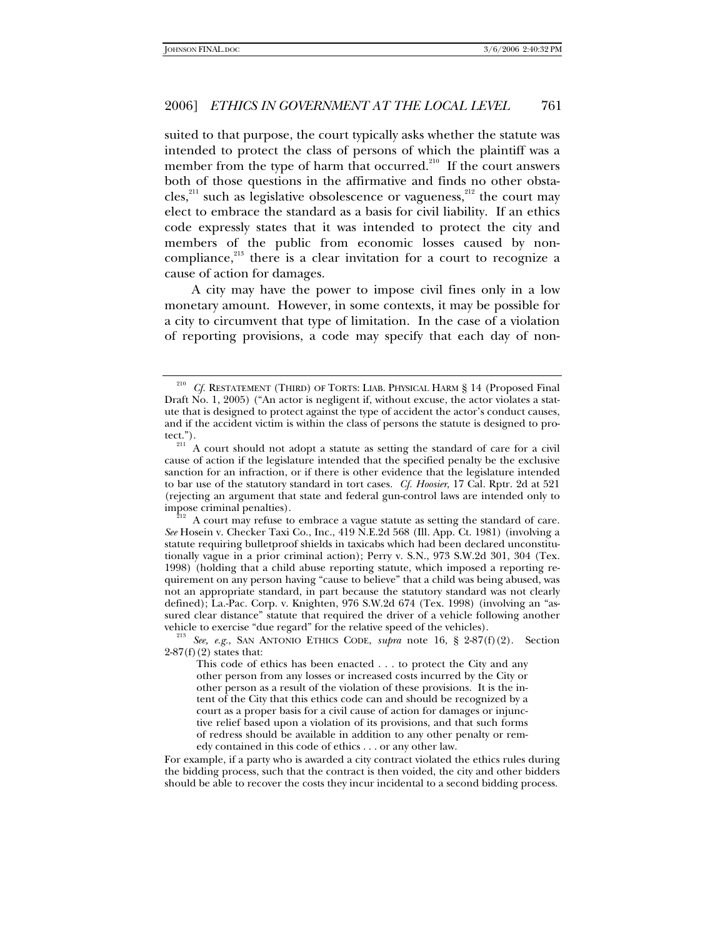suited to that purpose, the court typically asks whether the statute was intended to protect the class of persons of which the plaintiff was a member from the type of harm that occurred.<sup>210</sup> If the court answers both of those questions in the affirmative and finds no other obstacles,<sup>211</sup> such as legislative obsolescence or vagueness,<sup>212</sup> the court may elect to embrace the standard as a basis for civil liability. If an ethics code expressly states that it was intended to protect the city and members of the public from economic losses caused by noncompliance, $^{213}$  there is a clear invitation for a court to recognize a cause of action for damages.

A city may have the power to impose civil fines only in a low monetary amount. However, in some contexts, it may be possible for a city to circumvent that type of limitation. In the case of a violation of reporting provisions, a code may specify that each day of non-

For example, if a party who is awarded a city contract violated the ethics rules during the bidding process, such that the contract is then voided, the city and other bidders should be able to recover the costs they incur incidental to a second bidding process.

<sup>&</sup>lt;sup>210</sup> Cf. RESTATEMENT (THIRD) OF TORTS: LIAB. PHYSICAL HARM § 14 (Proposed Final Draft No. 1, 2005) ("An actor is negligent if, without excuse, the actor violates a statute that is designed to protect against the type of accident the actor's conduct causes, and if the accident victim is within the class of persons the statute is designed to pro-

tect.").<br><sup>211</sup> A court should not adopt a statute as setting the standard of care for a civil cause of action if the legislature intended that the specified penalty be the exclusive sanction for an infraction, or if there is other evidence that the legislature intended to bar use of the statutory standard in tort cases. *Cf. Hoosier*, 17 Cal. Rptr. 2d at 521 (rejecting an argument that state and federal gun-control laws are intended only to impose criminal penalties). 212  $\frac{212}{212}$  A court may refuse to embrace a vague statute as setting the standard of care.

*See* Hosein v. Checker Taxi Co., Inc., 419 N.E.2d 568 (Ill. App. Ct. 1981) (involving a statute requiring bulletproof shields in taxicabs which had been declared unconstitutionally vague in a prior criminal action); Perry v. S.N., 973 S.W.2d 301, 304 (Tex. 1998) (holding that a child abuse reporting statute, which imposed a reporting requirement on any person having "cause to believe" that a child was being abused, was not an appropriate standard, in part because the statutory standard was not clearly defined); La.-Pac. Corp. v. Knighten, 976 S.W.2d 674 (Tex. 1998) (involving an "assured clear distance" statute that required the driver of a vehicle following another vehicle to exercise "due regard" for the relative speed of the vehicles). <sup>213</sup> *See, e.g.*, SAN ANTONIO ETHICS CODE, *supra* note 16, § 2-87(f)(2). Section

 $2-87(f)(2)$  states that:

This code of ethics has been enacted . . . to protect the City and any other person from any losses or increased costs incurred by the City or other person as a result of the violation of these provisions. It is the intent of the City that this ethics code can and should be recognized by a court as a proper basis for a civil cause of action for damages or injunctive relief based upon a violation of its provisions, and that such forms of redress should be available in addition to any other penalty or remedy contained in this code of ethics . . . or any other law.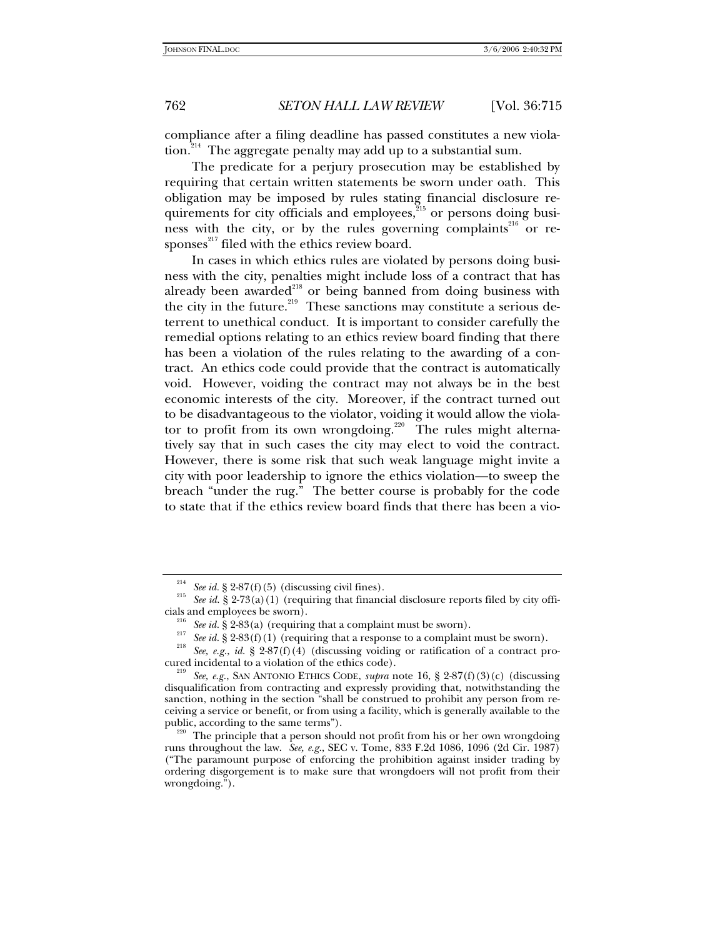compliance after a filing deadline has passed constitutes a new violation.<sup>214</sup> The aggregate penalty may add up to a substantial sum.

The predicate for a perjury prosecution may be established by requiring that certain written statements be sworn under oath. This obligation may be imposed by rules stating financial disclosure requirements for city officials and employees,<sup>215</sup> or persons doing business with the city, or by the rules governing complaints<sup>216</sup> or responses $^{217}$  filed with the ethics review board.

In cases in which ethics rules are violated by persons doing business with the city, penalties might include loss of a contract that has already been awarded $^{218}$  or being banned from doing business with the city in the future.<sup>219</sup> These sanctions may constitute a serious deterrent to unethical conduct. It is important to consider carefully the remedial options relating to an ethics review board finding that there has been a violation of the rules relating to the awarding of a contract. An ethics code could provide that the contract is automatically void. However, voiding the contract may not always be in the best economic interests of the city. Moreover, if the contract turned out to be disadvantageous to the violator, voiding it would allow the violator to profit from its own wrongdoing.<sup>220</sup> The rules might alternatively say that in such cases the city may elect to void the contract. However, there is some risk that such weak language might invite a city with poor leadership to ignore the ethics violation—to sweep the breach "under the rug." The better course is probably for the code to state that if the ethics review board finds that there has been a vio-

<sup>&</sup>lt;sup>214</sup> See id. § 2-87(f)(5) (discussing civil fines).<br><sup>215</sup> See id. § 2-73(a)(1) (requiring that financial disclosure reports filed by city officials and employees be sworn).

<sup>&</sup>lt;sup>216</sup> See id. § 2-83(a) (requiring that a complaint must be sworn).<br><sup>217</sup> See id. § 2-83(f)(1) (requiring that a response to a complaint must be sworn).<br><sup>218</sup> See, e.g., id. § 2-87(f)(4) (discussing voiding or ratificatio

 $\sec$ , *e.g.*, SAN ANTONIO ETHICS CODE, *supra* note 16, § 2-87(f)(3)(c) (discussing disqualification from contracting and expressly providing that, notwithstanding the sanction, nothing in the section "shall be construed to prohibit any person from receiving a service or benefit, or from using a facility, which is generally available to the

public, according to the same terms").<br><sup>220</sup> The principle that a person should not profit from his or her own wrongdoing runs throughout the law. *See, e.g.*, SEC v. Tome, 833 F.2d 1086, 1096 (2d Cir. 1987) ("The paramount purpose of enforcing the prohibition against insider trading by ordering disgorgement is to make sure that wrongdoers will not profit from their wrongdoing.").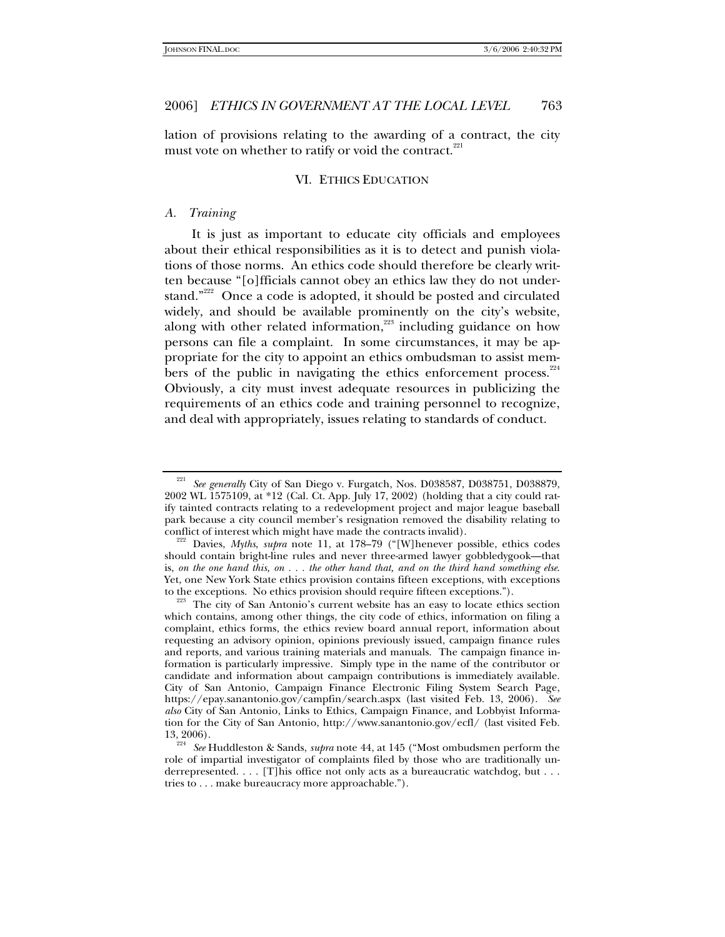lation of provisions relating to the awarding of a contract, the city must vote on whether to ratify or void the contract. $^{221}$ 

# VI. ETHICS EDUCATION

# *A. Training*

It is just as important to educate city officials and employees about their ethical responsibilities as it is to detect and punish violations of those norms. An ethics code should therefore be clearly written because "[o]fficials cannot obey an ethics law they do not understand."<sup>222</sup> Once a code is adopted, it should be posted and circulated widely, and should be available prominently on the city's website, along with other related information,<sup>223</sup> including guidance on how persons can file a complaint. In some circumstances, it may be appropriate for the city to appoint an ethics ombudsman to assist members of the public in navigating the ethics enforcement process. $224$ Obviously, a city must invest adequate resources in publicizing the requirements of an ethics code and training personnel to recognize, and deal with appropriately, issues relating to standards of conduct.

<sup>221</sup> *See generally* City of San Diego v. Furgatch, Nos. D038587, D038751, D038879, 2002 WL 1575109, at \*12 (Cal. Ct. App. July 17, 2002) (holding that a city could ratify tainted contracts relating to a redevelopment project and major league baseball park because a city council member's resignation removed the disability relating to

conflict of interest which might have made the contracts invalid). 222 Davies, *Myths*, *supra* note 11, at 178–79 ("[W]henever possible, ethics codes should contain bright-line rules and never three-armed lawyer gobbledygook—that is, *on the one hand this, on . . . the other hand that, and on the third hand something else*. Yet, one New York State ethics provision contains fifteen exceptions, with exceptions

to the exceptions. No ethics provision should require fifteen exceptions.").<br><sup>223</sup> The city of San Antonio's current website has an easy to locate ethics section which contains, among other things, the city code of ethics, information on filing a complaint, ethics forms, the ethics review board annual report, information about requesting an advisory opinion, opinions previously issued, campaign finance rules and reports, and various training materials and manuals. The campaign finance information is particularly impressive. Simply type in the name of the contributor or candidate and information about campaign contributions is immediately available. City of San Antonio, Campaign Finance Electronic Filing System Search Page, https://epay.sanantonio.gov/campfin/search.aspx (last visited Feb. 13, 2006). *See also* City of San Antonio, Links to Ethics, Campaign Finance, and Lobbyist Information for the City of San Antonio, http://www.sanantonio.gov/ecfl/ (last visited Feb. 13, 2006).

<sup>13, 2006).</sup> <sup>224</sup> *See* Huddleston & Sands, *supra* note 44, at 145 ("Most ombudsmen perform the role of impartial investigator of complaints filed by those who are traditionally underrepresented. . . . [T]his office not only acts as a bureaucratic watchdog, but . . . tries to . . . make bureaucracy more approachable.").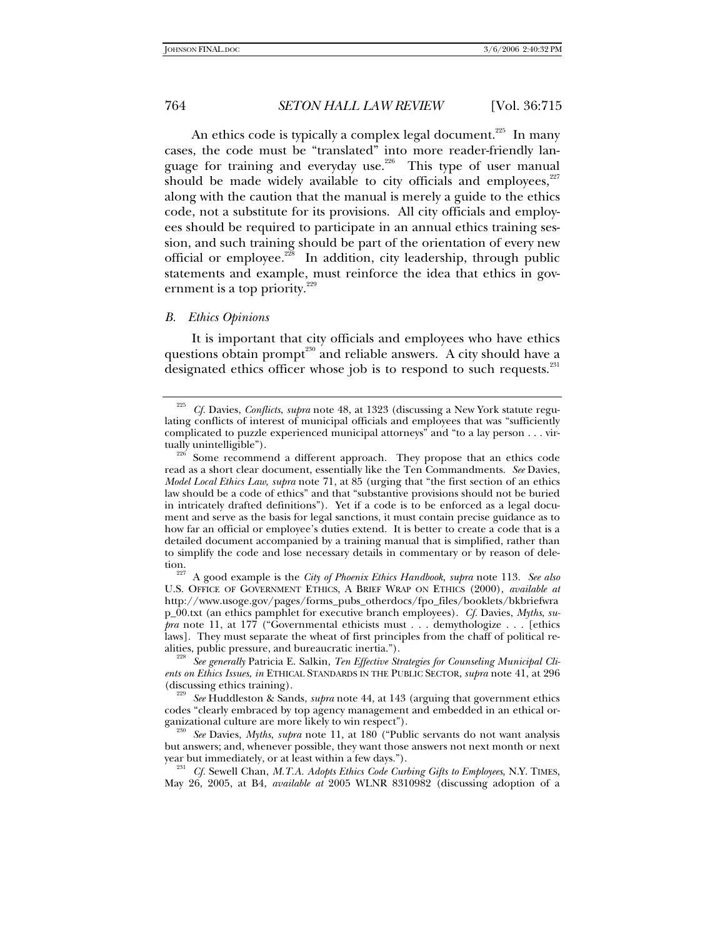An ethics code is typically a complex legal document.<sup>225</sup> In many cases, the code must be "translated" into more reader-friendly language for training and everyday use.<sup>226</sup> This type of user manual should be made widely available to city officials and employees, $227$ along with the caution that the manual is merely a guide to the ethics code, not a substitute for its provisions. All city officials and employees should be required to participate in an annual ethics training session, and such training should be part of the orientation of every new official or employee.<sup>228</sup> In addition, city leadership, through public statements and example, must reinforce the idea that ethics in government is a top priority. $229$ 

#### *B. Ethics Opinions*

It is important that city officials and employees who have ethics questions obtain prompt<sup>230</sup> and reliable answers. A city should have a designated ethics officer whose job is to respond to such requests.<sup>231</sup>

<sup>225</sup> *Cf.* Davies, *Conflicts*, *supra* note 48, at 1323 (discussing a New York statute regulating conflicts of interest of municipal officials and employees that was "sufficiently complicated to puzzle experienced municipal attorneys" and "to a lay person . . . virtually unintelligible").  $\frac{226}{2}$  Some recommend a different approach. They propose that an ethics code

read as a short clear document, essentially like the Ten Commandments. *See* Davies, *Model Local Ethics Law*, *supra* note 71, at 85 (urging that "the first section of an ethics law should be a code of ethics" and that "substantive provisions should not be buried in intricately drafted definitions"). Yet if a code is to be enforced as a legal document and serve as the basis for legal sanctions, it must contain precise guidance as to how far an official or employee's duties extend. It is better to create a code that is a detailed document accompanied by a training manual that is simplified, rather than to simplify the code and lose necessary details in commentary or by reason of deletion. 227 A good example is the *City of Phoenix Ethics Handbook*, *supra* note 113. *See also*

U.S. OFFICE OF GOVERNMENT ETHICS, A BRIEF WRAP ON ETHICS (2000), *available at* http://www.usoge.gov/pages/forms\_pubs\_otherdocs/fpo\_files/booklets/bkbriefwra p\_00.txt (an ethics pamphlet for executive branch employees). *Cf.* Davies, *Myths*, *supra* note 11, at 177 ("Governmental ethicists must . . . demythologize . . . [ethics laws]. They must separate the wheat of first principles from the chaff of political realities, public pressure, and bureaucratic inertia."). <sup>228</sup> *See generally* Patricia E. Salkin, *Ten Effective Strategies for Counseling Municipal Cli-*

*ents on Ethics Issues*, *in* ETHICAL STANDARDS IN THE PUBLIC SECTOR, *supra* note 41, at 296 (discussing ethics training). <sup>229</sup> *See* Huddleston & Sands, *supra* note 44, at 143 (arguing that government ethics

codes "clearly embraced by top agency management and embedded in an ethical or-

See Davies, *Myths, supra* note 11, at 180 ("Public servants do not want analysis but answers; and, whenever possible, they want those answers not next month or next

Cf. Sewell Chan, *M.T.A. Adopts Ethics Code Curbing Gifts to Employees*, N.Y. TIMES, May 26, 2005, at B4, *available at* 2005 WLNR 8310982 (discussing adoption of a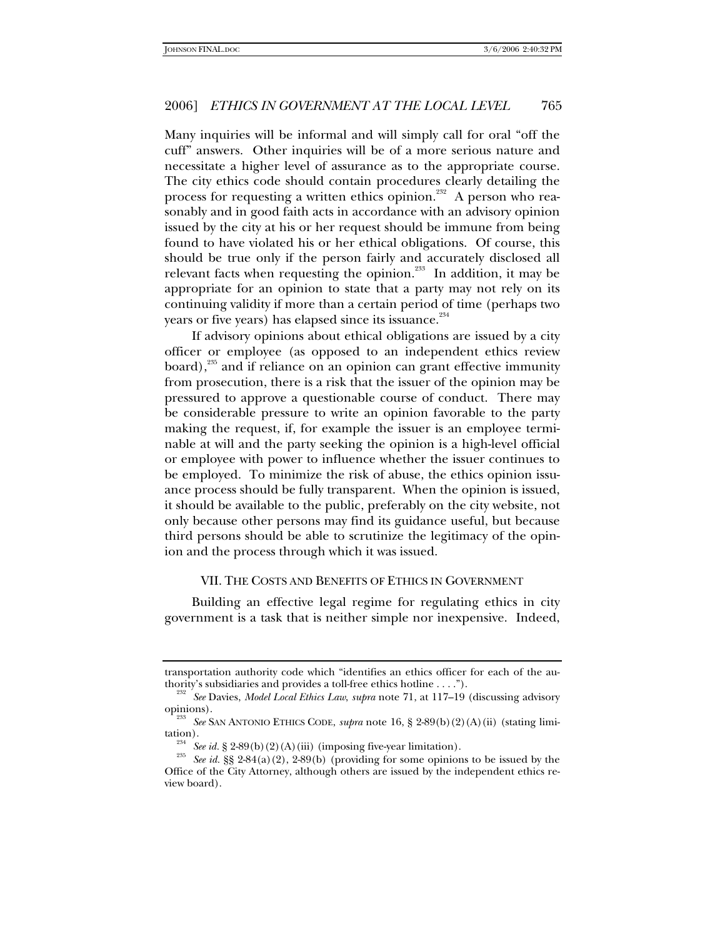Many inquiries will be informal and will simply call for oral "off the cuff" answers. Other inquiries will be of a more serious nature and necessitate a higher level of assurance as to the appropriate course. The city ethics code should contain procedures clearly detailing the process for requesting a written ethics opinion.<sup>232</sup> A person who reasonably and in good faith acts in accordance with an advisory opinion issued by the city at his or her request should be immune from being found to have violated his or her ethical obligations. Of course, this should be true only if the person fairly and accurately disclosed all relevant facts when requesting the opinion.<sup>233</sup> In addition, it may be appropriate for an opinion to state that a party may not rely on its continuing validity if more than a certain period of time (perhaps two years or five years) has elapsed since its issuance.<sup>234</sup>

If advisory opinions about ethical obligations are issued by a city officer or employee (as opposed to an independent ethics review board),<sup>235</sup> and if reliance on an opinion can grant effective immunity from prosecution, there is a risk that the issuer of the opinion may be pressured to approve a questionable course of conduct. There may be considerable pressure to write an opinion favorable to the party making the request, if, for example the issuer is an employee terminable at will and the party seeking the opinion is a high-level official or employee with power to influence whether the issuer continues to be employed. To minimize the risk of abuse, the ethics opinion issuance process should be fully transparent. When the opinion is issued, it should be available to the public, preferably on the city website, not only because other persons may find its guidance useful, but because third persons should be able to scrutinize the legitimacy of the opinion and the process through which it was issued.

#### VII. THE COSTS AND BENEFITS OF ETHICS IN GOVERNMENT

Building an effective legal regime for regulating ethics in city government is a task that is neither simple nor inexpensive. Indeed,

transportation authority code which "identifies an ethics officer for each of the au-

thority's subsidiaries and provides a toll-free ethics hotline . . . .").<br><sup>232</sup> See Davies, *Model Local Ethics Law*, *supra* note 71, at 117–19 (discussing advisory opinions).

See SAN ANTONIO ETHICS CODE, *supra* note 16, § 2-89(b)(2)(A)(ii) (stating limi-

tation). <sup>234</sup> *See id.* § 2-89(b)(2)(A)(iii) (imposing five-year limitation). <sup>235</sup> *See id.* §§ 2-84(a)(2), 2-89(b) (providing for some opinions to be issued by the Office of the City Attorney, although others are issued by the independent ethics review board).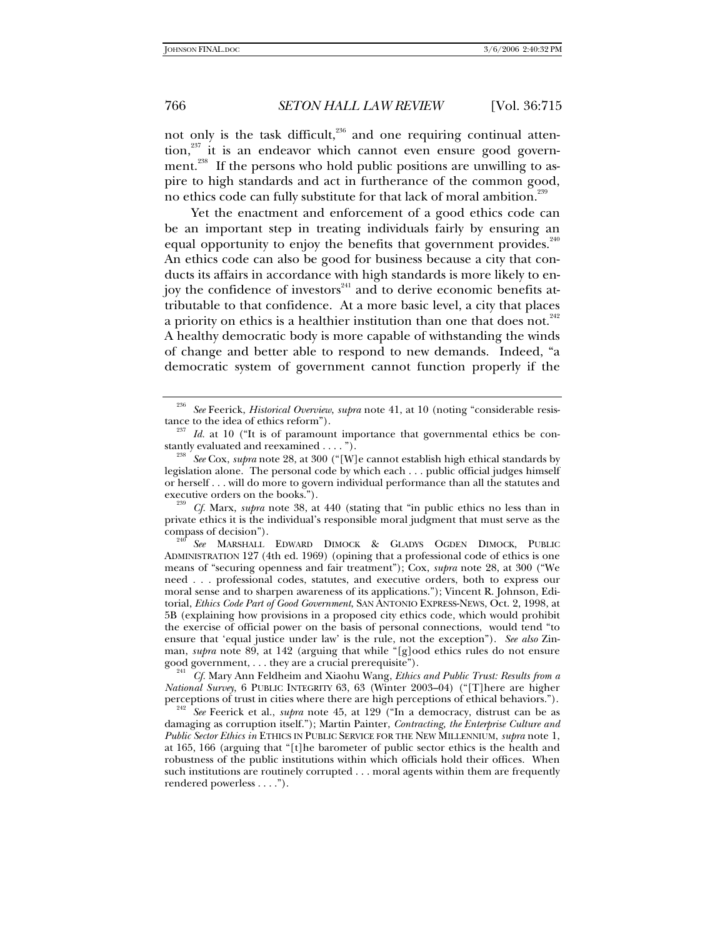not only is the task difficult, $236$  and one requiring continual atten- $\frac{1}{2}$  it is an endeavor which cannot even ensure good government.<sup>238</sup> If the persons who hold public positions are unwilling to aspire to high standards and act in furtherance of the common good, no ethics code can fully substitute for that lack of moral ambition.<sup>239</sup>

Yet the enactment and enforcement of a good ethics code can be an important step in treating individuals fairly by ensuring an equal opportunity to enjoy the benefits that government provides.<sup>240</sup> An ethics code can also be good for business because a city that conducts its affairs in accordance with high standards is more likely to enjoy the confidence of investors<sup>241</sup> and to derive economic benefits attributable to that confidence. At a more basic level, a city that places a priority on ethics is a healthier institution than one that does not. $^{242}$ A healthy democratic body is more capable of withstanding the winds of change and better able to respond to new demands. Indeed, "a democratic system of government cannot function properly if the

See MARSHALL EDWARD DIMOCK & GLADYS OGDEN DIMOCK, PUBLIC ADMINISTRATION 127 (4th ed. 1969) (opining that a professional code of ethics is one means of "securing openness and fair treatment"); Cox, *supra* note 28, at 300 ("We need . . . professional codes, statutes, and executive orders, both to express our moral sense and to sharpen awareness of its applications."); Vincent R. Johnson, Editorial, *Ethics Code Part of Good Government*, SAN ANTONIO EXPRESS-NEWS, Oct. 2, 1998, at 5B (explaining how provisions in a proposed city ethics code, which would prohibit the exercise of official power on the basis of personal connections, would tend "to ensure that 'equal justice under law' is the rule, not the exception"). *See also* Zinman, *supra* note 89, at 142 (arguing that while "[g]ood ethics rules do not ensure good government, . . . they are a crucial prerequisite"). <sup>241</sup> *Cf.* Mary Ann Feldheim and Xiaohu Wang, *Ethics and Public Trust: Results from a* 

*National Survey*, 6 PUBLIC INTEGRITY 63, 63 (Winter 2003–04) ("[T]here are higher perceptions of trust in cities where there are high perceptions of ethical behaviors.").

*See* Feerick et al., *supra* note 45, at 129 ("In a democracy, distrust can be as damaging as corruption itself."); Martin Painter, *Contracting, the Enterprise Culture and Public Sector Ethics in* ETHICS IN PUBLIC SERVICE FOR THE NEW MILLENNIUM, *supra* note 1, at 165, 166 (arguing that "[t]he barometer of public sector ethics is the health and robustness of the public institutions within which officials hold their offices. When such institutions are routinely corrupted . . . moral agents within them are frequently rendered powerless . . . .").

<sup>236</sup> *See* Feerick, *Historical Overview*, *supra* note 41, at 10 (noting "considerable resis-

tance to the idea of ethics reform").<br><sup>237</sup> *Id.* at 10 ("It is of paramount importance that governmental ethics be con-

stantly evaluated and reexamined . . . . "). <sup>238</sup> *See* Cox, *supra* note 28, at 300 ("[W]e cannot establish high ethical standards by legislation alone. The personal code by which each . . . public official judges himself or herself . . . will do more to govern individual performance than all the statutes and

Cf. Marx, *supra* note 38, at 440 (stating that "in public ethics no less than in private ethics it is the individual's responsible moral judgment that must serve as the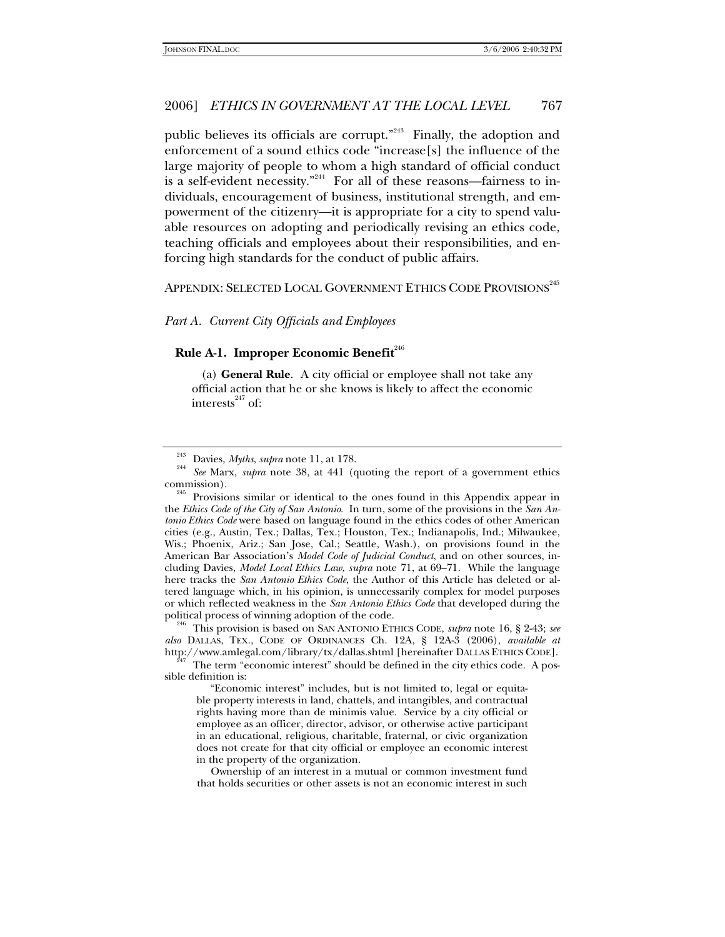public believes its officials are corrupt."<sup>243</sup> Finally, the adoption and enforcement of a sound ethics code "increase[s] the influence of the large majority of people to whom a high standard of official conduct is a self-evident necessity."<sup>244</sup> For all of these reasons—fairness to individuals, encouragement of business, institutional strength, and empowerment of the citizenry—it is appropriate for a city to spend valuable resources on adopting and periodically revising an ethics code, teaching officials and employees about their responsibilities, and enforcing high standards for the conduct of public affairs.

# APPENDIX: SELECTED LOCAL GOVERNMENT ETHICS CODE PROVISIONS<sup>245</sup>

*Part A. Current City Officials and Employees* 

# **Rule A-1. Improper Economic Benefit**<sup>246</sup>

 (a) **General Rule**. A city official or employee shall not take any official action that he or she knows is likely to affect the economic interests $^{247}$  of:

<sup>246</sup> This provision is based on SAN ANTONIO ETHICS CODE, *supra* note 16, § 2-43; *see also* DALLAS, TEX., CODE OF ORDINANCES Ch. 12A, § 12A-3 (2006), *available at*

http://www.amlegal.com/library/tx/dallas.shtml [hereinafter DALLAS ETHICS CODE].<br><sup>247</sup> The term "economic interest" should be defined in the city ethics code. A possible definition is:

 "Economic interest" includes, but is not limited to, legal or equitable property interests in land, chattels, and intangibles, and contractual rights having more than de minimis value. Service by a city official or employee as an officer, director, advisor, or otherwise active participant in an educational, religious, charitable, fraternal, or civic organization does not create for that city official or employee an economic interest in the property of the organization.

 Ownership of an interest in a mutual or common investment fund that holds securities or other assets is not an economic interest in such

<sup>&</sup>lt;sup>243</sup> Davies, *Myths*, *supra* note 11, at 178.<br><sup>244</sup> See Marx, *supra* note 38, at 441 (quoting the report of a government ethics commission).<br><sup>245</sup> Provisions similar or identical to the ones found in this Appendix appear in

the *Ethics Code of the City of San Antonio*. In turn, some of the provisions in the *San Antonio Ethics Code* were based on language found in the ethics codes of other American cities (e.g., Austin, Tex.; Dallas, Tex.; Houston, Tex.; Indianapolis, Ind.; Milwaukee, Wis.; Phoenix, Ariz.; San Jose, Cal.; Seattle, Wash.), on provisions found in the American Bar Association's *Model Code of Judicial Conduct*, and on other sources, including Davies, *Model Local Ethics Law*, *supra* note 71, at 69–71. While the language here tracks the *San Antonio Ethics Code*, the Author of this Article has deleted or altered language which, in his opinion, is unnecessarily complex for model purposes or which reflected weakness in the *San Antonio Ethics Code* that developed during the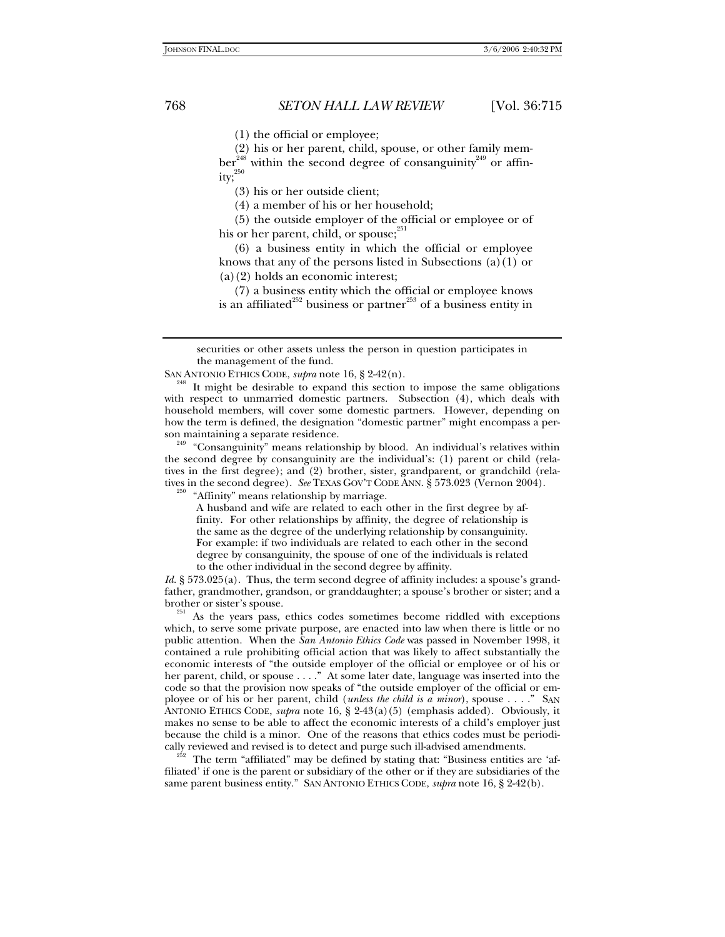(1) the official or employee;

(2) his or her parent, child, spouse, or other family mem-

 $ber^{\text{248}}$  within the second degree of consanguinity<sup>249</sup> or affin $ity;$ <sup>250</sup>

(3) his or her outside client;

(4) a member of his or her household;

(5) the outside employer of the official or employee or of his or her parent, child, or spouse;<sup>251</sup>

(6) a business entity in which the official or employee knows that any of the persons listed in Subsections (a)(1) or (a)(2) holds an economic interest;

(7) a business entity which the official or employee knows is an affiliated<sup>252</sup> business or partner<sup>253</sup> of a business entity in

SAN ANTONIO ETHICS CODE, *supra* note 16, § 2-42(n).<br><sup>248</sup> It might be desirable to expand this section to impose the same obligations with respect to unmarried domestic partners. Subsection (4), which deals with household members, will cover some domestic partners. However, depending on how the term is defined, the designation "domestic partner" might encompass a per-

"Consanguinity" means relationship by blood. An individual's relatives within the second degree by consanguinity are the individual's: (1) parent or child (relatives in the first degree); and (2) brother, sister, grandparent, or grandchild (relatives in the second degree). *See* TEXAS GOV'T CODE ANN. § 573.023 (Vernon 2004). <sup>250</sup> "Affinity" means relationship by marriage.

A husband and wife are related to each other in the first degree by affinity. For other relationships by affinity, the degree of relationship is the same as the degree of the underlying relationship by consanguinity. For example: if two individuals are related to each other in the second degree by consanguinity, the spouse of one of the individuals is related to the other individual in the second degree by affinity.

*Id.* § 573.025(a). Thus, the term second degree of affinity includes: a spouse's grandfather, grandmother, grandson, or granddaughter; a spouse's brother or sister; and a brother or sister's spouse.

<sup>251</sup> As the years pass, ethics codes sometimes become riddled with exceptions which, to serve some private purpose, are enacted into law when there is little or no public attention. When the *San Antonio Ethics Code* was passed in November 1998, it contained a rule prohibiting official action that was likely to affect substantially the economic interests of "the outside employer of the official or employee or of his or her parent, child, or spouse . . . ." At some later date, language was inserted into the code so that the provision now speaks of "the outside employer of the official or employee or of his or her parent, child (*unless the child is a minor*), spouse . . . ." SAN ANTONIO ETHICS CODE, *supra* note 16, § 2-43(a)(5) (emphasis added). Obviously, it makes no sense to be able to affect the economic interests of a child's employer just because the child is a minor. One of the reasons that ethics codes must be periodi-

The term "affiliated" may be defined by stating that: "Business entities are 'affiliated' if one is the parent or subsidiary of the other or if they are subsidiaries of the same parent business entity." SAN ANTONIO ETHICS CODE, *supra* note 16, § 2-42(b).

securities or other assets unless the person in question participates in the management of the fund.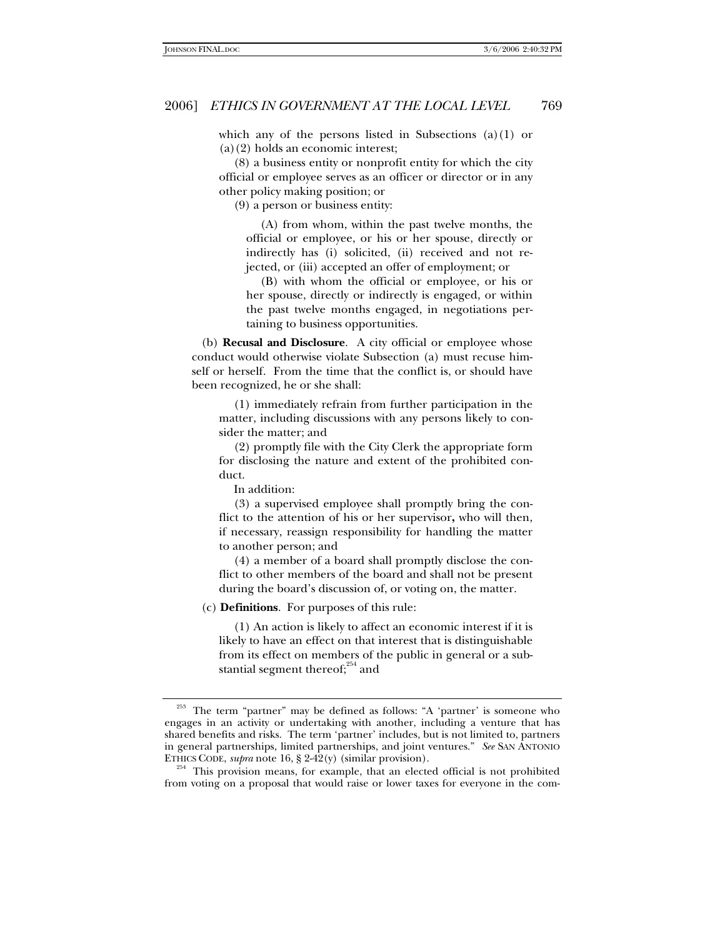which any of the persons listed in Subsections  $(a)(1)$  or (a)(2) holds an economic interest;

(8) a business entity or nonprofit entity for which the city official or employee serves as an officer or director or in any other policy making position; or

(9) a person or business entity:

(A) from whom, within the past twelve months, the official or employee, or his or her spouse, directly or indirectly has (i) solicited, (ii) received and not rejected, or (iii) accepted an offer of employment; or

(B) with whom the official or employee, or his or her spouse, directly or indirectly is engaged, or within the past twelve months engaged, in negotiations pertaining to business opportunities.

 (b) **Recusal and Disclosure**. A city official or employee whose conduct would otherwise violate Subsection (a) must recuse himself or herself. From the time that the conflict is, or should have been recognized, he or she shall:

(1) immediately refrain from further participation in the matter, including discussions with any persons likely to consider the matter; and

(2) promptly file with the City Clerk the appropriate form for disclosing the nature and extent of the prohibited conduct.

In addition:

(3) a supervised employee shall promptly bring the conflict to the attention of his or her supervisor**,** who will then, if necessary, reassign responsibility for handling the matter to another person; and

(4) a member of a board shall promptly disclose the conflict to other members of the board and shall not be present during the board's discussion of, or voting on, the matter.

(c) **Definitions**. For purposes of this rule:

(1) An action is likely to affect an economic interest if it is likely to have an effect on that interest that is distinguishable from its effect on members of the public in general or a substantial segment thereof; $^{254}$  and

 $253$  The term "partner" may be defined as follows: "A 'partner' is someone who engages in an activity or undertaking with another, including a venture that has shared benefits and risks. The term 'partner' includes, but is not limited to, partners in general partnerships, limited partnerships, and joint ventures." *See* SAN ANTONIO ETHICS CODE, *supra* note 16, § 2-42(y) (similar provision).<br><sup>254</sup> This provision means, for example, that an elected official is not prohibited

from voting on a proposal that would raise or lower taxes for everyone in the com-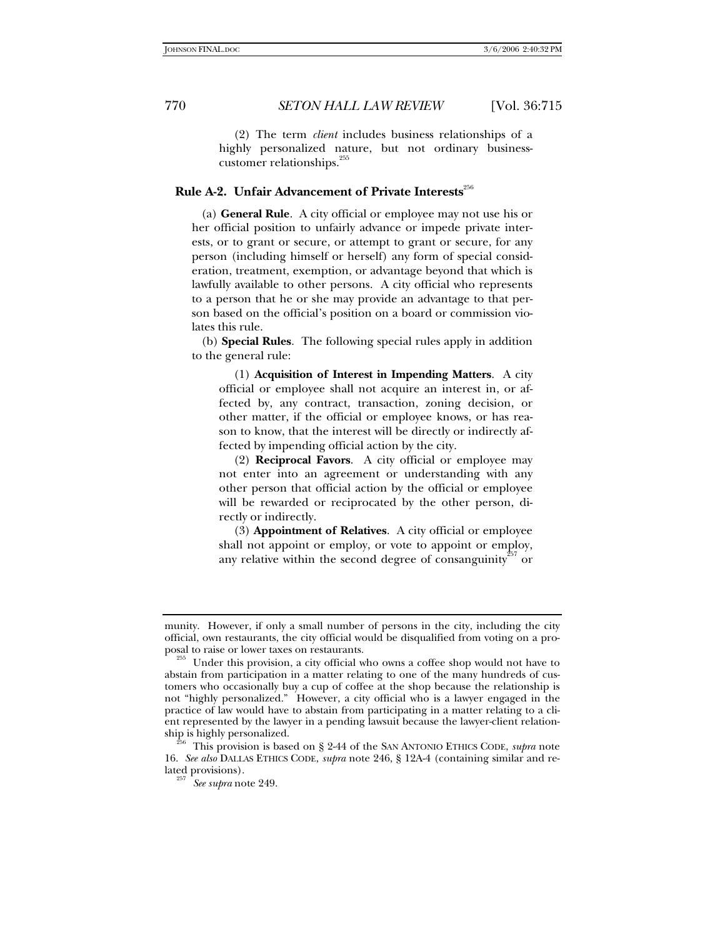(2) The term *client* includes business relationships of a highly personalized nature, but not ordinary businesscustomer relationships.<sup>2</sup>

# Rule A-2. Unfair Advancement of Private Interests<sup>256</sup>

 (a) **General Rule**. A city official or employee may not use his or her official position to unfairly advance or impede private interests, or to grant or secure, or attempt to grant or secure, for any person (including himself or herself) any form of special consideration, treatment, exemption, or advantage beyond that which is lawfully available to other persons.A city official who represents to a person that he or she may provide an advantage to that person based on the official's position on a board or commission violates this rule.

 (b) **Special Rules**. The following special rules apply in addition to the general rule:

(1) **Acquisition of Interest in Impending Matters**. A city official or employee shall not acquire an interest in, or affected by, any contract, transaction, zoning decision, or other matter, if the official or employee knows, or has reason to know, that the interest will be directly or indirectly affected by impending official action by the city.

(2) **Reciprocal Favors**. A city official or employee may not enter into an agreement or understanding with any other person that official action by the official or employee will be rewarded or reciprocated by the other person, directly or indirectly.

(3) **Appointment of Relatives**. A city official or employee shall not appoint or employ, or vote to appoint or employ, any relative within the second degree of consanguinity<sup>257</sup> or

munity. However, if only a small number of persons in the city, including the city official, own restaurants, the city official would be disqualified from voting on a pro-

<sup>&</sup>lt;sup>255</sup> Under this provision, a city official who owns a coffee shop would not have to abstain from participation in a matter relating to one of the many hundreds of customers who occasionally buy a cup of coffee at the shop because the relationship is not "highly personalized." However, a city official who is a lawyer engaged in the practice of law would have to abstain from participating in a matter relating to a client represented by the lawyer in a pending lawsuit because the lawyer-client relationship is highly personalized. 256 This provision is based on § 2-44 of the SAN ANTONIO ETHICS CODE, *supra* note

<sup>16.</sup> *See also* DALLAS ETHICS CODE, *supra* note 246, § 12A-4 (containing similar and related provisions). <sup>257</sup> *See supra* note 249.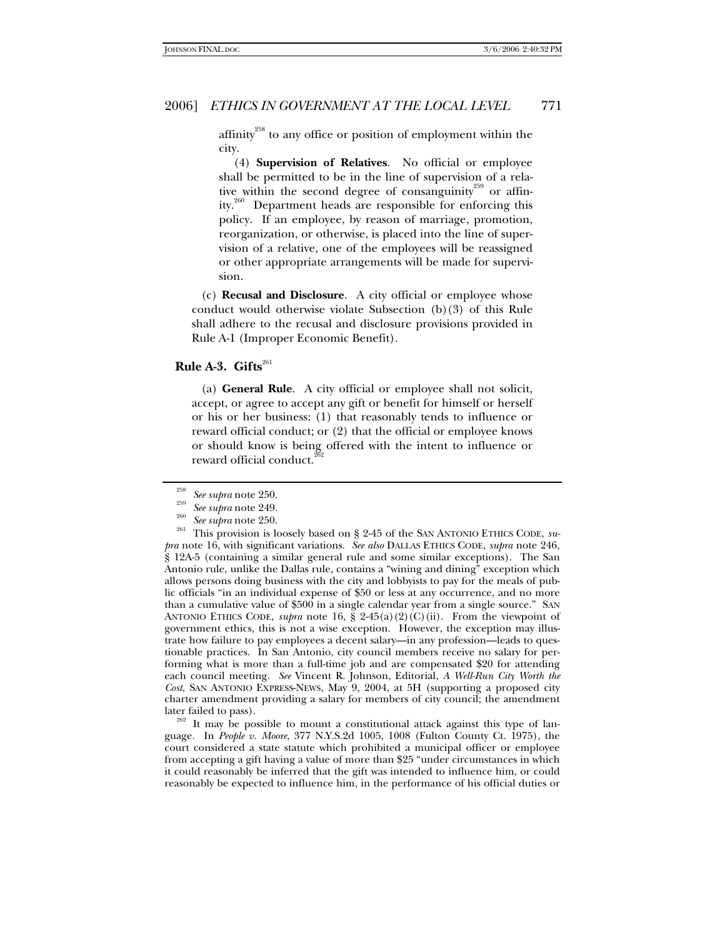affinity<sup>258</sup> to any office or position of employment within the city.

(4) **Supervision of Relatives**. No official or employee shall be permitted to be in the line of supervision of a relative within the second degree of consanguinity<sup>259</sup> or affinity.<sup>260</sup> Department heads are responsible for enforcing this policy. If an employee, by reason of marriage, promotion, reorganization, or otherwise, is placed into the line of supervision of a relative, one of the employees will be reassigned or other appropriate arrangements will be made for supervision.

 (c) **Recusal and Disclosure**. A city official or employee whose conduct would otherwise violate Subsection (b)(3) of this Rule shall adhere to the recusal and disclosure provisions provided in Rule A-1 (Improper Economic Benefit).

# **Rule A-3. Gifts**<sup>261</sup>

 (a) **General Rule**. A city official or employee shall not solicit, accept, or agree to accept any gift or benefit for himself or herself or his or her business: (1) that reasonably tends to influence or reward official conduct; or (2) that the official or employee knows or should know is being offered with the intent to influence or reward official conduct.

guage. In *People v. Moore*, 377 N.Y.S.2d 1005, 1008 (Fulton County Ct. 1975), the court considered a state statute which prohibited a municipal officer or employee from accepting a gift having a value of more than \$25 "under circumstances in which it could reasonably be inferred that the gift was intended to influence him, or could reasonably be expected to influence him, in the performance of his official duties or

<sup>&</sup>lt;sup>258</sup> See supra note 250.<br><sup>259</sup> See supra note 249.<br><sup>260</sup> See supra note 250.<br><sup>261</sup> This provision is loosely based on § 2-45 of the SAN ANTONIO ETHICS CODE, *supra* note 16, with significant variations. *See also* DALLAS ETHICS CODE, *supra* note 246, § 12A-5 (containing a similar general rule and some similar exceptions). The San Antonio rule, unlike the Dallas rule, contains a "wining and dining" exception which allows persons doing business with the city and lobbyists to pay for the meals of public officials "in an individual expense of \$50 or less at any occurrence, and no more than a cumulative value of \$500 in a single calendar year from a single source." SAN ANTONIO ETHICS CODE, *supra* note 16, § 2-45(a)(2)(C)(ii). From the viewpoint of government ethics, this is not a wise exception. However, the exception may illustrate how failure to pay employees a decent salary—in any profession—leads to questionable practices. In San Antonio, city council members receive no salary for performing what is more than a full-time job and are compensated \$20 for attending each council meeting. *See* Vincent R. Johnson, Editorial, *A Well-Run City Worth the Cost*, SAN ANTONIO EXPRESS-NEWS, May 9, 2004, at 5H (supporting a proposed city charter amendment providing a salary for members of city council; the amendment later failed to pass).<br><sup>262</sup> It may be possible to mount a constitutional attack against this type of lan-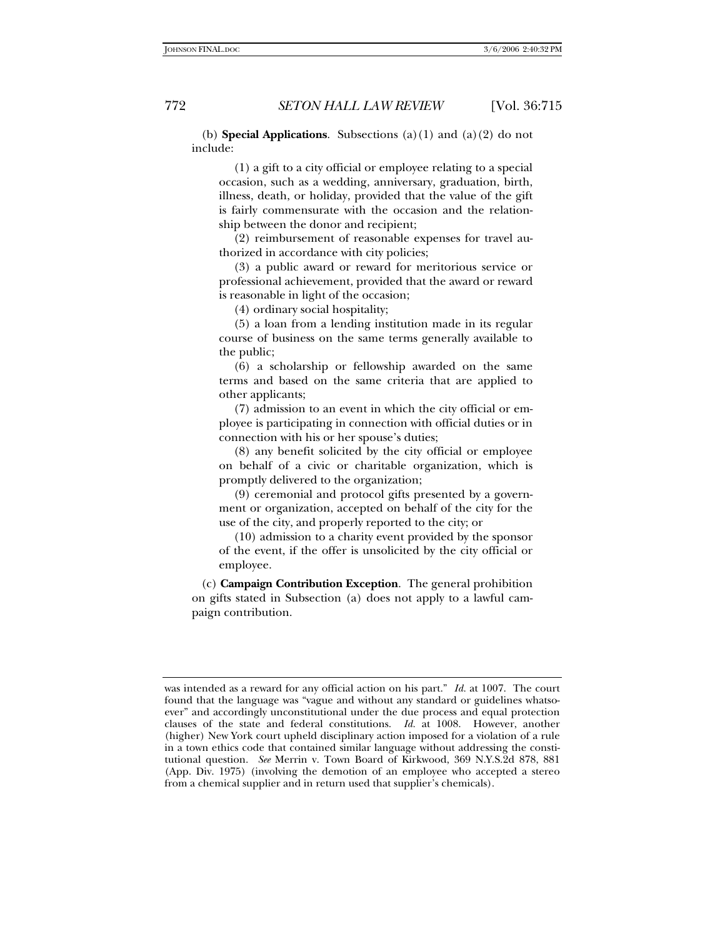(b) **Special Applications**. Subsections (a)(1) and (a)(2) do not include:

(1) a gift to a city official or employee relating to a special occasion, such as a wedding, anniversary, graduation, birth, illness, death, or holiday, provided that the value of the gift is fairly commensurate with the occasion and the relationship between the donor and recipient;

(2) reimbursement of reasonable expenses for travel authorized in accordance with city policies;

(3) a public award or reward for meritorious service or professional achievement, provided that the award or reward is reasonable in light of the occasion;

(4) ordinary social hospitality;

(5) a loan from a lending institution made in its regular course of business on the same terms generally available to the public;

(6) a scholarship or fellowship awarded on the same terms and based on the same criteria that are applied to other applicants;

(7) admission to an event in which the city official or employee is participating in connection with official duties or in connection with his or her spouse's duties;

(8) any benefit solicited by the city official or employee on behalf of a civic or charitable organization, which is promptly delivered to the organization;

(9) ceremonial and protocol gifts presented by a government or organization, accepted on behalf of the city for the use of the city, and properly reported to the city; or

(10) admission to a charity event provided by the sponsor of the event, if the offer is unsolicited by the city official or employee.

 (c) **Campaign Contribution Exception**. The general prohibition on gifts stated in Subsection (a) does not apply to a lawful campaign contribution.

was intended as a reward for any official action on his part." *Id.* at 1007. The court found that the language was "vague and without any standard or guidelines whatsoever" and accordingly unconstitutional under the due process and equal protection clauses of the state and federal constitutions. *Id.* at 1008. However, another (higher) New York court upheld disciplinary action imposed for a violation of a rule in a town ethics code that contained similar language without addressing the constitutional question. *See* Merrin v. Town Board of Kirkwood, 369 N.Y.S.2d 878, 881 (App. Div. 1975) (involving the demotion of an employee who accepted a stereo from a chemical supplier and in return used that supplier's chemicals).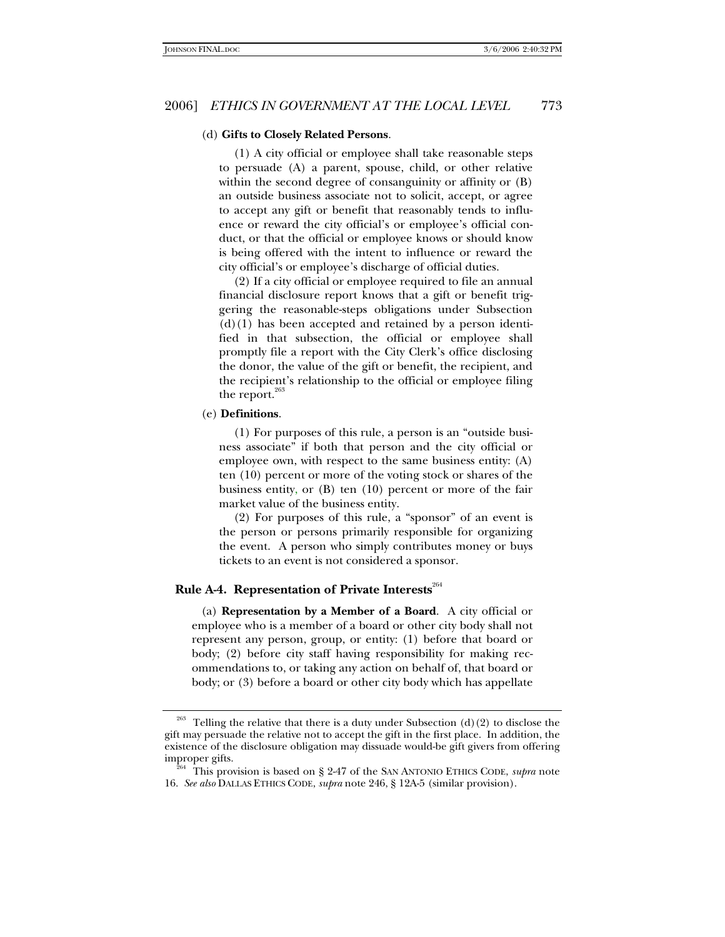#### (d) **Gifts to Closely Related Persons**.

(1) A city official or employee shall take reasonable steps to persuade (A) a parent, spouse, child, or other relative within the second degree of consanguinity or affinity or (B) an outside business associate not to solicit, accept, or agree to accept any gift or benefit that reasonably tends to influence or reward the city official's or employee's official conduct, or that the official or employee knows or should know is being offered with the intent to influence or reward the city official's or employee's discharge of official duties.

(2) If a city official or employee required to file an annual financial disclosure report knows that a gift or benefit triggering the reasonable-steps obligations under Subsection  $(d)(1)$  has been accepted and retained by a person identified in that subsection, the official or employee shall promptly file a report with the City Clerk's office disclosing the donor, the value of the gift or benefit, the recipient, and the recipient's relationship to the official or employee filing the report. $263$ 

#### (e) **Definitions**.

(1) For purposes of this rule, a person is an "outside business associate" if both that person and the city official or employee own, with respect to the same business entity: (A) ten (10) percent or more of the voting stock or shares of the business entity, or (B) ten (10) percent or more of the fair market value of the business entity.

(2) For purposes of this rule, a "sponsor" of an event is the person or persons primarily responsible for organizing the event. A person who simply contributes money or buys tickets to an event is not considered a sponsor.

# Rule A-4. Representation of Private Interests<sup>264</sup>

 (a) **Representation by a Member of a Board**. A city official or employee who is a member of a board or other city body shall not represent any person, group, or entity: (1) before that board or body; (2) before city staff having responsibility for making recommendations to, or taking any action on behalf of, that board or body; or (3) before a board or other city body which has appellate

Telling the relative that there is a duty under Subsection  $(d)(2)$  to disclose the gift may persuade the relative not to accept the gift in the first place. In addition, the existence of the disclosure obligation may dissuade would-be gift givers from offering improper gifts. 264 This provision is based on § 2-47 of the SAN ANTONIO ETHICS CODE, *supra* note

<sup>16.</sup> *See also* DALLAS ETHICS CODE, *supra* note 246, § 12A-5 (similar provision).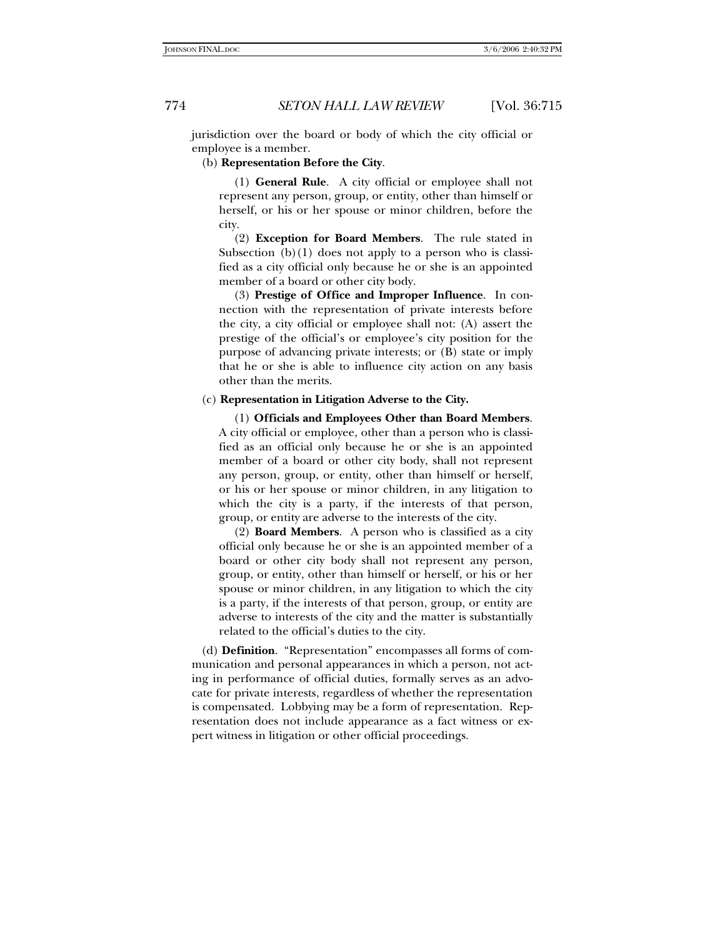jurisdiction over the board or body of which the city official or

#### (b) **Representation Before the City**.

employee is a member.

(1) **General Rule**. A city official or employee shall not represent any person, group, or entity, other than himself or herself, or his or her spouse or minor children, before the city.

(2) **Exception for Board Members**. The rule stated in Subsection  $(b)(1)$  does not apply to a person who is classified as a city official only because he or she is an appointed member of a board or other city body.

(3) **Prestige of Office and Improper Influence**. In connection with the representation of private interests before the city, a city official or employee shall not: (A) assert the prestige of the official's or employee's city position for the purpose of advancing private interests; or (B) state or imply that he or she is able to influence city action on any basis other than the merits.

#### (c) **Representation in Litigation Adverse to the City.**

(1) **Officials and Employees Other than Board Members**. A city official or employee, other than a person who is classified as an official only because he or she is an appointed member of a board or other city body, shall not represent any person, group, or entity, other than himself or herself, or his or her spouse or minor children, in any litigation to which the city is a party, if the interests of that person, group, or entity are adverse to the interests of the city.

(2) **Board Members**. A person who is classified as a city official only because he or she is an appointed member of a board or other city body shall not represent any person, group, or entity, other than himself or herself, or his or her spouse or minor children, in any litigation to which the city is a party, if the interests of that person, group, or entity are adverse to interests of the city and the matter is substantially related to the official's duties to the city.

 (d) **Definition**. "Representation" encompasses all forms of communication and personal appearances in which a person, not acting in performance of official duties, formally serves as an advocate for private interests, regardless of whether the representation is compensated. Lobbying may be a form of representation. Representation does not include appearance as a fact witness or expert witness in litigation or other official proceedings.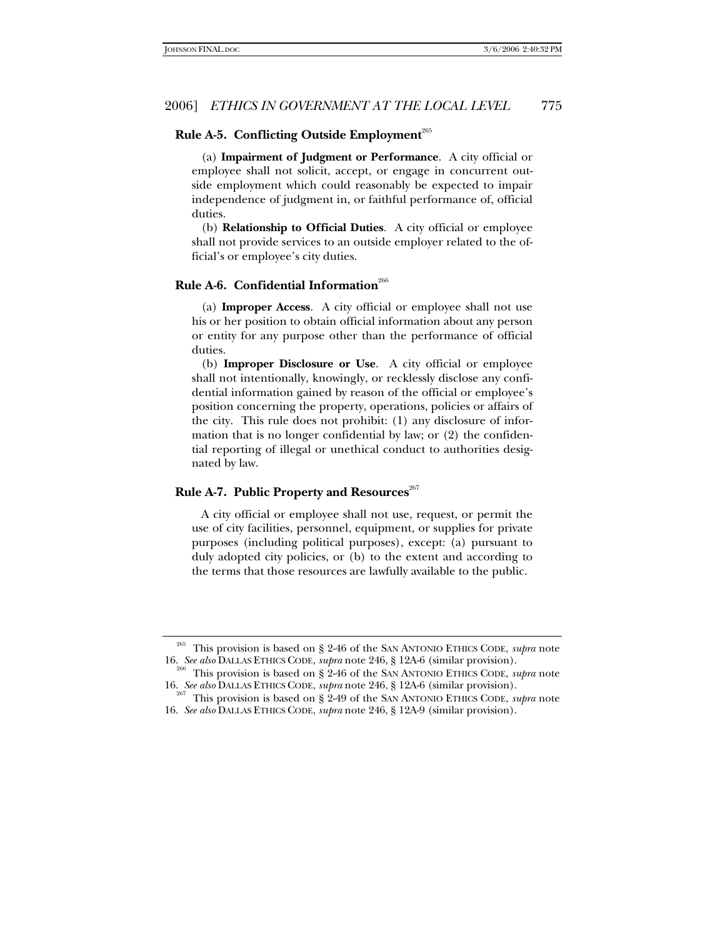## **Rule A-5. Conflicting Outside Employment**<sup>265</sup>

 (a) **Impairment of Judgment or Performance**. A city official or employee shall not solicit, accept, or engage in concurrent outside employment which could reasonably be expected to impair independence of judgment in, or faithful performance of, official duties.

 (b) **Relationship to Official Duties**. A city official or employee shall not provide services to an outside employer related to the official's or employee's city duties.

# Rule A-6. Confidential Information<sup>266</sup>

 (a) **Improper Access**. A city official or employee shall not use his or her position to obtain official information about any person or entity for any purpose other than the performance of official duties.

 (b) **Improper Disclosure or Use**. A city official or employee shall not intentionally, knowingly, or recklessly disclose any confidential information gained by reason of the official or employee's position concerning the property, operations, policies or affairs of the city.This rule does not prohibit: (1) any disclosure of information that is no longer confidential by law; or (2) the confidential reporting of illegal or unethical conduct to authorities designated by law.

# **Rule A-7. Public Property and Resources**<sup>267</sup>

 A city official or employee shall not use, request, or permit the use of city facilities, personnel, equipment, or supplies for private purposes (including political purposes), except: (a) pursuant to duly adopted city policies, or (b) to the extent and according to the terms that those resources are lawfully available to the public.

<sup>265</sup> This provision is based on § 2-46 of the SAN ANTONIO ETHICS CODE, *supra* note 16. *See also* DALLAS ETHICS CODE, *supra* note 246, § 12A-6 (similar provision). 266 This provision is based on § 2-46 of the SAN ANTONIO ETHICS CODE, *supra* note

<sup>16.</sup> *See also* DALLAS ETHICS CODE, *supra* note 246, § 12A-6 (similar provision). 267 This provision is based on § 2-49 of the SAN ANTONIO ETHICS CODE, *supra* note

<sup>16.</sup> *See also* DALLAS ETHICS CODE, *supra* note 246, § 12A-9 (similar provision).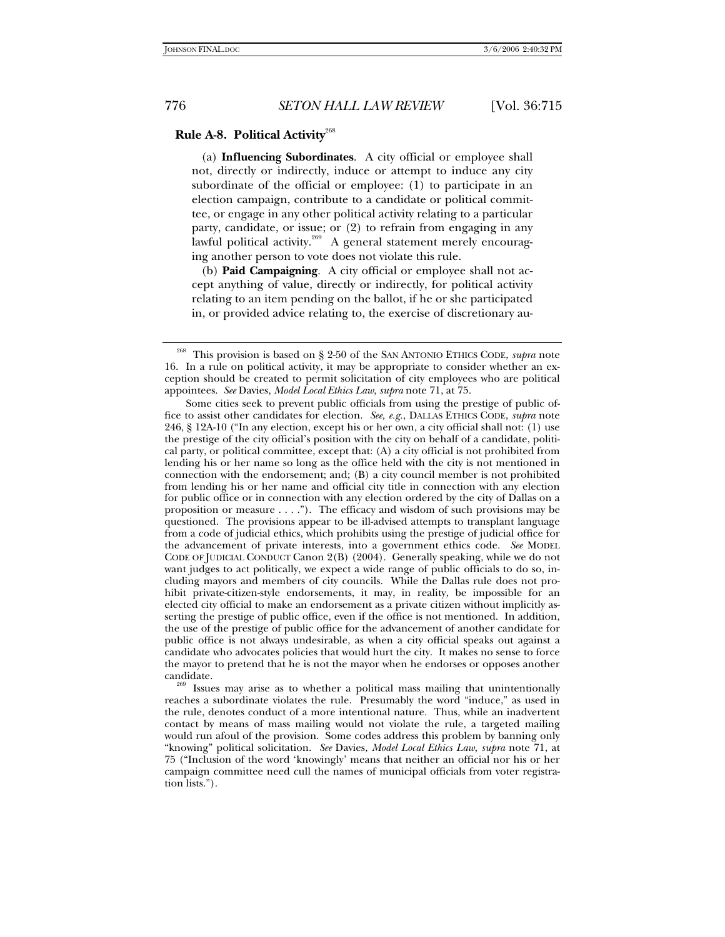## **Rule A-8. Political Activity**<sup>268</sup>

 (a) **Influencing Subordinates**. A city official or employee shall not, directly or indirectly, induce or attempt to induce any city subordinate of the official or employee: (1) to participate in an election campaign, contribute to a candidate or political committee, or engage in any other political activity relating to a particular party, candidate, or issue; or (2) to refrain from engaging in any lawful political activity.<sup>269</sup> A general statement merely encouraging another person to vote does not violate this rule.

 (b) **Paid Campaigning**. A city official or employee shall not accept anything of value, directly or indirectly, for political activity relating to an item pending on the ballot, if he or she participated in, or provided advice relating to, the exercise of discretionary au-

Some cities seek to prevent public officials from using the prestige of public office to assist other candidates for election. *See, e.g.*, DALLAS ETHICS CODE, *supra* note 246, § 12A-10 ("In any election, except his or her own, a city official shall not: (1) use the prestige of the city official's position with the city on behalf of a candidate, political party, or political committee, except that: (A) a city official is not prohibited from lending his or her name so long as the office held with the city is not mentioned in connection with the endorsement; and; (B) a city council member is not prohibited from lending his or her name and official city title in connection with any election for public office or in connection with any election ordered by the city of Dallas on a proposition or measure . . . ."). The efficacy and wisdom of such provisions may be questioned. The provisions appear to be ill-advised attempts to transplant language from a code of judicial ethics, which prohibits using the prestige of judicial office for the advancement of private interests, into a government ethics code. *See* MODEL CODE OF JUDICIAL CONDUCT Canon 2(B) (2004). Generally speaking, while we do not want judges to act politically, we expect a wide range of public officials to do so, including mayors and members of city councils. While the Dallas rule does not prohibit private-citizen-style endorsements, it may, in reality, be impossible for an elected city official to make an endorsement as a private citizen without implicitly asserting the prestige of public office, even if the office is not mentioned. In addition, the use of the prestige of public office for the advancement of another candidate for public office is not always undesirable, as when a city official speaks out against a candidate who advocates policies that would hurt the city. It makes no sense to force the mayor to pretend that he is not the mayor when he endorses or opposes another

Issues may arise as to whether a political mass mailing that unintentionally reaches a subordinate violates the rule. Presumably the word "induce," as used in the rule, denotes conduct of a more intentional nature. Thus, while an inadvertent contact by means of mass mailing would not violate the rule, a targeted mailing would run afoul of the provision. Some codes address this problem by banning only "knowing" political solicitation. *See* Davies, *Model Local Ethics Law*, *supra* note 71, at 75 ("Inclusion of the word 'knowingly' means that neither an official nor his or her campaign committee need cull the names of municipal officials from voter registration lists.").

<sup>268</sup> This provision is based on § 2-50 of the SAN ANTONIO ETHICS CODE, *supra* note 16. In a rule on political activity, it may be appropriate to consider whether an exception should be created to permit solicitation of city employees who are political appointees. *See* Davies, *Model Local Ethics Law*, *supra* note 71, at 75.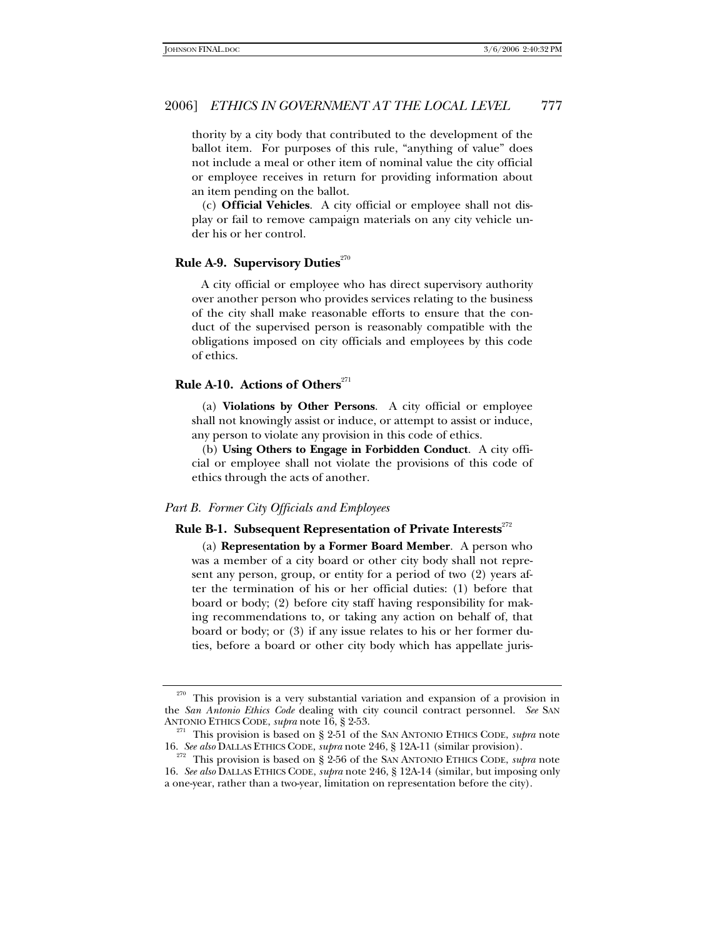thority by a city body that contributed to the development of the ballot item. For purposes of this rule, "anything of value" does not include a meal or other item of nominal value the city official or employee receives in return for providing information about an item pending on the ballot.

 (c) **Official Vehicles**. A city official or employee shall not display or fail to remove campaign materials on any city vehicle under his or her control.

### **Rule A-9. Supervisory Duties**<sup>270</sup>

 A city official or employee who has direct supervisory authority over another person who provides services relating to the business of the city shall make reasonable efforts to ensure that the conduct of the supervised person is reasonably compatible with the obligations imposed on city officials and employees by this code of ethics.

# **Rule A-10. Actions of Others**<sup>271</sup>

 (a) **Violations by Other Persons**. A city official or employee shall not knowingly assist or induce, or attempt to assist or induce, any person to violate any provision in this code of ethics.

 (b) **Using Others to Engage in Forbidden Conduct**. A city official or employee shall not violate the provisions of this code of ethics through the acts of another.

#### *Part B. Former City Officials and Employees*

# **Rule B-1. Subsequent Representation of Private Interests**<sup>272</sup>

 (a) **Representation by a Former Board Member**. A person who was a member of a city board or other city body shall not represent any person, group, or entity for a period of two (2) years after the termination of his or her official duties: (1) before that board or body; (2) before city staff having responsibility for making recommendations to, or taking any action on behalf of, that board or body; or (3) if any issue relates to his or her former duties, before a board or other city body which has appellate juris-

<sup>&</sup>lt;sup>270</sup> This provision is a very substantial variation and expansion of a provision in the *San Antonio Ethics Code* dealing with city council contract personnel. *See* SAN

<sup>&</sup>lt;sup>271</sup> This provision is based on § 2-51 of the SAN ANTONIO ETHICS CODE, *supra* note 16. *See also* DALLAS ETHICS CODE, *supra* note 246, § 12A-11 (*similar provision*).

<sup>&</sup>lt;sup>272</sup> This provision is based on § 2-56 of the SAN ANTONIO ETHICS CODE, *supra* note 16. *See also* DALLAS ETHICS CODE, *supra* note 246, § 12A-14 (similar, but imposing only a one-year, rather than a two-year, limitation on representation before the city).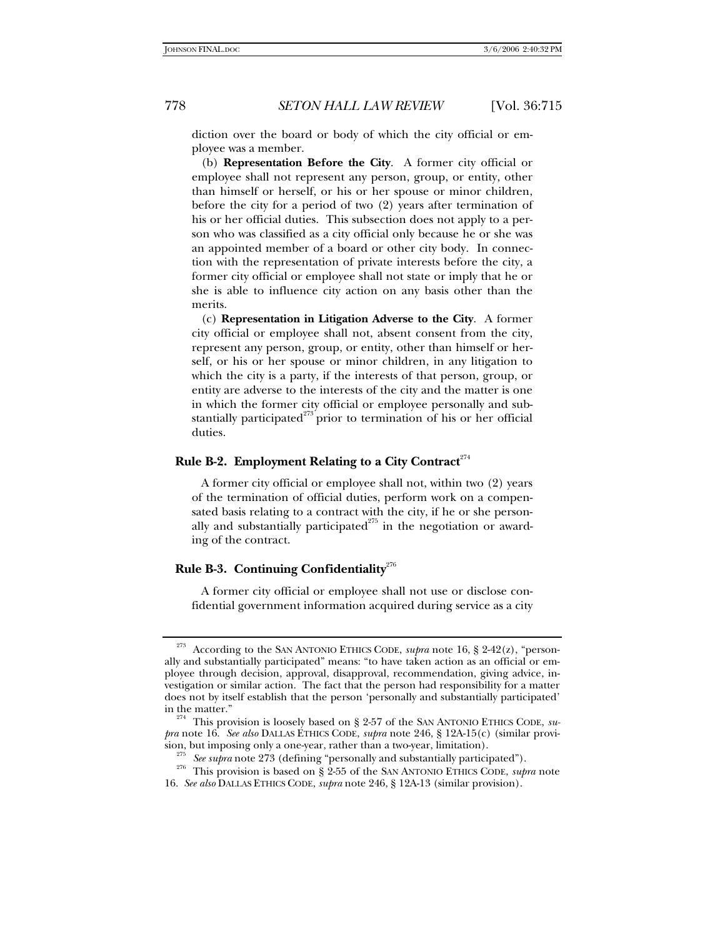diction over the board or body of which the city official or employee was a member.

 (b) **Representation Before the City**. A former city official or employee shall not represent any person, group, or entity, other than himself or herself, or his or her spouse or minor children, before the city for a period of two (2) years after termination of his or her official duties. This subsection does not apply to a person who was classified as a city official only because he or she was an appointed member of a board or other city body. In connection with the representation of private interests before the city, a former city official or employee shall not state or imply that he or she is able to influence city action on any basis other than the merits.

 (c) **Representation in Litigation Adverse to the City**. A former city official or employee shall not, absent consent from the city, represent any person, group, or entity, other than himself or herself, or his or her spouse or minor children, in any litigation to which the city is a party, if the interests of that person, group, or entity are adverse to the interests of the city and the matter is one in which the former city official or employee personally and substantially participated $273$  prior to termination of his or her official duties.

# **Rule B-2. Employment Relating to a City Contract**<sup>274</sup>

 A former city official or employee shall not, within two (2) years of the termination of official duties, perform work on a compensated basis relating to a contract with the city, if he or she personally and substantially participated $275$  in the negotiation or awarding of the contract.

# Rule B-3. Continuing Confidentiality<sup>276</sup>

 A former city official or employee shall not use or disclose confidential government information acquired during service as a city

<sup>273</sup> According to the SAN ANTONIO ETHICS CODE, *supra* note 16, § 2-42(z), "personally and substantially participated" means: "to have taken action as an official or employee through decision, approval, disapproval, recommendation, giving advice, investigation or similar action.The fact that the person had responsibility for a matter does not by itself establish that the person 'personally and substantially participated'

in the matter." 274 This provision is loosely based on § 2-57 of the SAN ANTONIO ETHICS CODE, *supra* note 16. *See also* DALLAS ETHICS CODE, *supra* note 246, § 12A-15(c) (similar provision, but imposing only a one-year, rather than a two-year, limitation).<br><sup>275</sup> See supra note 273 (defining "personally and substantially participated").<br><sup>276</sup> This provision is based on § 2-55 of the SAN ANTONIO ETHICS C

<sup>16.</sup> *See also* DALLAS ETHICS CODE, *supra* note 246, § 12A-13 (similar provision).